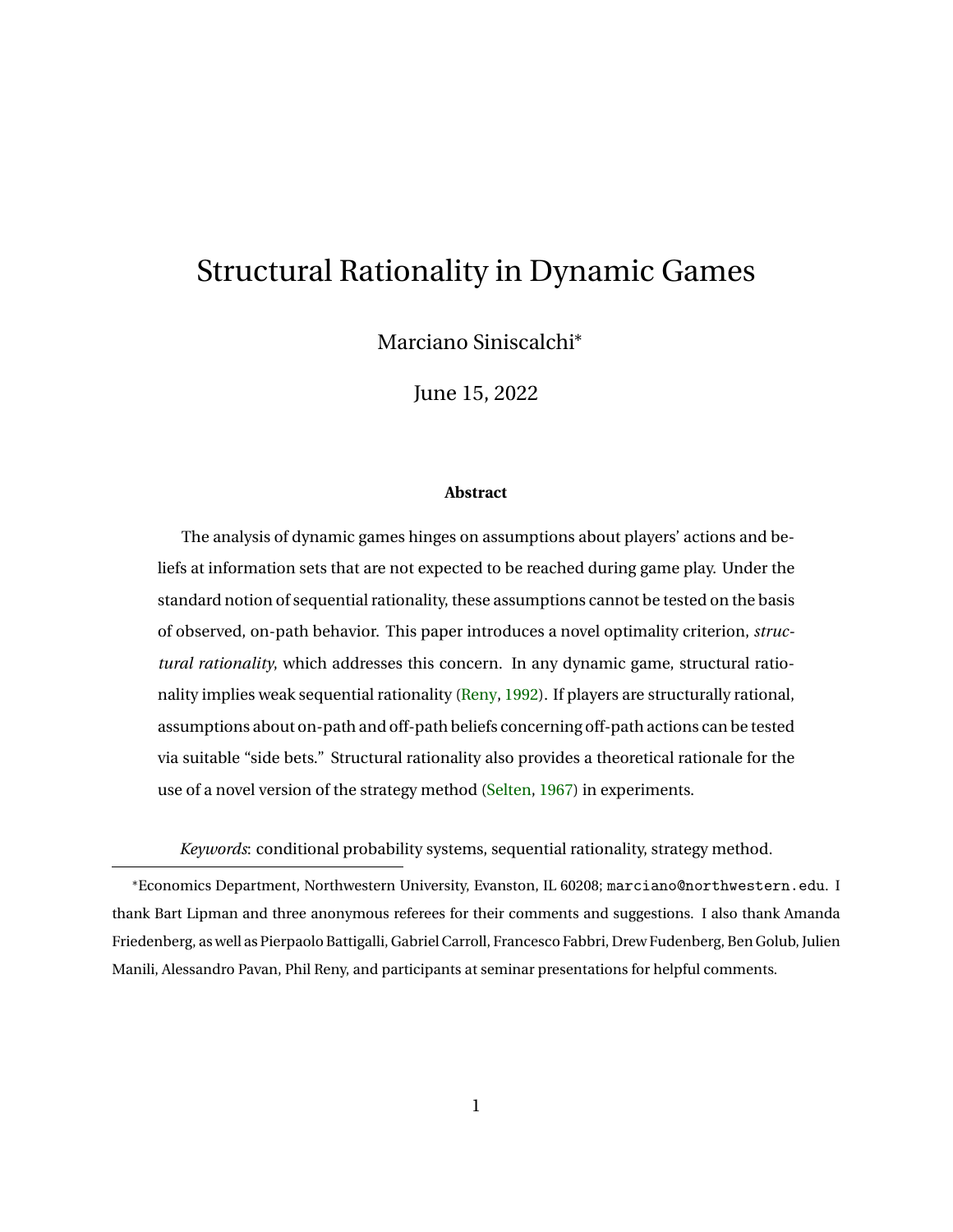# Structural Rationality in Dynamic Games

Marciano Siniscalchi<sup>∗</sup>

June 15, 2022

#### **Abstract**

The analysis of dynamic games hinges on assumptions about players' actions and beliefs at information sets that are not expected to be reached during game play. Under the standard notion of sequential rationality, these assumptions cannot be tested on the basis of observed, on-path behavior. This paper introduces a novel optimality criterion, *structural rationality*, which addresses this concern. In any dynamic game, structural rationality implies weak sequential rationality [\(Reny,](#page-43-0) [1992\)](#page-43-0). If players are structurally rational, assumptions about on-path and off-path beliefs concerning off-path actions can be tested via suitable "side bets." Structural rationality also provides a theoretical rationale for the use of a novel version of the strategy method [\(Selten,](#page-44-0) [1967\)](#page-44-0) in experiments.

*Keywords*: conditional probability systems, sequential rationality, strategy method.

<sup>∗</sup>Economics Department, Northwestern University, Evanston, IL 60208; marciano@northwestern.edu. I thank Bart Lipman and three anonymous referees for their comments and suggestions. I also thank Amanda Friedenberg, as well as Pierpaolo Battigalli, Gabriel Carroll, Francesco Fabbri, Drew Fudenberg, Ben Golub, Julien Manili, Alessandro Pavan, Phil Reny, and participants at seminar presentations for helpful comments.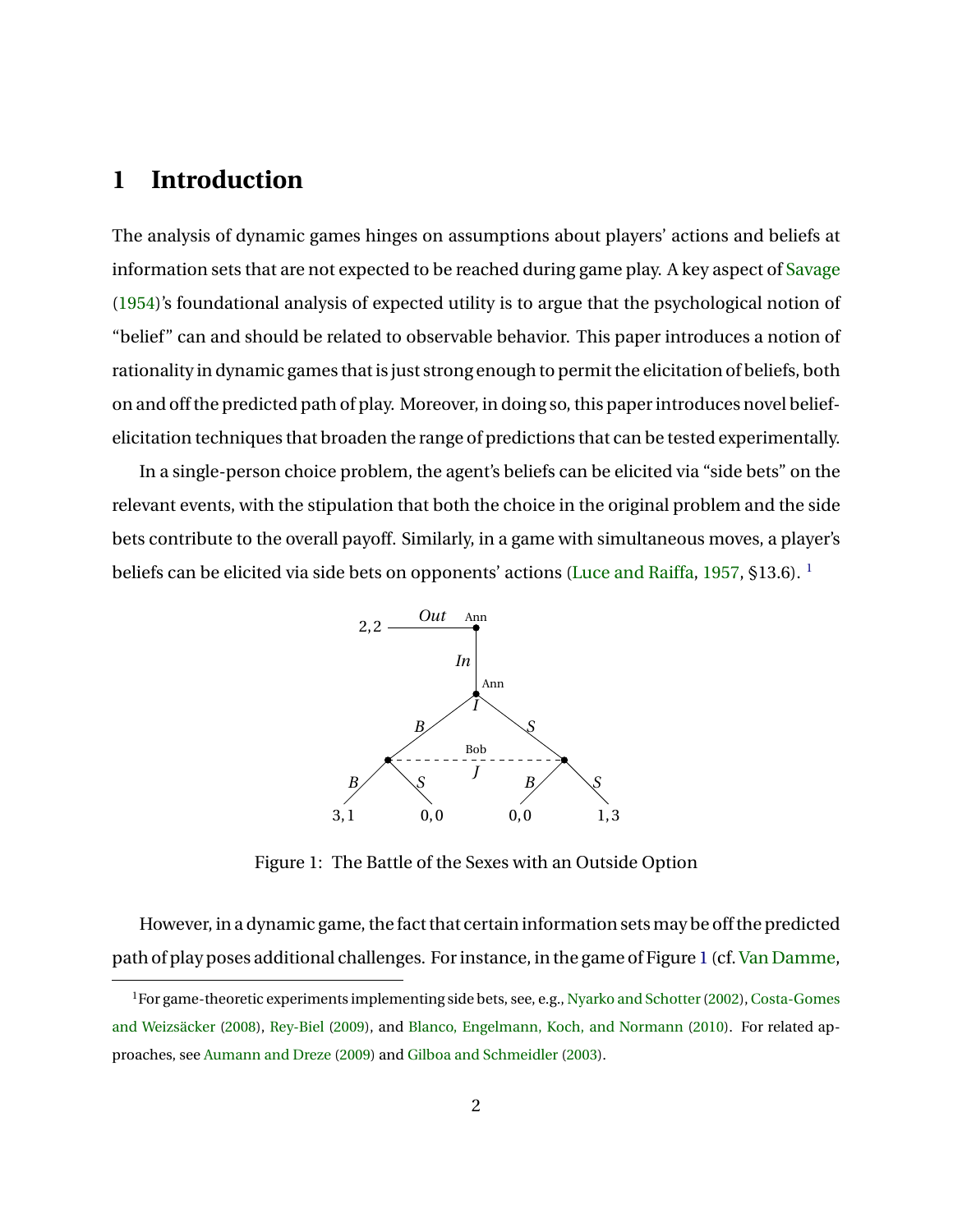### **1 Introduction**

The analysis of dynamic games hinges on assumptions about players' actions and beliefs at information sets that are not expected to be reached during game play. A key aspect of [Savage](#page-44-1) [\(1954\)](#page-44-1)'s foundational analysis of expected utility is to argue that the psychological notion of "belief" can and should be related to observable behavior. This paper introduces a notion of rationality in dynamic games that is just strong enough to permit the elicitation of beliefs, both on and off the predicted path of play. Moreover, in doing so, this paper introduces novel beliefelicitation techniques that broaden the range of predictions that can be tested experimentally.

<span id="page-1-1"></span>In a single-person choice problem, the agent's beliefs can be elicited via "side bets" on the relevant events, with the stipulation that both the choice in the original problem and the side bets contribute to the overall payoff. Similarly, in a game with simultaneous moves, a player's beliefs can be elicited via side bets on opponents' actions [\(Luce and Raiffa,](#page-43-1) [1957,](#page-43-1) §[1](#page-1-0)3.6).<sup>1</sup>



Figure 1: The Battle of the Sexes with an Outside Option

However, in a dynamic game, the fact that certain information setsmay be off the predicted path of play poses additional challenges. For instance, in the game of Figure [1](#page-1-1) (cf. [Van Damme,](#page-44-2)

<span id="page-1-0"></span><sup>&</sup>lt;sup>1</sup>For game-theoretic experiments implementing side bets, see, e.g., Nyarko and Schotter (2002), [Costa-Gomes](#page-42-0) [and Weizsäcker](#page-42-0) [\(2008\)](#page-42-0), [Rey-Biel](#page-43-3) [\(2009\)](#page-43-3), and [Blanco, Engelmann, Koch, and Normann](#page-42-1) [\(2010\)](#page-42-1). For related approaches, see [Aumann and Dreze](#page-42-2) [\(2009\)](#page-42-2) and [Gilboa and Schmeidler](#page-42-3) [\(2003\)](#page-42-3).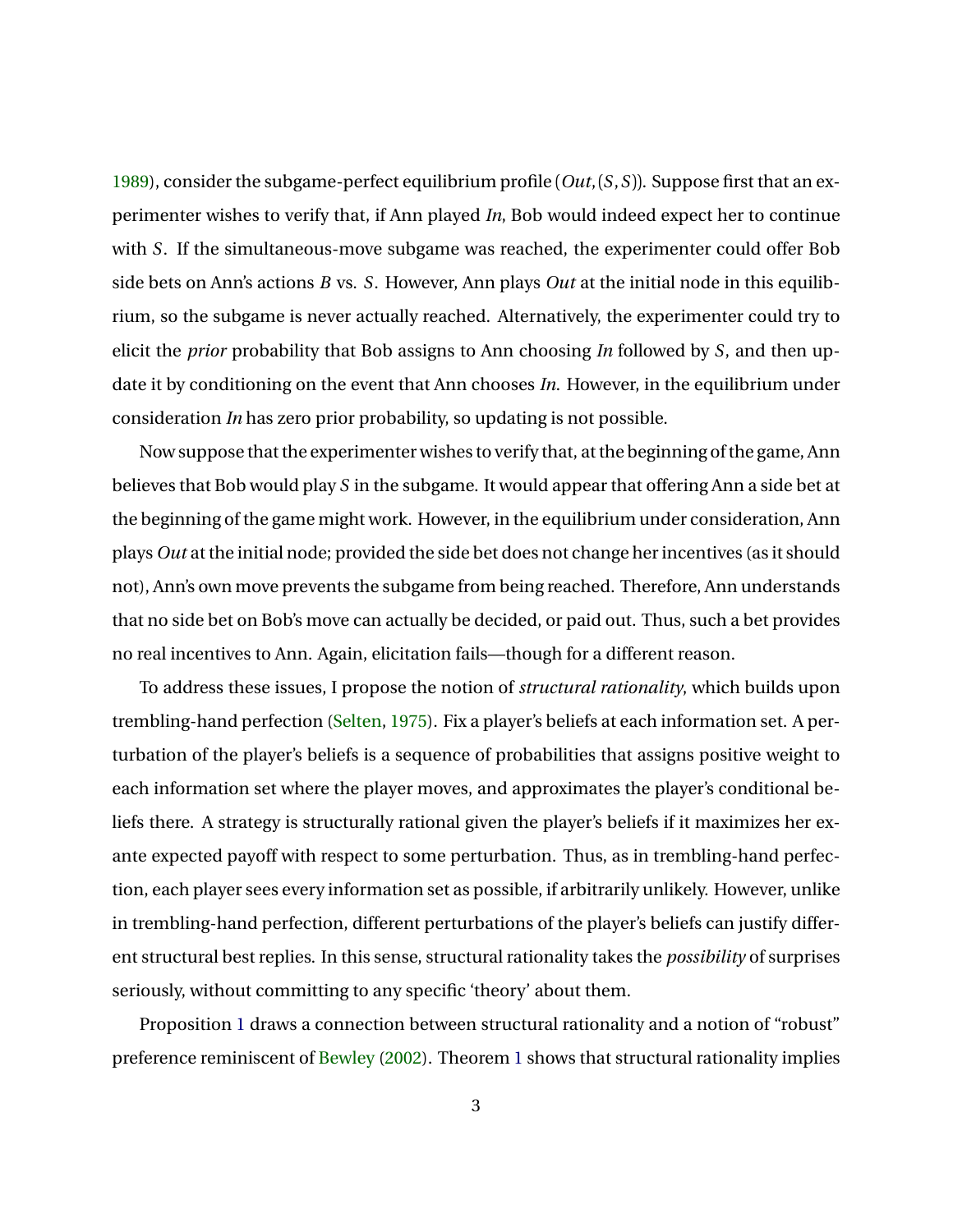[1989\)](#page-44-2), consider the subgame-perfect equilibrium profile (*Out*,(*S*,*S*)). Suppose first that an experimenter wishes to verify that, if Ann played *In*, Bob would indeed expect her to continue with *S*. If the simultaneous-move subgame was reached, the experimenter could offer Bob side bets on Ann's actions *B* vs. *S*. However, Ann plays *Out* at the initial node in this equilibrium, so the subgame is never actually reached. Alternatively, the experimenter could try to elicit the *prior* probability that Bob assigns to Ann choosing *In* followed by *S*, and then update it by conditioning on the event that Ann chooses *In*. However, in the equilibrium under consideration *In* has zero prior probability, so updating is not possible.

Now suppose that the experimenter wishes to verify that, at the beginning of the game, Ann believes that Bob would play *S* in the subgame. It would appear that offering Ann a side bet at the beginning of the game might work. However, in the equilibrium under consideration, Ann plays *Out* at the initial node; provided the side bet does not change her incentives (as it should not), Ann's own move prevents the subgame from being reached. Therefore, Ann understands that no side bet on Bob's move can actually be decided, or paid out. Thus, such a bet provides no real incentives to Ann. Again, elicitation fails—though for a different reason.

To address these issues, I propose the notion of *structural rationality*, which builds upon trembling-hand perfection [\(Selten,](#page-44-3) [1975\)](#page-44-3). Fix a player's beliefs at each information set. A perturbation of the player's beliefs is a sequence of probabilities that assigns positive weight to each information set where the player moves, and approximates the player's conditional beliefs there. A strategy is structurally rational given the player's beliefs if it maximizes her exante expected payoff with respect to some perturbation. Thus, as in trembling-hand perfection, each player sees every information set as possible, if arbitrarily unlikely. However, unlike in trembling-hand perfection, different perturbations of the player's beliefs can justify different structural best replies. In this sense, structural rationality takes the *possibility* of surprises seriously, without committing to any specific 'theory' about them.

Proposition [1](#page-9-0) draws a connection between structural rationality and a notion of "robust" preference reminiscent of [Bewley](#page-42-4) [\(2002\)](#page-42-4). Theorem [1](#page-9-1) shows that structural rationality implies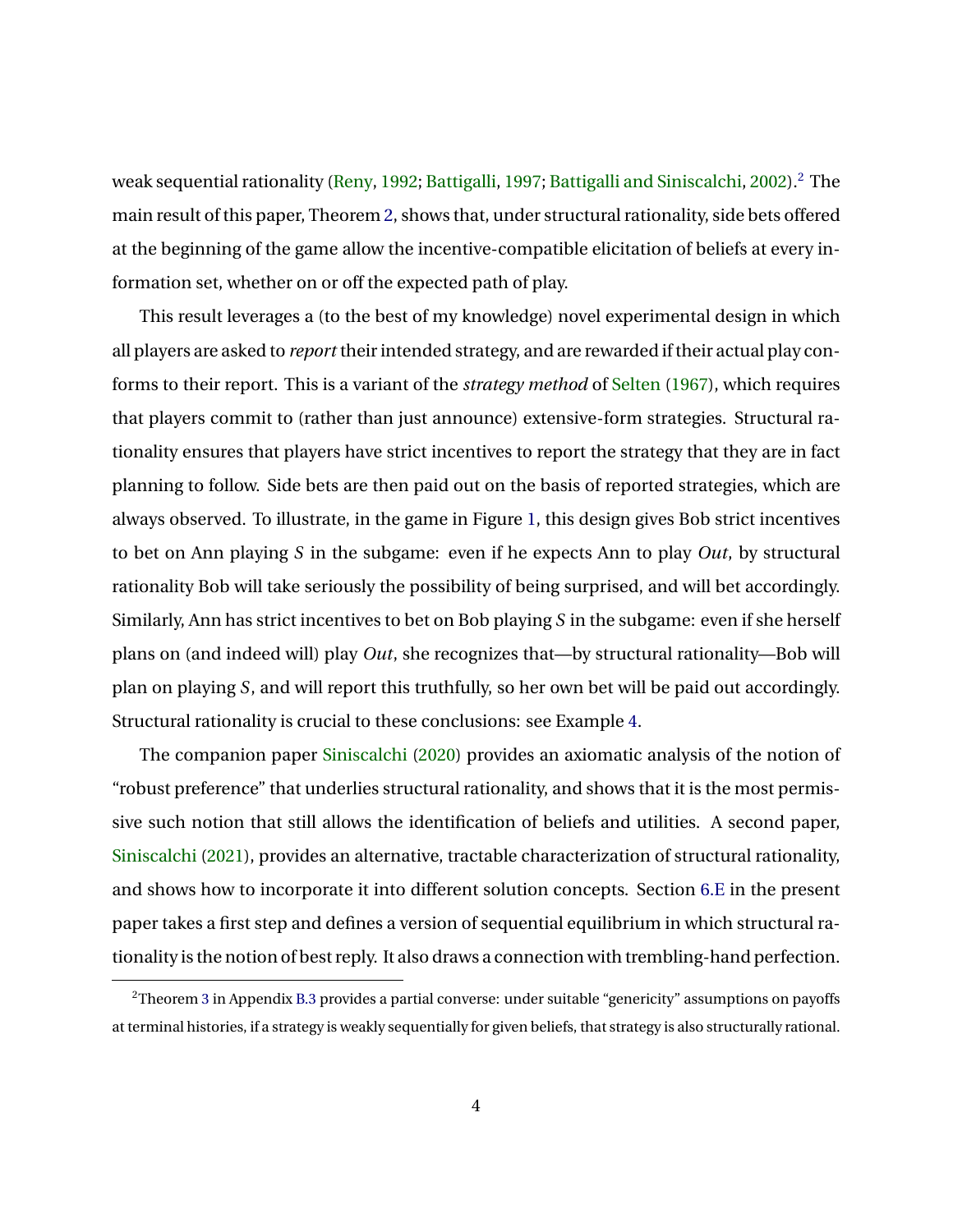weak sequential rationality [\(Reny,](#page-43-0) [1992;](#page-43-0) [Battigalli,](#page-42-5) [1997;](#page-42-5) [Battigalli and Siniscalchi,](#page-42-6) [2002\)](#page-42-6).<sup>[2](#page-3-0)</sup> The main result of this paper, Theorem [2,](#page-15-0) shows that, under structural rationality, side bets offered at the beginning of the game allow the incentive-compatible elicitation of beliefs at every information set, whether on or off the expected path of play.

This result leverages a (to the best of my knowledge) novel experimental design in which all players are asked to *report* their intended strategy, and are rewarded if their actual play conforms to their report. This is a variant of the *strategy method* of [Selten](#page-44-0) [\(1967\)](#page-44-0), which requires that players commit to (rather than just announce) extensive-form strategies. Structural rationality ensures that players have strict incentives to report the strategy that they are in fact planning to follow. Side bets are then paid out on the basis of reported strategies, which are always observed. To illustrate, in the game in Figure [1,](#page-1-1) this design gives Bob strict incentives to bet on Ann playing *S* in the subgame: even if he expects Ann to play *Out*, by structural rationality Bob will take seriously the possibility of being surprised, and will bet accordingly. Similarly, Ann has strict incentives to bet on Bob playing *S* in the subgame: even if she herself plans on (and indeed will) play *Out*, she recognizes that—by structural rationality—Bob will plan on playing *S*, and will report this truthfully, so her own bet will be paid out accordingly. Structural rationality is crucial to these conclusions: see Example [4.](#page-16-0)

The companion paper [Siniscalchi](#page-44-4) [\(2020\)](#page-44-4) provides an axiomatic analysis of the notion of "robust preference" that underlies structural rationality, and shows that it is the most permissive such notion that still allows the identification of beliefs and utilities. A second paper, [Siniscalchi](#page-44-5) [\(2021\)](#page-44-5), provides an alternative, tractable characterization of structural rationality, and shows how to incorporate it into different solution concepts. Section [6.E](#page-19-0) in the present paper takes a first step and defines a version of sequential equilibrium in which structural rationality is the notion of best reply. It also draws a connection with trembling-hand perfection.

<span id="page-3-0"></span><sup>2</sup>Theorem [3](#page-25-0) in Appendix [B.3](#page-25-1) provides a partial converse: under suitable "genericity" assumptions on payoffs at terminal histories, if a strategy is weakly sequentially for given beliefs, that strategy is also structurally rational.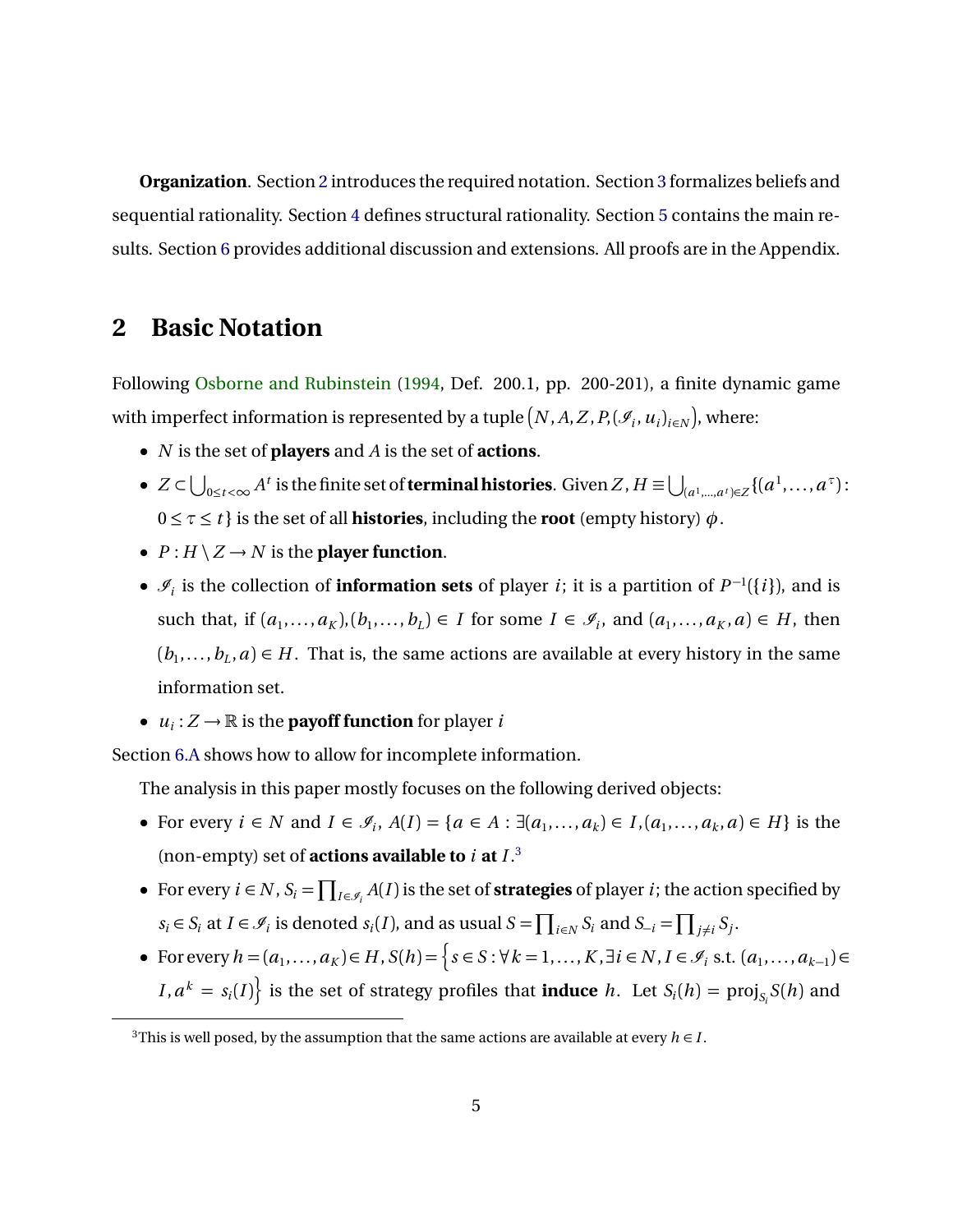**Organization**. Section [2](#page-4-0) introduces the required notation. Section [3](#page-5-0) formalizes beliefs and sequential rationality. Section [4](#page-7-0) defines structural rationality. Section [5](#page-9-2) contains the main results. Section [6](#page-17-0) provides additional discussion and extensions. All proofs are in the Appendix.

#### <span id="page-4-0"></span>**2 Basic Notation**

Following [Osborne and Rubinstein](#page-43-4) [\(1994,](#page-43-4) Def. 200.1, pp. 200-201), a finite dynamic game with imperfect information is represented by a tuple  $(N, A, Z, P, (\mathscr{I}_i, u_i)_{i \in N})$ , where:

- *N* is the set of **players** and *A* is the set of **actions**.
- $Z\subset \bigcup_{0\leq t<\infty} A^t$  is the finite set of **terminal histories**. Given  $Z$  ,  $H\equiv \bigcup_{(a^1,...,a^t)\in Z}\{(a^1,...,a^\tau)\}$  $0 \leq \tau \leq t$  } is the set of all **histories**, including the **root** (empty history)  $\phi$ .
- $P: H \setminus Z \rightarrow N$  is the **player function**.
- $\mathcal{I}_i$  is the collection of **information sets** of player *i*; it is a partition of  $P^{-1}(\{i\})$ , and is such that, if  $(a_1, \ldots, a_K)$ , $(b_1, \ldots, b_L) \in I$  for some  $I \in \mathcal{I}_i$ , and  $(a_1, \ldots, a_K, a) \in H$ , then  $(b_1, \ldots, b_L, a) \in H$ . That is, the same actions are available at every history in the same information set.
- $u_i: Z \to \mathbb{R}$  is the **payoff function** for player *i*

Section [6.A](#page-17-1) shows how to allow for incomplete information.

The analysis in this paper mostly focuses on the following derived objects:

- For every  $i \in N$  and  $I \in \mathcal{I}_i$ ,  $A(I) = \{a \in A : \exists (a_1, ..., a_k) \in I, (a_1, ..., a_k, a) \in H\}$  is the (non-empty) set of **actions available to** *i* **at** *I* . [3](#page-4-1)
- For every  $i \in N$ ,  $S_i = \prod_{I \in \mathscr{I}_i} A(I)$  is the set of **strategies** of player *i*; the action specified by  $s_i \in S_i$  at  $I \in \mathcal{I}_i$  is denoted  $s_i(I)$ , and as usual  $S = \prod_{i \in N} S_i$  and  $S_{-i} = \prod_{j \neq i} S_j$ .
- For every  $h = (a_1, \ldots, a_K) \in H$ ,  $S(h) = \left\{ s \in S : \forall k = 1, \ldots, K, \exists i \in N, I \in \mathcal{I}_i \text{ s.t. } (a_1, \ldots, a_{k-1}) \in H \right\}$  $I, a^k = s_i(I)$ } is the set of strategy profiles that **induce** *h*. Let  $S_i(h) = \text{proj}_{S_i} S(h)$  and

<span id="page-4-1"></span><sup>&</sup>lt;sup>3</sup>This is well posed, by the assumption that the same actions are available at every  $h \in I$ .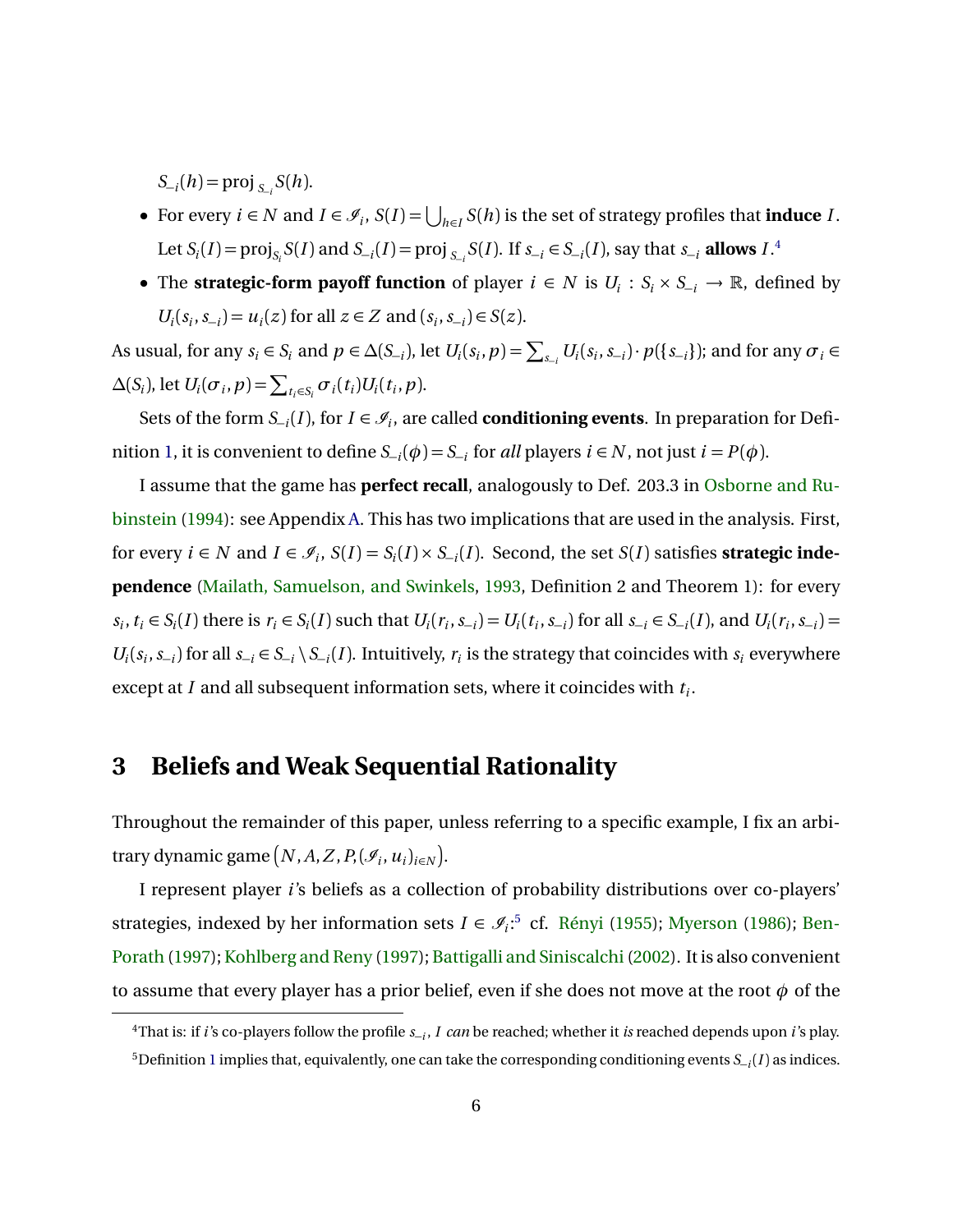$S_{-i}(h) = \text{proj}_{S_{-i}} S(h)$ .

- For every  $i \in N$  and  $I \in \mathcal{I}_i$ ,  $S(I) = \bigcup_{h \in I} S(h)$  is the set of strategy profiles that **induce** *I*. Let  $S_i(I) = \text{proj}_{S_i} S(I)$  and  $S_{-i}(I) = \text{proj}_{S_{-i}} S(I)$ . If  $S_{-i} \in S_{-i}(I)$ , say that  $S_{-i}$  **allows**  $I$ .<sup>[4](#page-5-1)</sup>
- The **strategic-form payoff function** of player  $i \in N$  is  $U_i : S_i \times S_{-i} \to \mathbb{R}$ , defined by *U*<sub>*i*</sub>( $s_i$ ,  $s_{-i}$ ) = *u*<sub>*i*</sub>(*z*) for all *z* ∈ *Z* and ( $s_i$ ,  $s_{-i}$ ) ∈ *S*(*z*).

As usual, for any  $s_i \in S_i$  and  $p \in \Delta(S_{-i})$ , let  $U_i(s_i, p) = \sum_{s_{-i}} U_i(s_i, s_{-i}) \cdot p(\{s_{-i}\})$ ; and for any  $\sigma_i \in$  $\Delta(S_i)$ , let  $U_i(\sigma_i, p) = \sum_{t_i \in S_i} \sigma_i(t_i) U_i(t_i, p)$ .

Sets of the form  $S_{-i}(I)$ , for  $I \in \mathcal{I}_i$ , are called **conditioning events**. In preparation for Defi-nition [1,](#page-6-0) it is convenient to define  $S_{-i}(\phi) = S_{-i}$  for *all* players  $i \in N$ , not just  $i = P(\phi)$ .

I assume that the game has **perfect recall**, analogously to Def. 203.3 in [Osborne and Ru](#page-43-4)[binstein](#page-43-4) [\(1994\)](#page-43-4): see Appendix [A.](#page-20-0) This has two implications that are used in the analysis. First, for every  $i \in N$  and  $I \in \mathcal{I}_i$ ,  $S(I) = S_i(I) \times S_{-i}(I)$ . Second, the set  $S(I)$  satisfies **strategic independence** [\(Mailath, Samuelson, and Swinkels,](#page-43-5) [1993,](#page-43-5) Definition 2 and Theorem 1): for every  $s_i, t_i \in S_i(I)$  there is  $r_i \in S_i(I)$  such that  $U_i(r_i, s_{-i}) = U_i(t_i, s_{-i})$  for all  $s_{-i} \in S_{-i}(I)$ , and  $U_i(r_i, s_{-i}) =$  $U_i(s_i, s_{-i})$  for all  $s_{-i} \in S_{-i} \setminus S_{-i}(I)$ . Intuitively,  $r_i$  is the strategy that coincides with  $s_i$  everywhere except at *I* and all subsequent information sets, where it coincides with *t<sup>i</sup>* .

## <span id="page-5-0"></span>**3 Beliefs and Weak Sequential Rationality**

Throughout the remainder of this paper, unless referring to a specific example, I fix an arbitrary dynamic game  $\left(N, A, Z, P, (\mathscr{I}_i, u_i)_{i \in N}\right)$ .

I represent player *i*'s beliefs as a collection of probability distributions over co-players' strategies, indexed by her information sets  $I \in \mathcal{I}_i$ <sup>[5](#page-5-2)</sup> cf. [Rényi](#page-43-6) [\(1955\)](#page-43-6); [Myerson](#page-43-7) [\(1986\)](#page-43-7); [Ben-](#page-42-7)[Porath](#page-42-7) [\(1997\)](#page-42-7); [Kohlberg and Reny](#page-43-8) [\(1997\)](#page-43-8); [Battigalli and Siniscalchi\(2002\)](#page-42-6). It is also convenient to assume that every player has a prior belief, even if she does not move at the root  $\phi$  of the

<span id="page-5-2"></span><span id="page-5-1"></span><sup>4</sup>That is: if *i*'s co-players follow the profile *s*<sup>−</sup>*<sup>i</sup>* , *I can* be reached; whether it *is* reached depends upon *i*'s play. <sup>5</sup>Definition [1](#page-6-0) implies that, equivalently, one can take the corresponding conditioning events *S*<sup>−</sup>*<sup>i</sup>* (*I* ) as indices.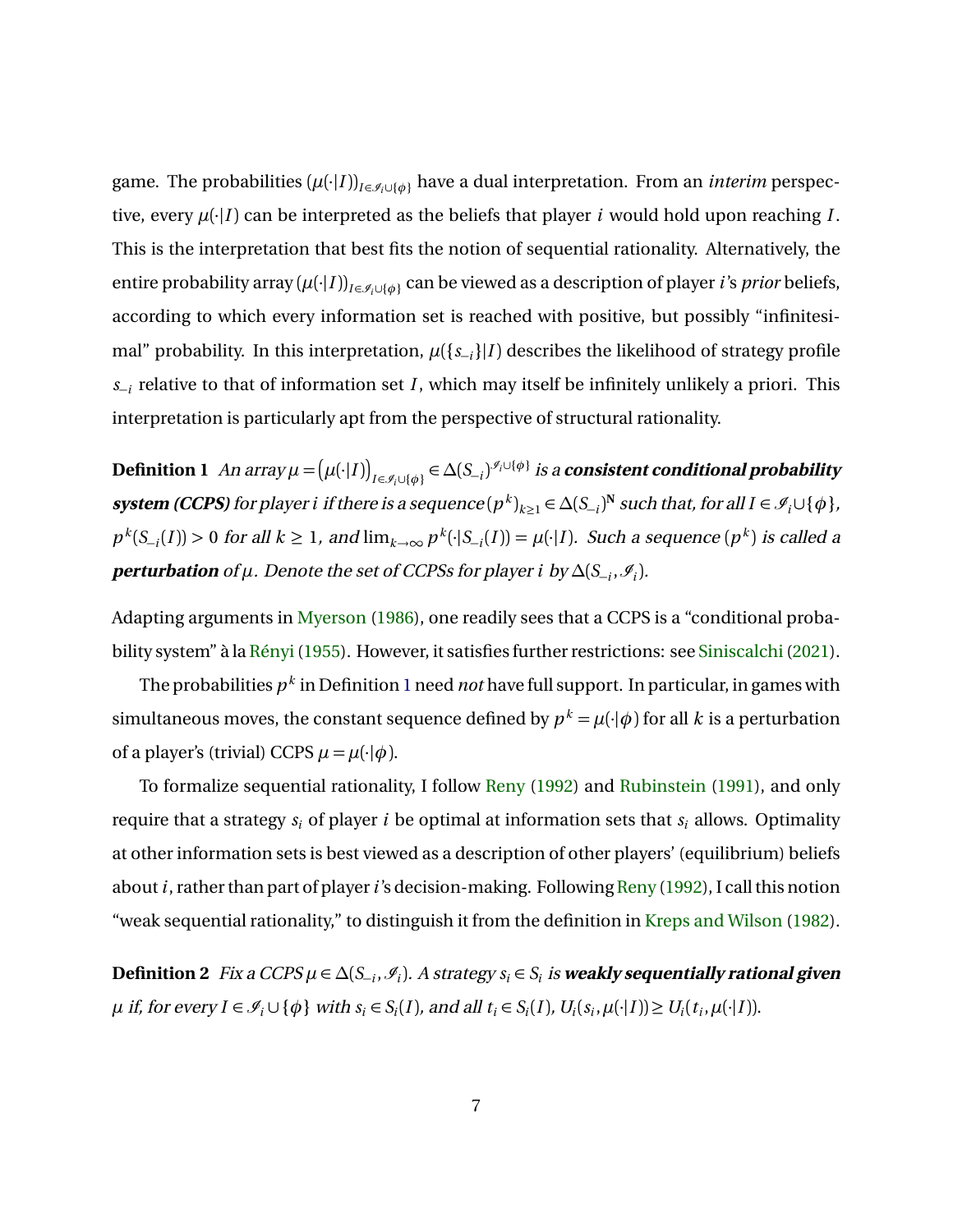game. The probabilities  $(\mu(\cdot|I))_{I \in \mathcal{I} \cup \{\phi\}}$  have a dual interpretation. From an *interim* perspective, every  $\mu(\cdot|I)$  can be interpreted as the beliefs that player *i* would hold upon reaching *I*. This is the interpretation that best fits the notion of sequential rationality. Alternatively, the entire probability array  $(\mu(\cdot|I))_{I \in \mathcal{I} \cup \{\phi\}}$  can be viewed as a description of player *i*'s *prior* beliefs, according to which every information set is reached with positive, but possibly "infinitesimal" probability. In this interpretation,  $\mu({s_{-i}}|I)$  describes the likelihood of strategy profile *s*−*i* relative to that of information set *I* , which may itself be infinitely unlikely a priori. This interpretation is particularly apt from the perspective of structural rationality.

<span id="page-6-0"></span> $\bf{Definition \ 1}$   $An \ array \mu = \Bigr(\mu(\cdot|I)\bigr)_{I \in {\mathscr I}_i \cup \{\phi\}} \in \Delta(S_{-i})^{{\mathscr I}_i \cup \{\phi\}} \ is \ a \ consistent \ conditional \ probability$  $s$ ystem (CCPS) for player  $i$  if there is a sequence  $(p^k)_{k\geq 1} \in \Delta(S_{-i})^N$  such that, for all  $I \in \mathscr{I}_i \cup \{\phi\}$ ,  $p^k(S_{-i}(I)) > 0$  for all  $k \ge 1$ , and  $\lim_{k \to \infty} p^k(\cdot | S_{-i}(I)) = \mu(\cdot | I)$ . Such a sequence  $(p^k)$  is called a  $\textbf{perturbation of }\mu.$  Denote the set of CCPSs for player *i* by  $\Delta(\mathcal{S}_{-i}, \mathcal{I}_i).$ 

Adapting arguments in [Myerson](#page-43-7) [\(1986\)](#page-43-7), one readily sees that a CCPS is a "conditional probability system" à la [Rényi\(1955\)](#page-43-6). However, it satisfies further restrictions: see [Siniscalchi\(2021\)](#page-44-5).

The probabilities *p k* in Definition [1](#page-6-0) need *not* have full support. In particular, in games with simultaneous moves, the constant sequence defined by  $p^k = \mu(\cdot|\phi)$  for all  $k$  is a perturbation of a player's (trivial) CCPS  $\mu = \mu(\cdot | \phi)$ .

To formalize sequential rationality, I follow [Reny](#page-43-0) [\(1992\)](#page-43-0) and [Rubinstein](#page-44-6) [\(1991\)](#page-44-6), and only require that a strategy *s<sup>i</sup>* of player *i* be optimal at information sets that *s<sup>i</sup>* allows. Optimality at other information sets is best viewed as a description of other players' (equilibrium) beliefs about *i*, rather than part of player *i*'s decision-making. Following [Reny](#page-43-0) [\(1992\)](#page-43-0), I call this notion "weak sequential rationality," to distinguish it from the definition in [Kreps and Wilson](#page-43-9) [\(1982\)](#page-43-9).

<span id="page-6-1"></span> $\bf{Definition 2}$  Fix a CCPS  $\mu$  ∈  $\Delta(S_{-i}, \mathscr{I}_i)$ . A strategy  $s_i$  ∈  $S_i$  is weakly sequentially rational given  $\mu$  if, for every  $I \in \mathcal{I}_i \cup \{\phi\}$  with  $s_i \in S_i(I)$ , and all  $t_i \in S_i(I)$ ,  $U_i(s_i, \mu(\cdot | I)) \ge U_i(t_i, \mu(\cdot | I))$ .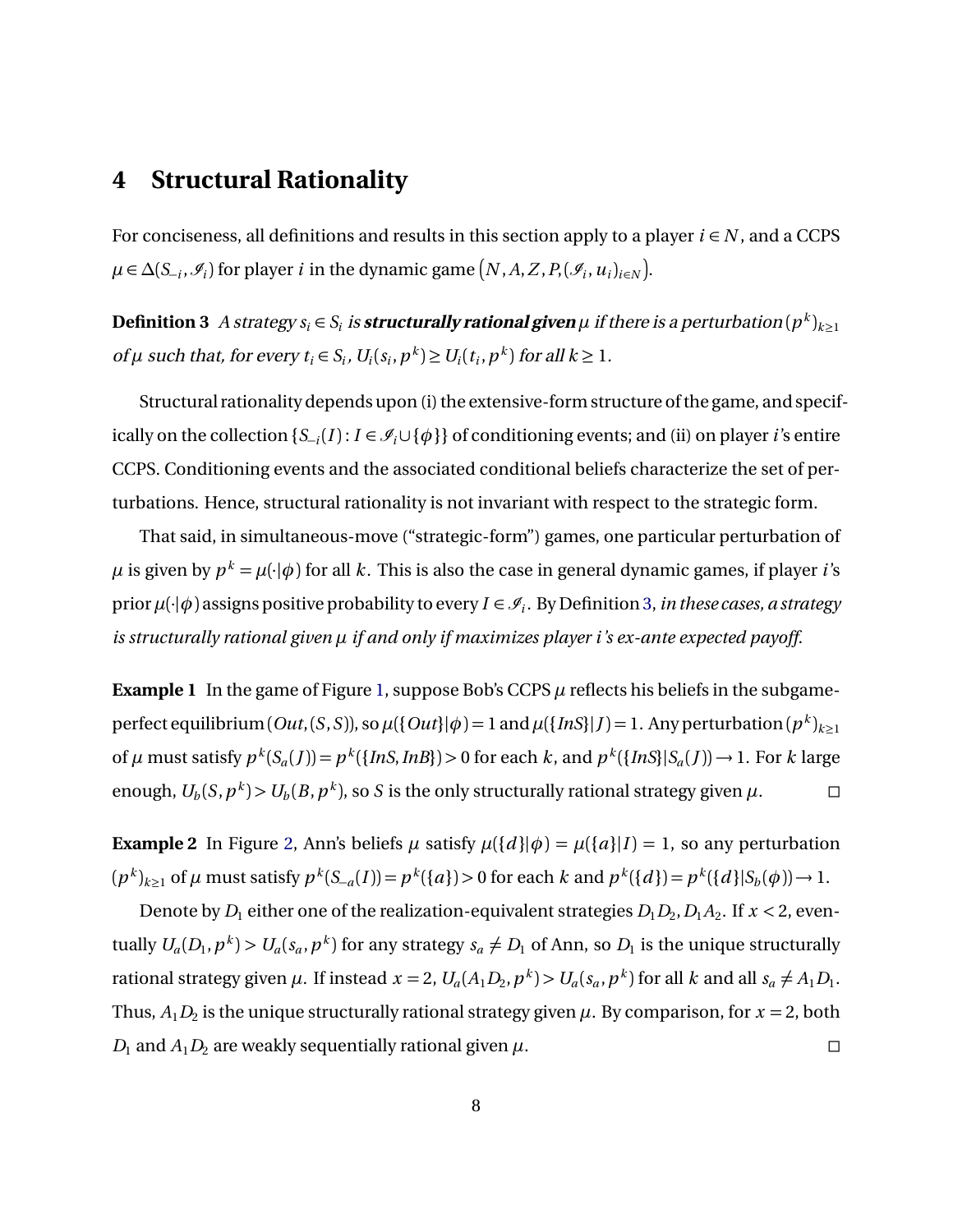### <span id="page-7-0"></span>**4 Structural Rationality**

For conciseness, all definitions and results in this section apply to a player  $i \in N$ , and a CCPS *µ* ∈ *∆*(*S*<sub>−*i*</sub></sub>,  $\mathscr{I}_i$ ) for player *i* in the dynamic game  $(N, A, Z, P, (\mathscr{I}_i, u_i)_{i \in N})$ .

<span id="page-7-1"></span>Definition 3  $\ A$  strategy  $s_i \in S_i$  is **structurally rational given**  $\mu$  if there is a perturbation  $(p^k)_{k\geq 1}$ of  $\mu$  such that, for every  $t_i \in S_i$ ,  $U_i(s_i, p^k) \ge U_i(t_i, p^k)$  for all  $k \ge 1$ .

Structural rationality depends upon (i) the extensive-form structure of the game, and specifically on the collection  $\{S_{-i}(I): I \in \mathcal{I}_i \cup \{\phi\}\}\$  of conditioning events; and (ii) on player *i*'s entire CCPS. Conditioning events and the associated conditional beliefs characterize the set of perturbations. Hence, structural rationality is not invariant with respect to the strategic form.

That said, in simultaneous-move ("strategic-form") games, one particular perturbation of  $\mu$  is given by  $p^k = \mu(\cdot|\phi)$  for all  $k$ . This is also the case in general dynamic games, if player *i*'s prior  $\mu(\cdot|\phi)$  assigns positive probability to every  $I \in \mathscr{I}_i$ . By Definition [3,](#page-7-1) *in these cases, a strategy is structurally rational given µ if and only if maximizes player i 's ex-ante expected payoff*.

**Example 1** In the game of Figure [1,](#page-1-1) suppose Bob's CCPS  $\mu$  reflects his beliefs in the subgameperfect equilibrium (*Out*,(*S*, *S*)), so  $\mu$ {{*Out*}| $\phi$ ) = 1 and  $\mu$ {{*InS*}|*J*) = 1. Any perturbation( $p^k)_{k\geq 1}$ of  $\mu$  must satisfy  $p^k(S_a(J)) = p^k(\{InS, InB\}) > 0$  for each k, and  $p^k(\{InS\}|S_a(J)) \to 1$ . For k large enough,  $U_b(S, p^k) > U_b(B, p^k)$ , so *S* is the only structurally rational strategy given  $\mu$ .

**Example 2** In Figure [2,](#page-8-0) Ann's beliefs  $\mu$  satisfy  $\mu({d}|\phi) = \mu({a} | I) = 1$ , so any perturbation  $(p^k)_{k\geq 1}$  of  $\mu$  must satisfy  $p^k(S_{-a}(I)) = p^k(\lbrace a \rbrace) > 0$  for each  $k$  and  $p^k(\lbrace d \rbrace) = p^k(\lbrace d \rbrace | S_b(\phi)) \rightarrow 1$ .

Denote by  $D_1$  either one of the realization-equivalent strategies  $D_1D_2$ ,  $D_1A_2$ . If  $x < 2$ , eventually  $U_a(D_1, p^k) > U_a(s_a, p^k)$  for any strategy  $s_a \neq D_1$  of Ann, so  $D_1$  is the unique structurally rational strategy given  $\mu$ . If instead  $x = 2$ ,  $U_a(A_1D_2, p^k) > U_a(s_a, p^k)$  for all k and all  $s_a \neq A_1D_1$ . Thus,  $A_1D_2$  is the unique structurally rational strategy given  $\mu$ . By comparison, for  $x=2$ , both *D*<sub>1</sub> and *A*<sub>1</sub>*D*<sub>2</sub> are weakly sequentially rational given  $\mu$ .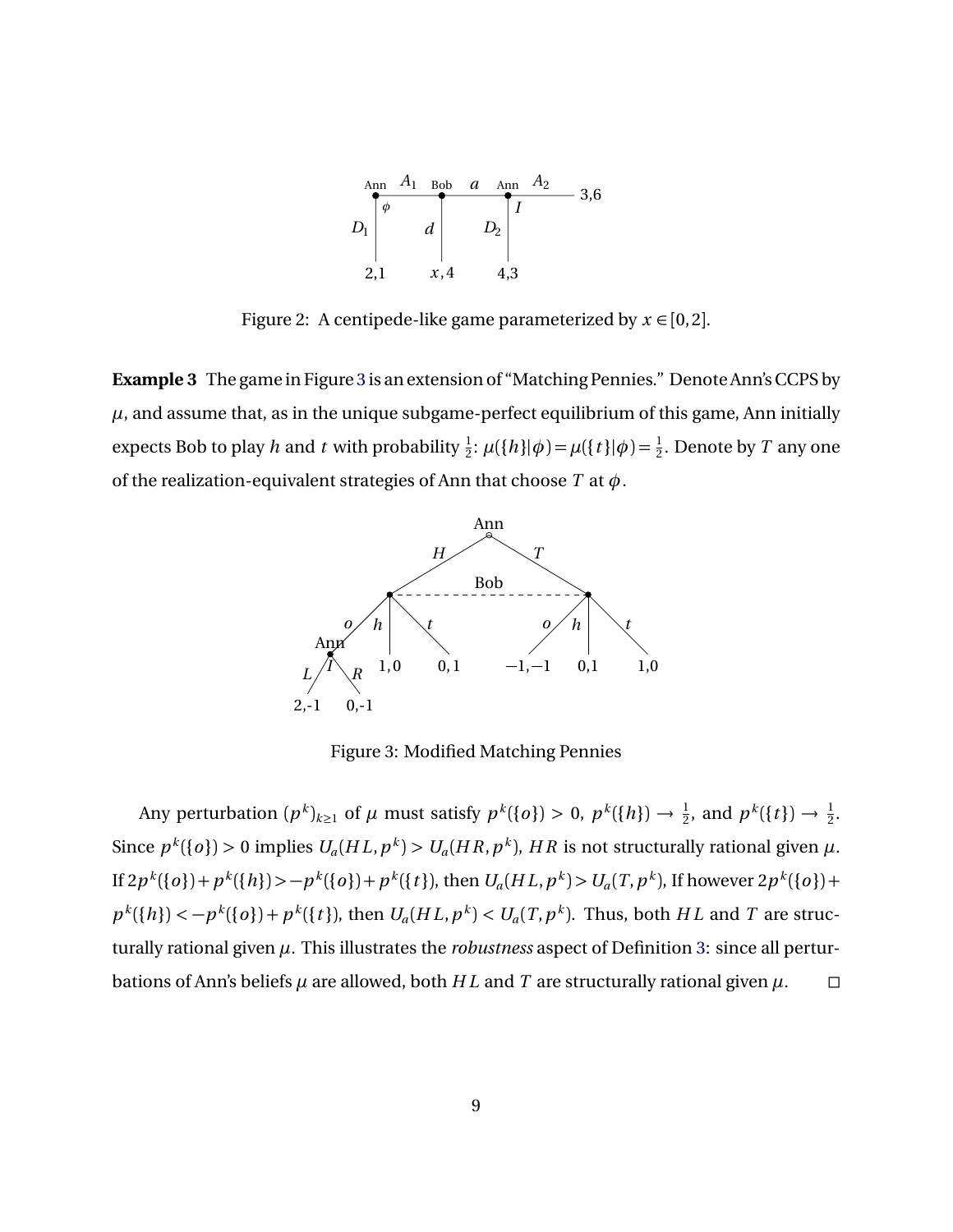

<span id="page-8-0"></span>Figure 2: A centipede-like game parameterized by  $x \in [0,2]$ .

<span id="page-8-1"></span>**Example 3** The game in Figure [3](#page-8-1) is an extension of "Matching Pennies." Denote Ann's CCPS by  $\mu$ , and assume that, as in the unique subgame-perfect equilibrium of this game, Ann initially expects Bob to play *h* and *t* with probability  $\frac{1}{2}$ :  $\mu({h}|\phi) = \mu({t}|\phi) = \frac{1}{2}$ . Denote by *T* any one of the realization-equivalent strategies of Ann that choose *T* at *φ*.



Figure 3: Modified Matching Pennies

Any perturbation  $(p^k)_{k\geq 1}$  of  $\mu$  must satisfy  $p^k({o}) > 0$ ,  $p^k({h}) \to \frac{1}{2}$ , and  $p^k({t}) \to \frac{1}{2}$ . Since  $p^k(\lbrace o \rbrace) > 0$  implies  $U_a(HL, p^k) > U_a(HR, p^k)$ , HR is not structurally rational given  $\mu$ . If  $2p^k(\{o\})+p^k(\{h\})> -p^k(\{o\})+p^k(\{t\}),$  then  $U_a(HL,p^k) > U_a(T,p^k)$ , If however  $2p^k(\{o\})+$  $p^k({h}) < -p^k({o}) + p^k({t})$ , then  $U_a(HL, p^k) < U_a(T, p^k)$ . Thus, both HL and T are structurally rational given *µ*. This illustrates the *robustness* aspect of Definition [3:](#page-7-1) since all perturbations of Ann's beliefs  $\mu$  are allowed, both  $HL$  and  $T$  are structurally rational given  $\mu$ .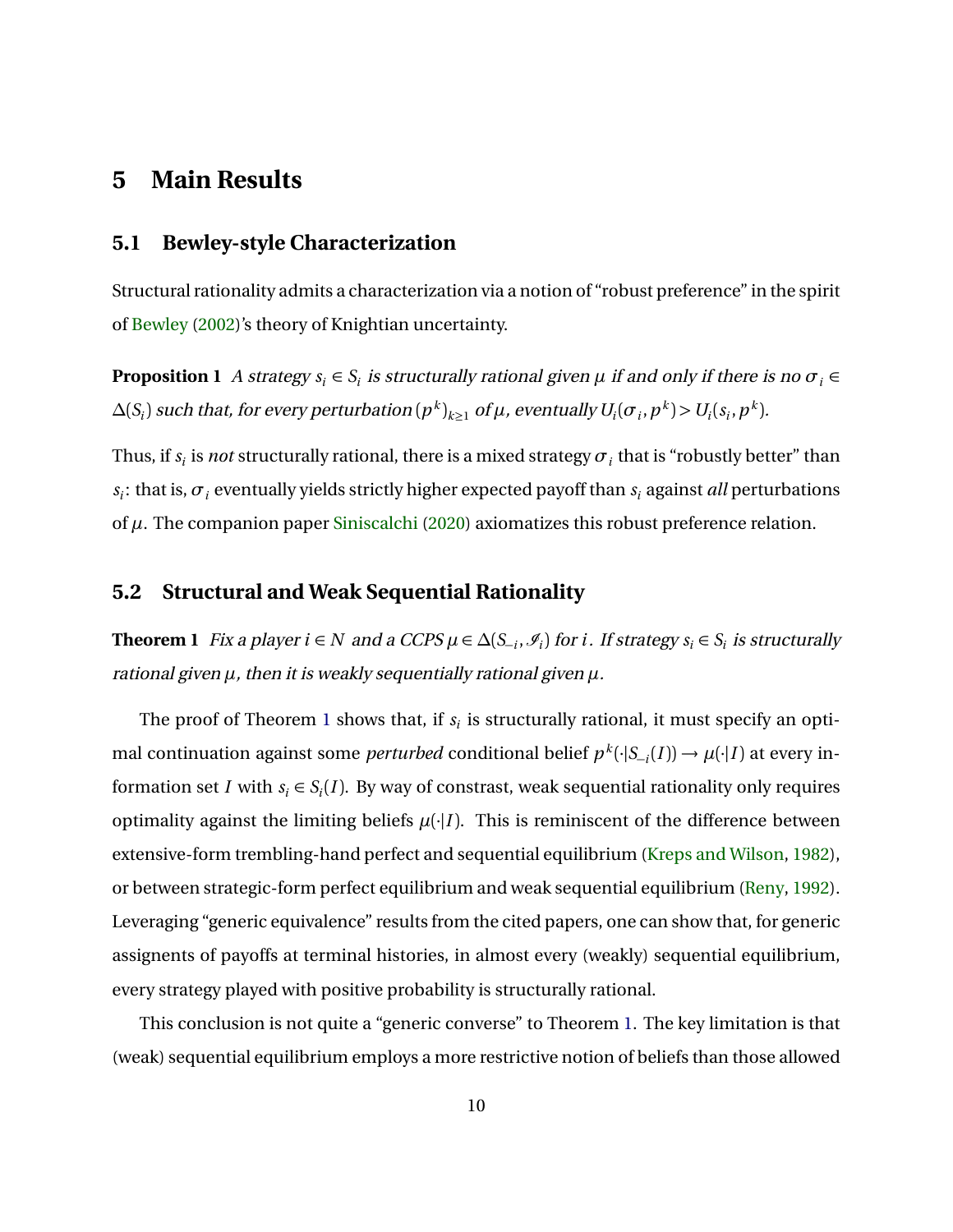### <span id="page-9-2"></span>**5 Main Results**

#### **5.1 Bewley-style Characterization**

<span id="page-9-0"></span>Structural rationality admits a characterization via a notion of "robust preference" in the spirit of [Bewley](#page-42-4) [\(2002\)](#page-42-4)'s theory of Knightian uncertainty.

**Proposition 1** A strategy  $s_i \in S_i$  is structurally rational given  $\mu$  if and only if there is no  $\sigma_i \in$  $\Delta(S_i)$  such that, for every perturbation  $(p^k)_{k\geq 1}$  of  $\mu$ , eventually  $U_i(\sigma_i,p^k)$   $>$   $U_i(s_i,p^k).$ 

Thus, if  $s_i$  is *not* structurally rational, there is a mixed strategy  $\sigma_i$  that is "robustly better" than  $s_i$ : that is,  $\sigma_i$  eventually yields strictly higher expected payoff than  $s_i$  against *all* perturbations of *µ*. The companion paper [Siniscalchi](#page-44-4) [\(2020\)](#page-44-4) axiomatizes this robust preference relation.

#### <span id="page-9-3"></span>**5.2 Structural and Weak Sequential Rationality**

<span id="page-9-1"></span>**Theorem 1** Fix a player  $i \in N$  and a CCPS  $\mu \in \Delta(S_{-i}, \mathcal{I}_i)$  for  $i$ . If strategy  $s_i \in S_i$  is structurally rational given *µ*, then it is weakly sequentially rational given *µ*.

The proof of Theorem [1](#page-9-1) shows that, if  $s_i$  is structurally rational, it must specify an optimal continuation against some *perturbed* conditional belief  $p^k(\cdot|S_{-i}(I)) \to \mu(\cdot|I)$  at every information set *I* with  $s_i \in S_i(I)$ . By way of constrast, weak sequential rationality only requires optimality against the limiting beliefs  $\mu(\cdot|I)$ . This is reminiscent of the difference between extensive-form trembling-hand perfect and sequential equilibrium [\(Kreps and Wilson,](#page-43-9) [1982\)](#page-43-9), or between strategic-form perfect equilibrium and weak sequential equilibrium [\(Reny,](#page-43-0) [1992\)](#page-43-0). Leveraging "generic equivalence" results from the cited papers, one can show that, for generic assignents of payoffs at terminal histories, in almost every (weakly) sequential equilibrium, every strategy played with positive probability is structurally rational.

This conclusion is not quite a "generic converse" to Theorem [1.](#page-9-1) The key limitation is that (weak) sequential equilibrium employs a more restrictive notion of beliefs than those allowed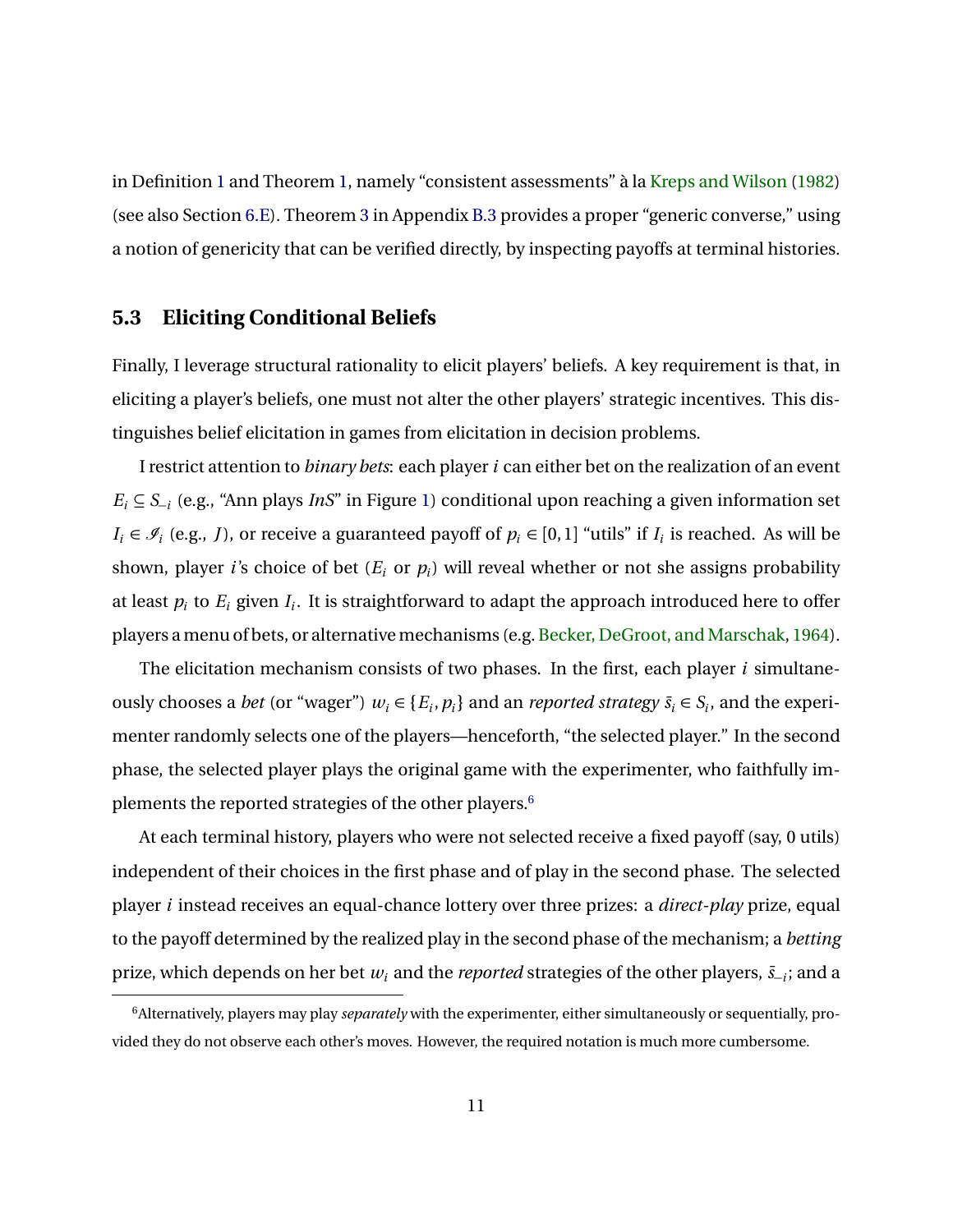in Definition [1](#page-6-0) and Theorem [1,](#page-9-1) namely "consistent assessments" à la [Kreps and Wilson](#page-43-9) [\(1982\)](#page-43-9) (see also Section [6.E\)](#page-19-0). Theorem [3](#page-25-0) in Appendix [B.3](#page-25-1) provides a proper "generic converse," using a notion of genericity that can be verified directly, by inspecting payoffs at terminal histories.

#### <span id="page-10-1"></span>**5.3 Eliciting Conditional Beliefs**

Finally, I leverage structural rationality to elicit players' beliefs. A key requirement is that, in eliciting a player's beliefs, one must not alter the other players' strategic incentives. This distinguishes belief elicitation in games from elicitation in decision problems.

I restrict attention to *binary bets*: each player*i* can either bet on the realization of an event *E<sup>i</sup>* ⊆ *S*<sup>−</sup>*<sup>i</sup>* (e.g., "Ann plays *InS*" in Figure [1\)](#page-1-1) conditional upon reaching a given information set  $I_i \in \mathcal{I}_i$  (e.g., *J*), or receive a guaranteed payoff of  $p_i \in [0,1]$  "utils" if  $I_i$  is reached. As will be shown, player *i*'s choice of bet (*E<sup>i</sup>* or *p<sup>i</sup>* ) will reveal whether or not she assigns probability at least  $p_i$  to  $E_i$  given  $I_i.$  It is straightforward to adapt the approach introduced here to offer players a menu of bets, or alternative mechanisms (e.g. Becker, DeGroot, and Marschak, [1964\)](#page-42-8).

The elicitation mechanism consists of two phases. In the first, each player *i* simultaneously chooses a *bet* (or "wager")  $w_i \in \{E_i, p_i\}$  and an *reported strategy*  $\bar{s}_i \in S_i$ , and the experimenter randomly selects one of the players—henceforth, "the selected player." In the second phase, the selected player plays the original game with the experimenter, who faithfully implements the reported strategies of the other players.[6](#page-10-0)

At each terminal history, players who were not selected receive a fixed payoff (say, 0 utils) independent of their choices in the first phase and of play in the second phase. The selected player *i* instead receives an equal-chance lottery over three prizes: a *direct-play* prize, equal to the payoff determined by the realized play in the second phase of the mechanism; a *betting* prize, which depends on her bet  $w_i$  and the *reported* strategies of the other players,  $\bar{s}_{-i}$ ; and a

<span id="page-10-0"></span><sup>6</sup>Alternatively, players may play *separately* with the experimenter, either simultaneously or sequentially, provided they do not observe each other's moves. However, the required notation is much more cumbersome.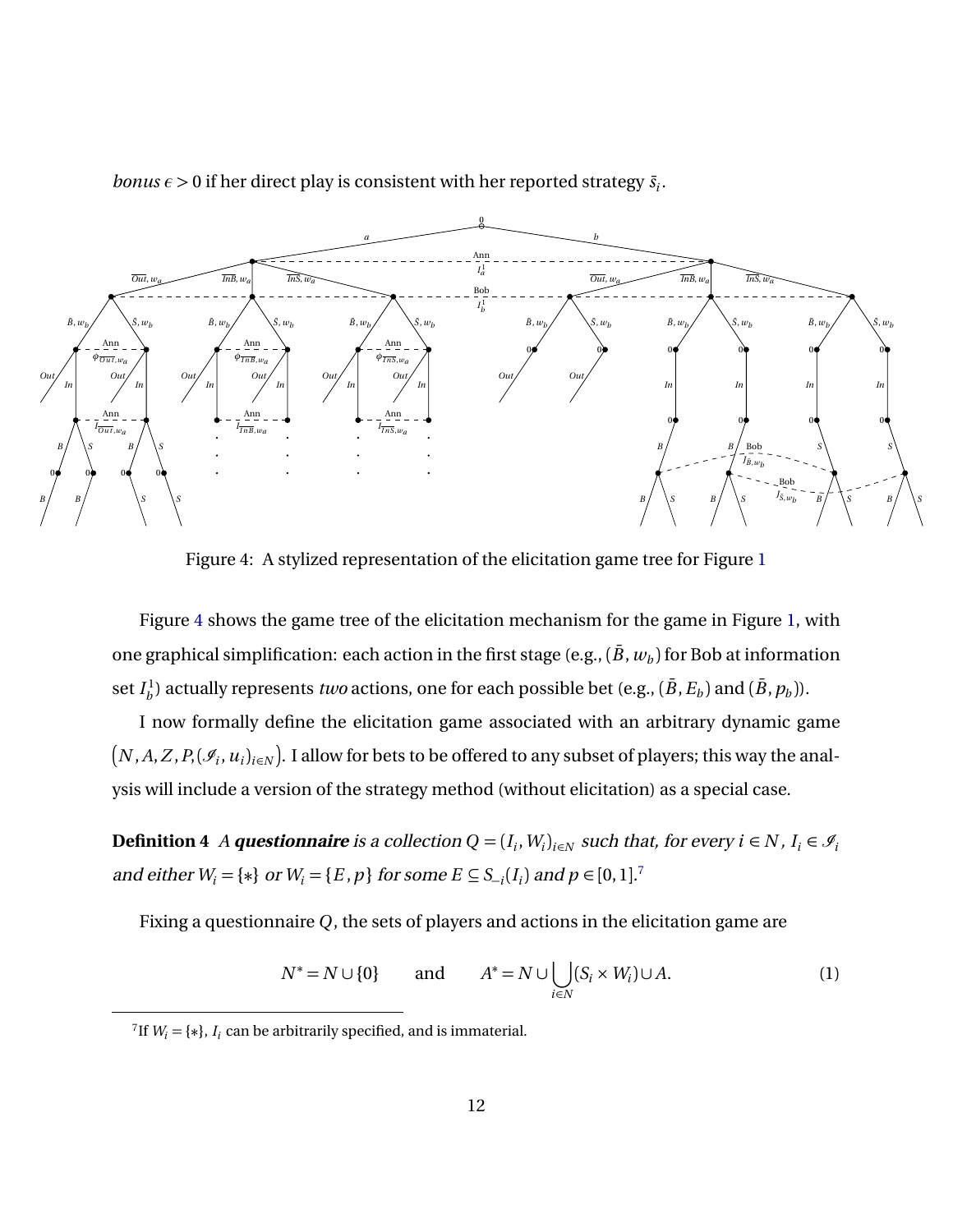

<span id="page-11-0"></span>*bonus*  $\epsilon > 0$  if her direct play is consistent with her reported strategy  $\bar{s}_i$ .

Figure 4: A stylized representation of the elicitation game tree for Figure [1](#page-1-1)

Figure [4](#page-11-0) shows the game tree of the elicitation mechanism for the game in Figure [1,](#page-1-1) with one graphical simplification: each action in the first stage (e.g.,  $(\bar{B}, w_b)$  for Bob at information set  $I_h^1$  $b^1_b$ ) actually represents *two* actions, one for each possible bet (e.g.,  $(\bar{B}, E_b)$  and  $(\bar{B}, p_b)$ ).

I now formally define the elicitation game associated with an arbitrary dynamic game  $\big(N,A,Z,P,({\mathscr I}_i,u_i)_{i\in N}\big)$ . I allow for bets to be offered to any subset of players; this way the analysis will include a version of the strategy method (without elicitation) as a special case.

**Definition 4** A **questionnaire** is a collection  $Q = (I_i, W_i)_{i \in N}$  such that, for every  $i \in N$ ,  $I_i \in \mathcal{I}_i$ and either  $W_i = \{ * \}$  or  $W_i = \{ E, p \}$  for some  $E \subseteq S_{-i}(I_i)$  and  $p \in [0, 1]$ .<sup>[7](#page-11-1)</sup>

Fixing a questionnaire *Q*, the sets of players and actions in the elicitation game are

<span id="page-11-3"></span><span id="page-11-2"></span>
$$
N^* = N \cup \{0\} \qquad \text{and} \qquad A^* = N \cup \bigcup_{i \in N} (S_i \times W_i) \cup A. \tag{1}
$$

<span id="page-11-1"></span><sup>&</sup>lt;sup>7</sup>If  $W_i = \{*\}, I_i$  can be arbitrarily specified, and is immaterial.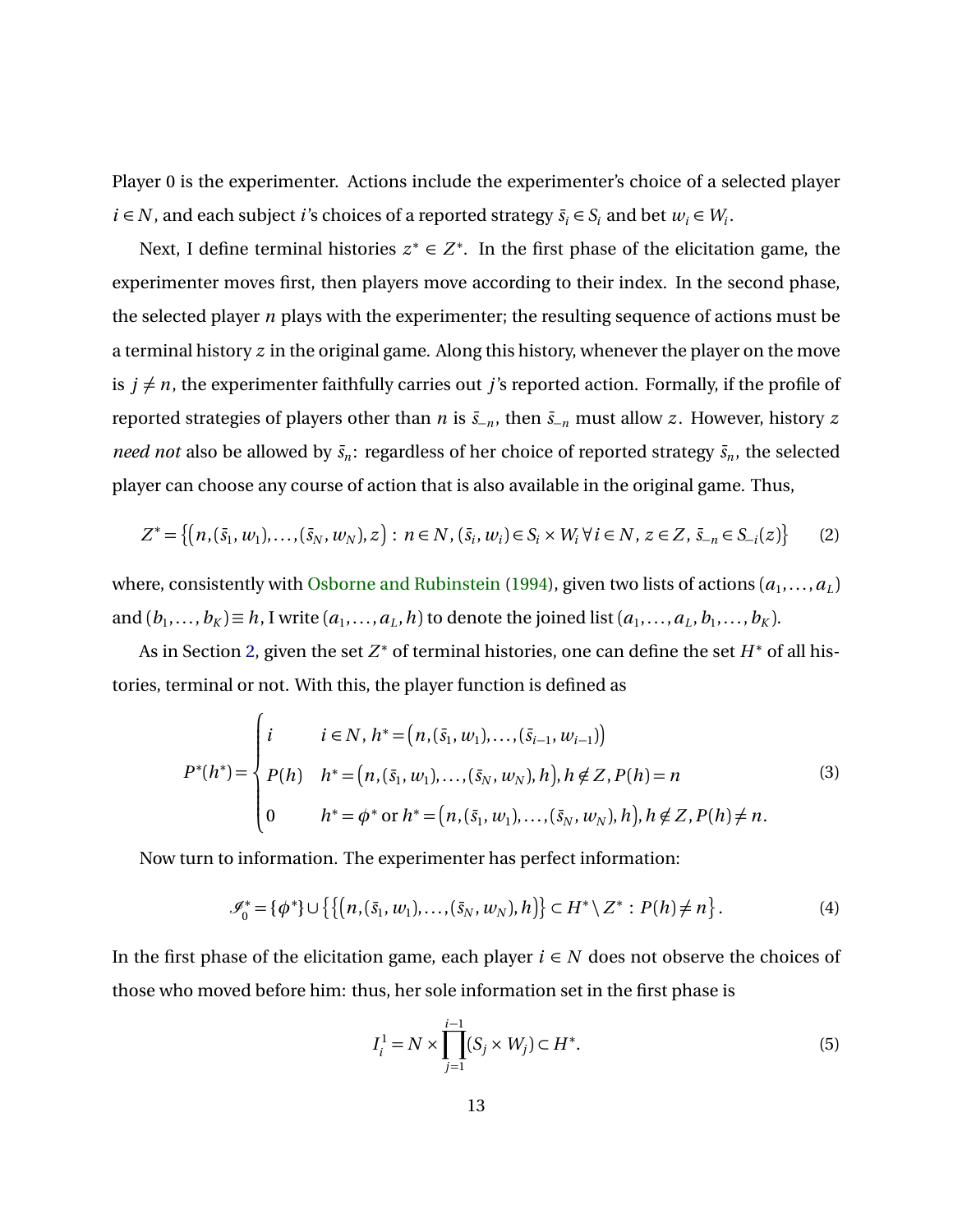Player 0 is the experimenter. Actions include the experimenter's choice of a selected player  $i \in N$ , and each subject *i*'s choices of a reported strategy  $\bar{s}_i \in S_i$  and bet  $w_i \in W_i$ .

Next, I define terminal histories  $z^* \in Z^*$ . In the first phase of the elicitation game, the experimenter moves first, then players move according to their index. In the second phase, the selected player *n* plays with the experimenter; the resulting sequence of actions must be a terminal history *z* in the original game. Along this history, whenever the player on the move is  $j \neq n$ , the experimenter faithfully carries out *j*'s reported action. Formally, if the profile of reported strategies of players other than *n* is  $\bar{s}_{-n}$ , then  $\bar{s}_{-n}$  must allow *z*. However, history *z need not* also be allowed by  $\bar{s}_n$ : regardless of her choice of reported strategy  $\bar{s}_n$ , the selected player can choose any course of action that is also available in the original game. Thus,

$$
Z^* = \{ (n, (\bar{s}_1, w_1), \dots, (\bar{s}_N, w_N), z) : n \in N, (\bar{s}_i, w_i) \in S_i \times W_i \ \forall \ i \in N, z \in Z, \ \bar{s}_{-n} \in S_{-i}(z) \}
$$
(2)

where, consistently with [Osborne and Rubinstein](#page-43-4) [\(1994\)](#page-43-4), given two lists of actions  $(a_1, \ldots, a_L)$ and  $(b_1, \ldots, b_K) \equiv h$ , I write  $(a_1, \ldots, a_L, h)$  to denote the joined list  $(a_1, \ldots, a_L, b_1, \ldots, b_K)$ .

As in Section [2,](#page-4-0) given the set Z<sup>∗</sup> of terminal histories, one can define the set *H*<sup>∗</sup> of all histories, terminal or not. With this, the player function is defined as

$$
P^*(h^*) = \begin{cases} i & i \in N, h^* = (n, (\bar{s}_1, w_1), \dots, (\bar{s}_{i-1}, w_{i-1})) \\ P(h) & h^* = (n, (\bar{s}_1, w_1), \dots, (\bar{s}_N, w_N), h), h \notin Z, P(h) = n \\ 0 & h^* = \phi^* \text{ or } h^* = (n, (\bar{s}_1, w_1), \dots, (\bar{s}_N, w_N), h), h \notin Z, P(h) \neq n. \end{cases}
$$
(3)

Now turn to information. The experimenter has perfect information:

$$
\mathscr{I}_0^* = {\phi^*} \cup \{ \{ (n, (\bar{s}_1, w_1), \dots, (\bar{s}_N, w_N), h) \} \subset H^* \setminus Z^* : P(h) \neq n \}.
$$
 (4)

In the first phase of the elicitation game, each player  $i ∈ N$  does not observe the choices of those who moved before him: thus, her sole information set in the first phase is

$$
I_i^1 = N \times \prod_{j=1}^{i-1} (S_j \times W_j) \subset H^*.
$$
 (5)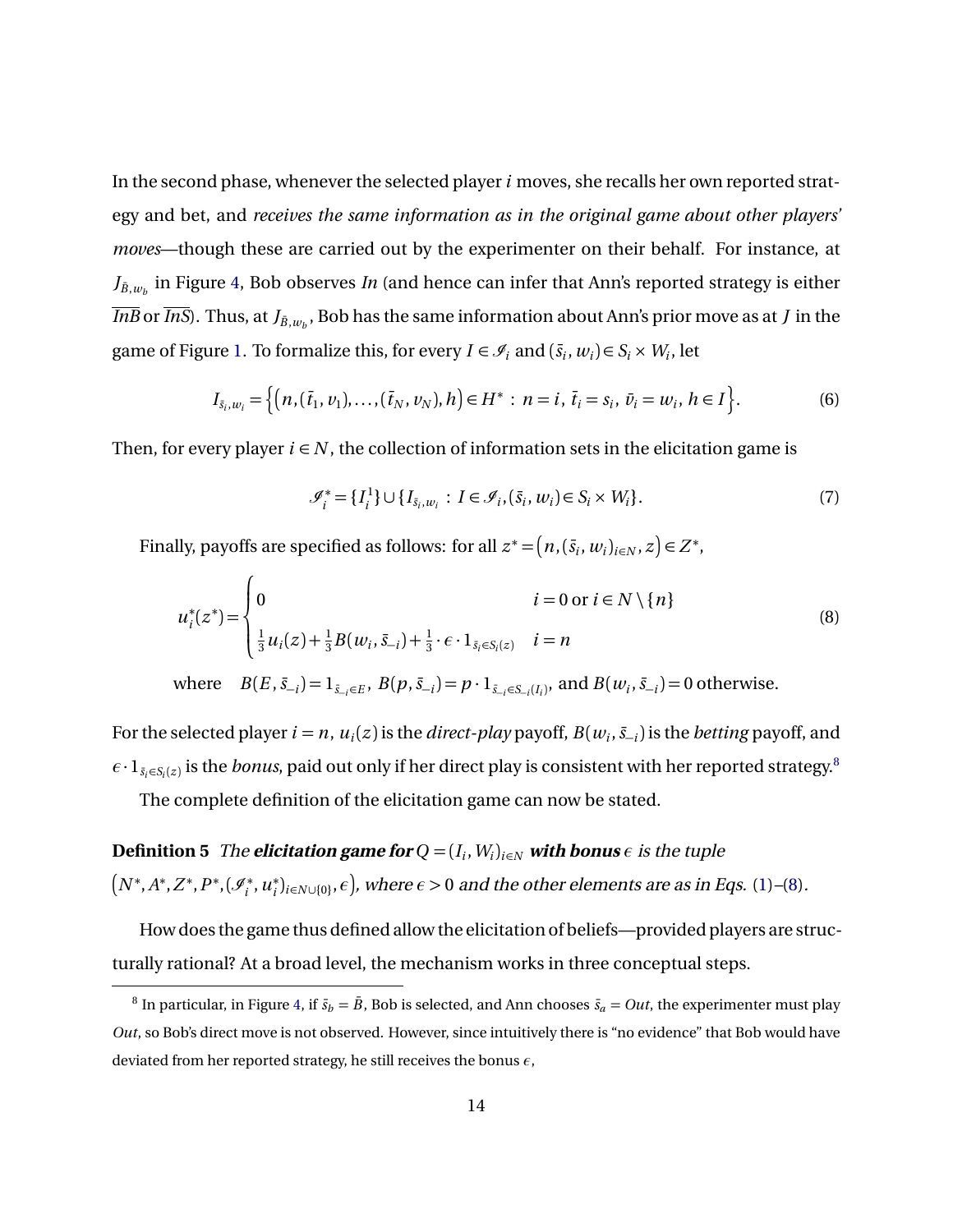In the second phase, whenever the selected player*i* moves, she recalls her own reported strategy and bet, and *receives the same information as in the original game about other players' moves*—though these are carried out by the experimenter on their behalf. For instance, at  $J_{\bar{B},w_b}$  in Figure [4,](#page-11-0) Bob observes *In* (and hence can infer that Ann's reported strategy is either *InB* or *InS*). Thus, at  $J_{\bar{B},w_b}$ , Bob has the same information about Ann's prior move as at  $J$  in the game of Figure [1.](#page-1-1) To formalize this, for every  $I \in \mathcal{I}_i$  and  $(\bar{s}_i, w_i) \in S_i \times W_i$ , let

$$
I_{\bar{s}_i, w_i} = \left\{ \left( n, (\bar{t}_1, v_1), \dots, (\bar{t}_N, v_N), h \right) \in H^* : n = i, \, \bar{t}_i = s_i, \, \bar{v}_i = w_i, \, h \in I \right\}.
$$
 (6)

Then, for every player  $i \in N$ , the collection of information sets in the elicitation game is

<span id="page-13-2"></span><span id="page-13-1"></span>
$$
\mathcal{J}_i^* = \{I_i^1\} \cup \{I_{\bar{s}_i, w_i} : I \in \mathcal{I}_i, (\bar{s}_i, w_i) \in S_i \times W_i\}.
$$
\n(7)

Finally, payoffs are specified as follows: for all  $z^* = (n, (\bar{s}_i, w_i)_{i \in N}, z) \in Z^*$ ,

$$
u_i^*(z^*) = \begin{cases} 0 & i = 0 \text{ or } i \in N \setminus \{n\} \\ \frac{1}{3} u_i(z) + \frac{1}{3} B(w_i, \bar{S}_{-i}) + \frac{1}{3} \cdot \epsilon \cdot 1_{\bar{S}_i \in S_i(z)} & i = n \end{cases}
$$
(8)

where  $B(E, \bar{s}_{-i}) = 1_{\bar{s}_{-i} \in E}, B(p, \bar{s}_{-i}) = p \cdot 1_{\bar{s}_{-i} \in S_{-i}(I_i)}, \text{ and } B(w_i, \bar{s}_{-i}) = 0 \text{ otherwise.}$ 

For the selected player  $i = n$ ,  $u_i(z)$  is the *direct-play* payoff,  $B(w_i, \bar{s}_{-i})$  is the *betting* payoff, and  $\epsilon\cdot 1_{\bar{s_i}\in S_i(z)}$  is the *bonus*, paid out only if her direct play is consistent with her reported strategy.<sup>[8](#page-13-0)</sup>

The complete definition of the elicitation game can now be stated.

**Definition 5** The **elicitation game for**  $Q = (I_i, W_i)_{i \in N}$  with bonus  $\epsilon$  is the tuple  $\left(N^*,A^*,Z^*,P^*,(\mathscr{I}_i^*)\right)$ *i* ,*u* ∗  $\hat{f}_i|_{i\in N\cup\{0\}},\epsilon$ , where  $\epsilon > 0$  and the other elements are as in Eqs. [\(1\)](#page-11-2)–[\(8\)](#page-13-1).

How does the game thus defined allow the elicitation of beliefs—provided players are structurally rational? At a broad level, the mechanism works in three conceptual steps.

<span id="page-13-0"></span> $^8$  In particular, in Figure [4,](#page-11-0) if  $\bar{s}_b = \bar{B}$ , Bob is selected, and Ann chooses  $\bar{s}_a = Out$ , the experimenter must play *Out*, so Bob's direct move is not observed. However, since intuitively there is "no evidence" that Bob would have deviated from her reported strategy, he still receives the bonus *ε*,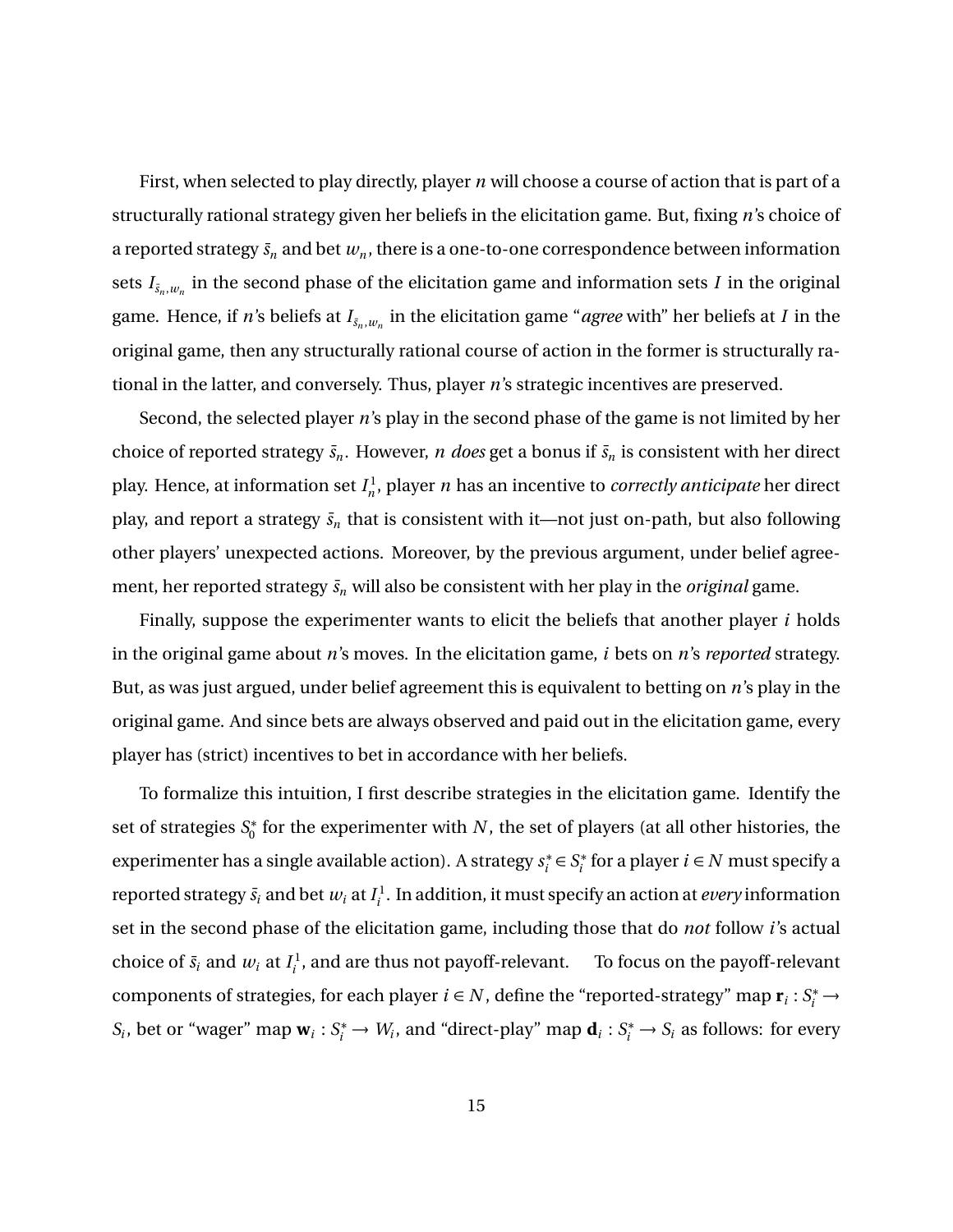First, when selected to play directly, player *n* will choose a course of action that is part of a structurally rational strategy given her beliefs in the elicitation game. But, fixing *n*'s choice of a reported strategy  $\bar{s}_n$  and bet  $w_n$ , there is a one-to-one correspondence between information sets  $I_{\bar{s}_n,w_n}$  in the second phase of the elicitation game and information sets  $I$  in the original game. Hence, if  $n$ 's beliefs at  $I_{\bar{s}_n,w_n}$  in the elicitation game "*agree* with" her beliefs at  $I$  in the original game, then any structurally rational course of action in the former is structurally rational in the latter, and conversely. Thus, player *n*'s strategic incentives are preserved.

Second, the selected player *n*'s play in the second phase of the game is not limited by her choice of reported strategy  $\bar{s}_n$ . However, *n* does get a bonus if  $\bar{s}_n$  is consistent with her direct play. Hence, at information set  $I_n^1$ *n* , player *n* has an incentive to *correctly anticipate* her direct play, and report a strategy  $\bar{s}_n$  that is consistent with it—not just on-path, but also following other players' unexpected actions. Moreover, by the previous argument, under belief agreement, her reported strategy  $\bar{s}_n$  will also be consistent with her play in the *original* game.

Finally, suppose the experimenter wants to elicit the beliefs that another player *i* holds in the original game about *n*'s moves. In the elicitation game, *i* bets on *n*'s *reported* strategy. But, as was just argued, under belief agreement this is equivalent to betting on *n*'s play in the original game. And since bets are always observed and paid out in the elicitation game, every player has (strict) incentives to bet in accordance with her beliefs.

To formalize this intuition, I first describe strategies in the elicitation game. Identify the set of strategies *S* ∗  $_{0}^{\ast}$  for the experimenter with  $N$ , the set of players (at all other histories, the experimenter has a single available action). A strategy *s* ∗  $s_i^*$  ∈  $S_i^*$  $i_i^*$  for a player  $i \in N$  must specify a reported strategy  $\bar{s}_i$  and bet  $w_i$  at  $I^1_i$ *i* . In addition, it must specify an action at *every* information set in the second phase of the elicitation game, including those that do *not* follow *i*'s actual choice of  $\bar{s}_i$  and  $w_i$  at  $I_i^1$  $\mathbf{f}_i^{\text{I}}$ , and are thus not payoff-relevant. To focus on the payoff-relevant components of strategies, for each player  $i \in N$ , define the "reported-strategy" map  $\mathbf{r}_i : S_i^* \to$  $S_i$ , bet or "wager" map  $\mathbf{w}_i : S_i^* \to W_i$ , and "direct-play" map  $\mathbf{d}_i : S_i^* \to S_i$  as follows: for every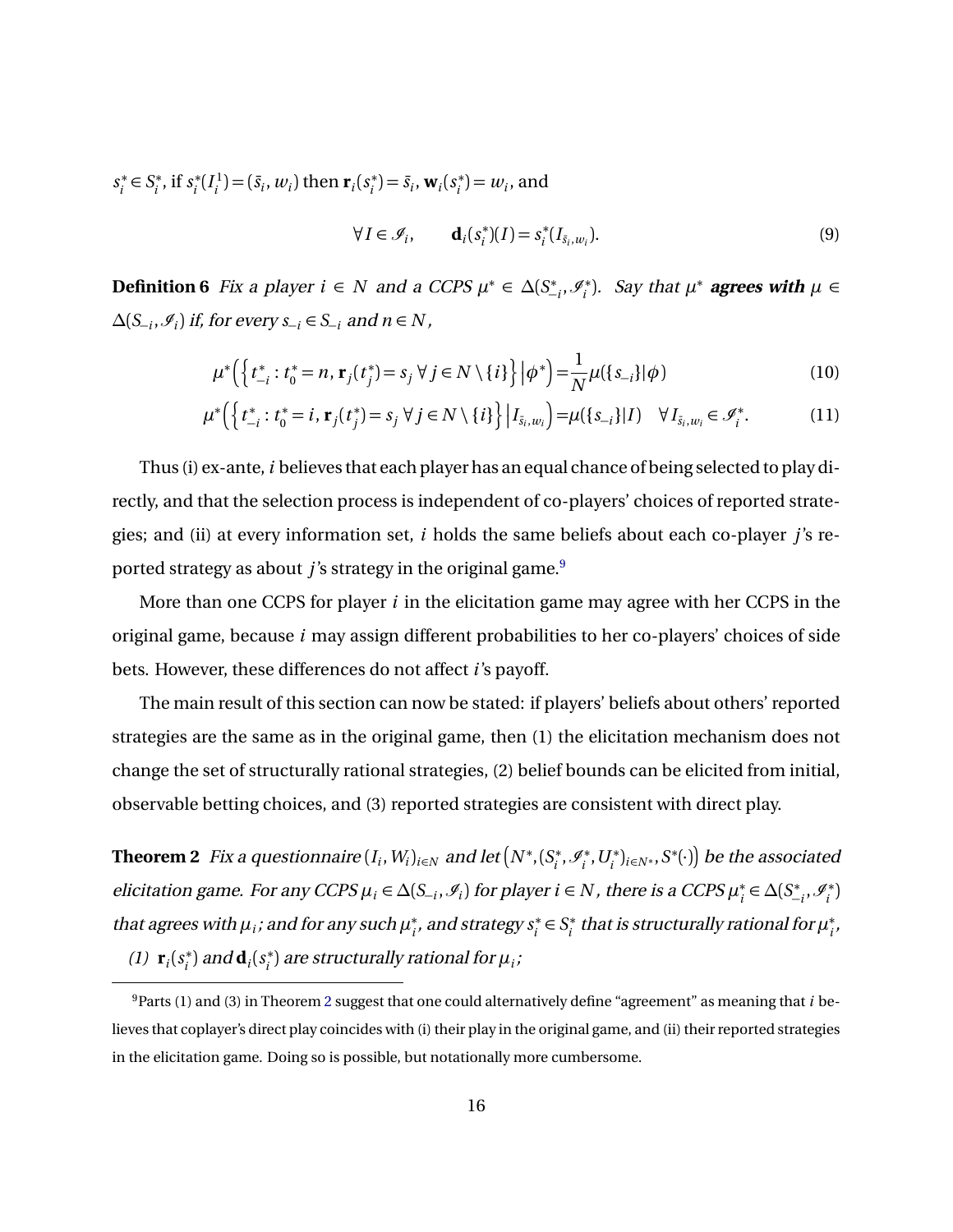*s* ∗  $s_i^*$  ∈  $S_i^*$  $i^*$ , if  $s_i^*$  $i^*$ <sup>( $I_i^1$ </sup>  $f_i^1$ ) = ( $\bar{s}_i$ ,  $w_i$ ) then  $\mathbf{r}_i(s_i^*)$  $\mathbf{v}_i^*$ ) =  $\bar{s}_i$ , **w**<sub>*i*</sub>( $s_i^*$ )  $(v_i^*) = w_i$ , and

<span id="page-15-5"></span><span id="page-15-4"></span><span id="page-15-3"></span>
$$
\forall I \in \mathcal{I}_i, \qquad \mathbf{d}_i(s_i^*)(I) = s_i^*(I_{\bar{s}_i, w_i}). \tag{9}
$$

<span id="page-15-2"></span>**Definition 6** Fix a player  $i \in N$  and a CCPS  $\mu^* \in \Delta(S^*_-)$  $\mathscr{I}_i^*, \mathscr{I}_i^*$  $f_i^*$ ). Say that  $\mu^*$  **agrees with**  $\mu \in$ *∆*(*S*<sup>−</sup>*<sup>i</sup>* ,I*i* ) if, for every *s*<sup>−</sup>*<sup>i</sup>* ∈ *S*<sup>−</sup>*<sup>i</sup>* and *n* ∈ *N* ,

$$
\mu^* \Big( \Big\{ t_{-i}^* : t_0^* = n, \, \mathbf{r}_j(t_j^*) = s_j \, \forall \, j \in N \setminus \{i\} \Big\} \Big| \phi^* \Big) = \frac{1}{N} \mu(\{s_{-i}\}|\phi) \tag{10}
$$

$$
\mu^* \Big( \Big\{ t_{-i}^* : t_0^* = i, \, \mathbf{r}_j(t_j^*) = s_j \, \forall \, j \in N \setminus \{i\} \Big\} \, \Big| I_{\bar{s}_i, w_i} \Big) = \mu(\{s_{-i}\} | I) \quad \forall \, I_{\bar{s}_i, w_i} \in \mathscr{I}_i^*.
$$

Thus (i) ex-ante, *i* believes that each player has an equal chance of being selected to play directly, and that the selection process is independent of co-players' choices of reported strategies; and (ii) at every information set, *i* holds the same beliefs about each co-player *j*'s reported strategy as about *j*'s strategy in the original game.<sup>[9](#page-15-1)</sup>

More than one CCPS for player *i* in the elicitation game may agree with her CCPS in the original game, because *i* may assign different probabilities to her co-players' choices of side bets. However, these differences do not affect *i*'s payoff.

The main result of this section can now be stated: if players' beliefs about others' reported strategies are the same as in the original game, then (1) the elicitation mechanism does not change the set of structurally rational strategies, (2) belief bounds can be elicited from initial, observable betting choices, and (3) reported strategies are consistent with direct play.

<span id="page-15-0"></span>**Theorem 2** Fix a questionnaire  $(I_i,W_i)_{i\in N}$  and let  $\left(N^*, (S_i^*)\right)$  $\mathscr{I}_i^*, \mathscr{I}_i^*$  $\left(\begin{smallmatrix} t^* \ i^*, U_i^* \end{smallmatrix}\right)_{i \in N^*}, S^*(\cdot) \right)$  be the associated elicitation game. For any CCPS  $\mu_i \in \Delta(S_{-i}, \mathcal{I}_i)$  for player  $i \in N$ , there is a CCPS  $\mu_i^*$ *i* ∈ *∆*(*S* ∗  $\mathscr{I}_{i}^*, \mathscr{I}_{i}^*$ *i* ) that agrees with  $\mu_i$ ; and for any such  $\mu_i^*$ *i* , and strategy *s* ∗  $s_i^*$  ∈  $S_i^*$ *i* that is structurally rational for *µ* ∗ *i* , (1)  $\mathbf{r}_i(s_i^*)$  $\mathbf{a}_i^*$ ) and  $\mathbf{d}_i$   $(s_i^*)$ *i* ) are structurally rational for *µ<sup>i</sup>* ;

<span id="page-15-1"></span><sup>9</sup>Parts (1) and (3) in Theorem [2](#page-15-0) suggest that one could alternatively define "agreement" as meaning that *i* believes that coplayer's direct play coincides with (i) their play in the original game, and (ii) their reported strategies in the elicitation game. Doing so is possible, but notationally more cumbersome.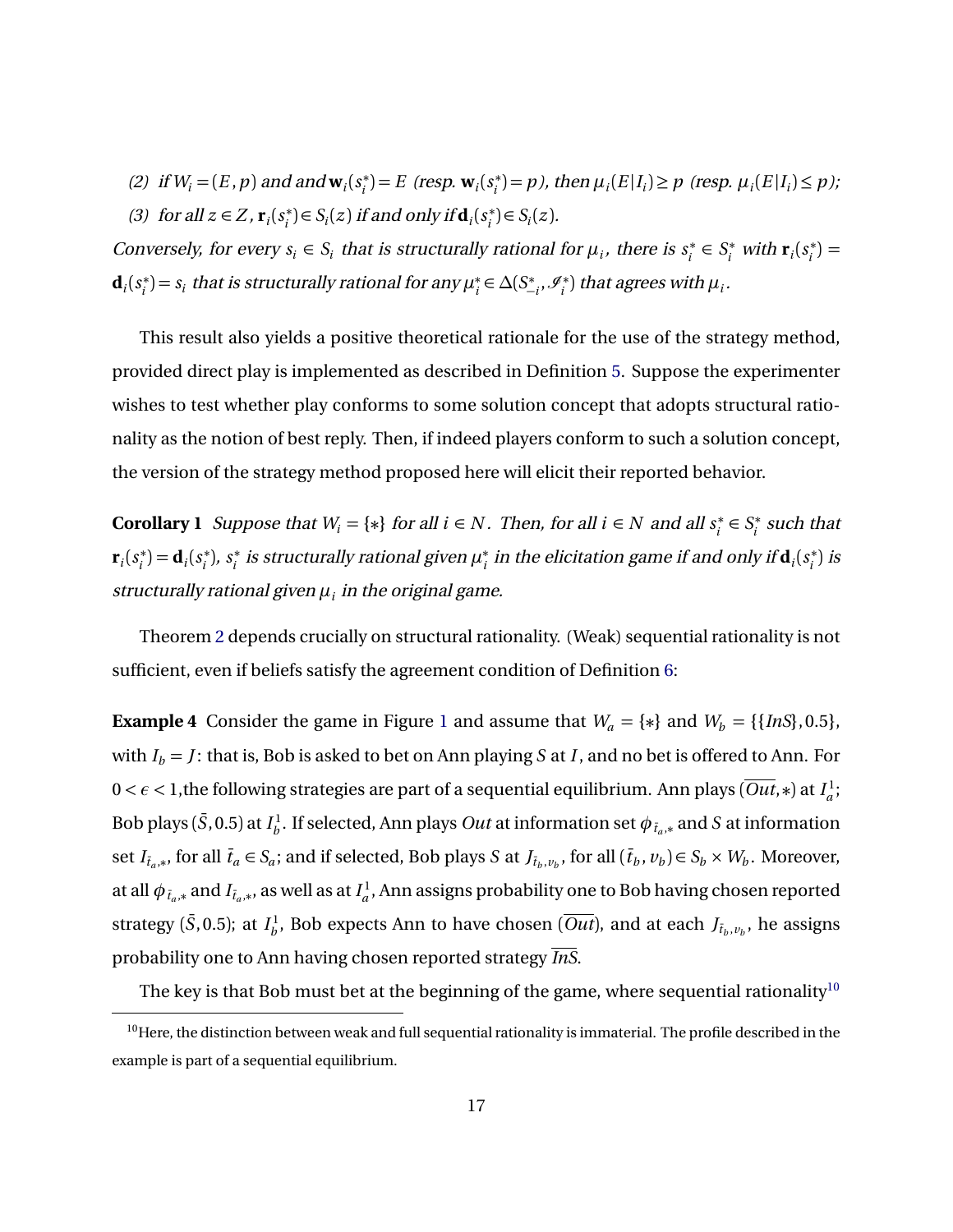(2) if  $W_i = (E, p)$  and and  $\mathbf{w}_i(s_i^*)$  $i_i^*$ ) = *E* (resp.  $\mathbf{w}_i$ ( $s_i^*$ )  $\mu_i^*$ ) = *p*), then  $\mu_i(E|I_i) \geq p$  (resp.  $\mu_i(E|I_i) \leq p$ );

(3) for all  $z \in Z$ ,  $\mathbf{r}_i(s_i^*)$  $i$ <sup>\*</sup>) $\in S_i(z)$  if and only if  $\mathbf{d}_i(s_i^*)$  $S_i^*$ ) $\in S_i(z)$ .

Conversely, for every  $s_i \in S_i$  that is structurally rational for  $\mu_i$ , there is  $s_i^*$  $s_i^* \in S_i^*$  with  $\mathbf{r}_i(s_i^*)$  $i^*$ ) =  $\mathbf{d}_i$  $(s_i^*)$  $\mathbf{f}_i^*$ ) =  $\mathbf{s}_i$  that is structurally rational for any  $\mu_i^*$ *i* ∈ *∆*(*S* ∗  $\mathscr{I}_{i}^*, \mathscr{I}_{i}^*$  $\binom{n}{i}$  that agrees with  $\mu_i.$ 

This result also yields a positive theoretical rationale for the use of the strategy method, provided direct play is implemented as described in Definition [5.](#page-13-2) Suppose the experimenter wishes to test whether play conforms to some solution concept that adopts structural rationality as the notion of best reply. Then, if indeed players conform to such a solution concept, the version of the strategy method proposed here will elicit their reported behavior.

**Corollary 1** Suppose that  $W_i = \{*\}$  for all  $i \in N$ . Then, for all  $i \in N$  and all  $s_i^*$  $s_i^*$  ∈  $S_i^*$  $j_i^*$  such that  $\mathbf{r}_i(s_i^*)$  $\mathbf{d}_i^*$ ) =  $\mathbf{d}_i(s_i^*)$ *i* ), *s* ∗  $i<sup>∗</sup><sub>i</sub>$  *is structurally rational given*  $\mu<sup>∗</sup><sub>i</sub>$  $\mathbf{f}_i$  in the elicitation game if and only if  $\mathbf{d}_i(s_i^*)$  $\binom{*}{i}$  is structurally rational given *µ<sup>i</sup>* in the original game.

Theorem [2](#page-15-0) depends crucially on structural rationality. (Weak) sequential rationality is not sufficient, even if beliefs satisfy the agreement condition of Definition [6:](#page-15-2)

<span id="page-16-0"></span>**Example 4** Consider the game in Figure [1](#page-1-1) and assume that  $W_a = \{*\}$  and  $W_b = \{\{InS\}, 0.5\}$ , with  $I_b = J$ : that is, Bob is asked to bet on Ann playing *S* at *I*, and no bet is offered to Ann. For  $0 < \epsilon < 1,$ the following strategies are part of a sequential equilibrium. Ann plays ( $\overline{Out}, \ast$ ) at  $I_a^1$  $\frac{1}{a}$ Bob plays ( $\bar{S}$ , 0.5) at  $I_b^1$  $b^1_b$ . If selected, Ann plays *Out* at information set  $\phi_{\tilde{t}_a,*}$  and  $S$  at information set  $I_{\bar{t}_a,*}$ , for all  $\bar{t}_a \in S_a$ ; and if selected, Bob plays S at  $J_{\bar{t}_b,v_b}$ , for all  $(\bar{t}_b, v_b) \in S_b \times W_b$ . Moreover, at all  $\phi_{\,\bar{t}_a,\ast}$  and  $I_{\bar{t}_a,\ast}$ , as well as at  $I^1_a$ *a* , Ann assigns probability one to Bob having chosen reported strategy ( $\bar{S}$ , 0.5); at  $I_b^1$  $b^1_b$ , Bob expects Ann to have chosen (*Out*), and at each  $J_{\tilde{t}_b, v_b},$  he assigns probability one to Ann having chosen reported strategy *InS*.

<span id="page-16-1"></span>The key is that Bob must bet at the beginning of the game, where sequential rationality<sup>[10](#page-16-1)</sup>

<sup>&</sup>lt;sup>10</sup>Here, the distinction between weak and full sequential rationality is immaterial. The profile described in the example is part of a sequential equilibrium.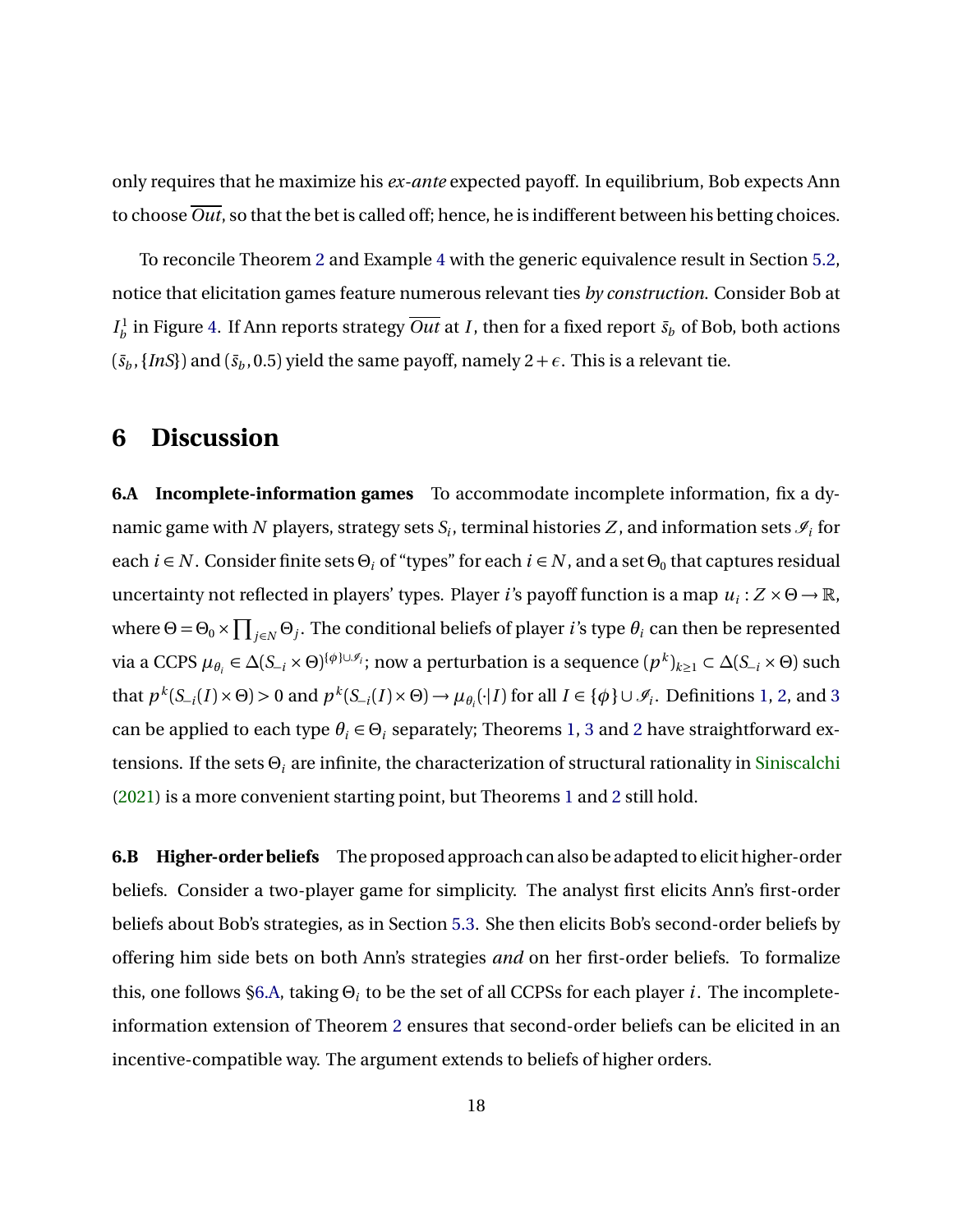only requires that he maximize his *ex-ante* expected payoff. In equilibrium, Bob expects Ann to choose  $\overline{Out}$ , so that the bet is called off; hence, he is indifferent between his betting choices.

To reconcile Theorem [2](#page-15-0) and Example [4](#page-16-0) with the generic equivalence result in Section [5.2,](#page-9-3) notice that elicitation games feature numerous relevant ties *by construction*. Consider Bob at  $I_h^1$  $b$ <sub>*b*</sub> in Figure [4.](#page-11-0) If Ann reports strategy *Out* at *I*, then for a fixed report  $\bar{s}_b$  of Bob, both actions  $(\bar{s}_b, \{InS\})$  and  $(\bar{s}_b, 0.5)$  yield the same payoff, namely  $2 + \epsilon$ . This is a relevant tie.

### <span id="page-17-0"></span>**6 Discussion**

<span id="page-17-1"></span>**6.A Incomplete-information games** To accommodate incomplete information, fix a dynamic game with  $N$  players, strategy sets  $\overline{S}_i$ , terminal histories  $Z$ , and information sets  $\mathscr{I}_i$  for each  $i \in N$  . Consider finite sets  $\Theta_i$  of "types" for each  $i \in N$ , and a set  $\Theta_0$  that captures residual uncertainty not reflected in players' types. Player *i*'s payoff function is a map *u<sup>i</sup>* : *Z* × *Θ* → R, where  $\Theta = \Theta_0 \times \prod_{j \in N} \Theta_j$ . The conditional beliefs of player *i*'s type  $\theta_i$  can then be represented  $\forall$ ia a CCPS  $\mu_{\theta_i} \in \Delta(S_{-i} \times \Theta)^{\{\phi\} \cup \mathscr{I}_i}$ ; now a perturbation is a sequence  $(p^k)_{k \geq 1} \subset \Delta(S_{-i} \times \Theta)$  such that  $p^k(S_{-i}(I) \times \Theta) > 0$  and  $p^k(S_{-i}(I) \times \Theta) \to \mu_{\theta_i}(\cdot | I)$  for all  $I \in \{\phi\} \cup \mathscr{I}_i$ . Definitions [1,](#page-6-0) [2,](#page-6-1) and [3](#page-7-1) can be applied to each type  $\theta_i \in \Theta_i$  separately; Theorems [1,](#page-9-1) [3](#page-25-0) and [2](#page-15-0) have straightforward extensions. If the sets *Θ<sup>i</sup>* are infinite, the characterization of structural rationality in [Siniscalchi](#page-44-5) [\(2021\)](#page-44-5) is a more convenient starting point, but Theorems [1](#page-9-1) and [2](#page-15-0) still hold.

**6.B Higher-order beliefs** The proposed approach can also be adapted to elicit higher-order beliefs. Consider a two-player game for simplicity. The analyst first elicits Ann's first-order beliefs about Bob's strategies, as in Section [5.3.](#page-10-1) She then elicits Bob's second-order beliefs by offering him side bets on both Ann's strategies *and* on her first-order beliefs. To formalize this, one follows [§6.A,](#page-17-1) taking *Θ<sup>i</sup>* to be the set of all CCPSs for each player *i*. The incompleteinformation extension of Theorem [2](#page-15-0) ensures that second-order beliefs can be elicited in an incentive-compatible way. The argument extends to beliefs of higher orders.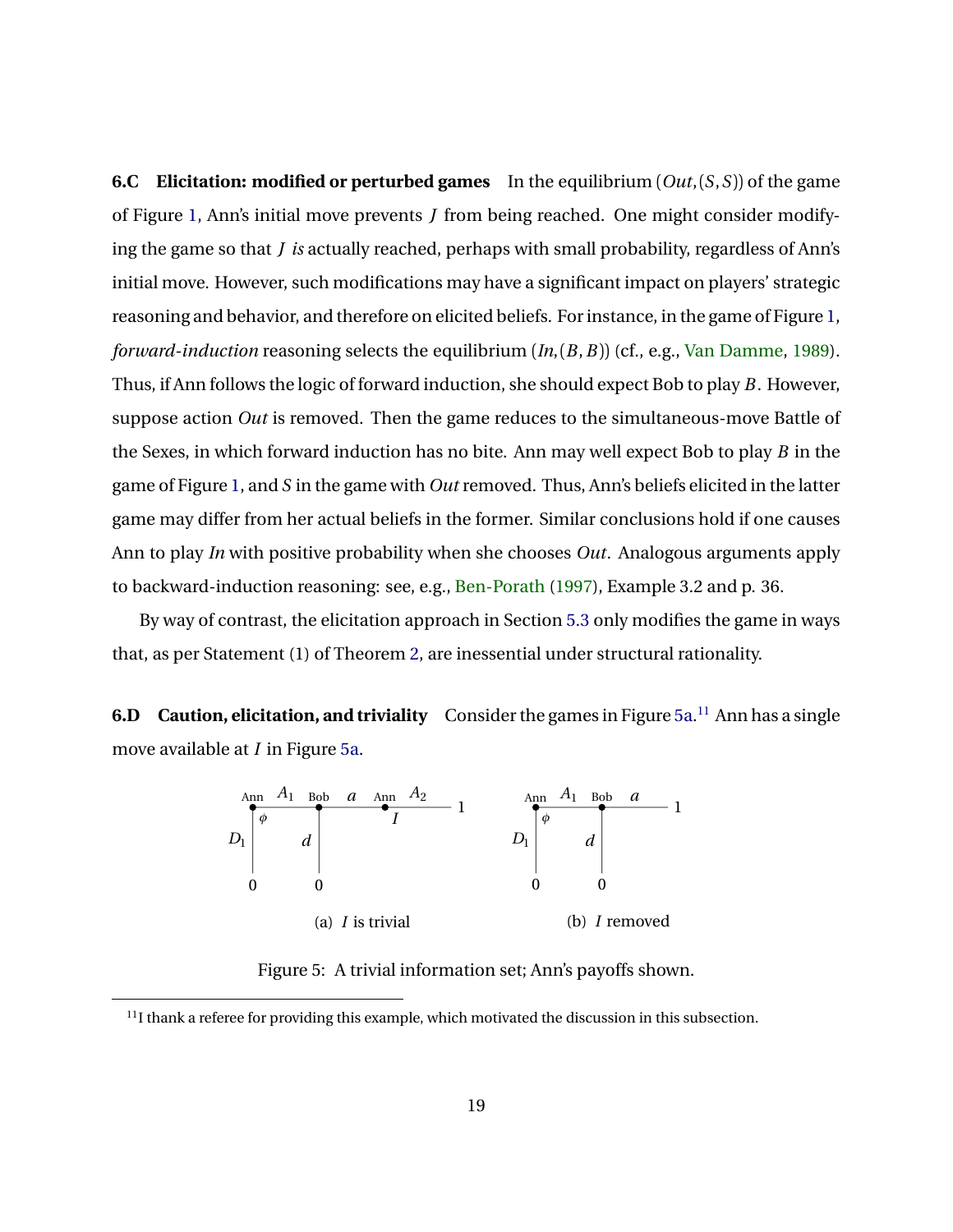**6.C Elicitation: modified or perturbed games** In the equilibrium (*Out*,(*S*,*S*)) of the game of Figure [1,](#page-1-1) Ann's initial move prevents *J* from being reached. One might consider modifying the game so that *J is* actually reached, perhaps with small probability, regardless of Ann's initial move. However, such modifications may have a significant impact on players' strategic reasoning and behavior, and therefore on elicited beliefs. For instance, in the game of Figure [1,](#page-1-1) *forward-induction* reasoning selects the equilibrium (*In*,(*B*,*B*)) (cf., e.g., [Van Damme,](#page-44-2) [1989\)](#page-44-2). Thus, if Ann follows the logic of forward induction, she should expect Bob to play *B*. However, suppose action *Out* is removed. Then the game reduces to the simultaneous-move Battle of the Sexes, in which forward induction has no bite. Ann may well expect Bob to play *B* in the game of Figure [1,](#page-1-1) and *S* in the game with *Out* removed. Thus, Ann's beliefs elicited in the latter game may differ from her actual beliefs in the former. Similar conclusions hold if one causes Ann to play *In* with positive probability when she chooses *Out*. Analogous arguments apply to backward-induction reasoning: see, e.g., [Ben-Porath](#page-42-7) [\(1997\)](#page-42-7), Example 3.2 and p. 36.

By way of contrast, the elicitation approach in Section [5.3](#page-10-1) only modifies the game in ways that, as per Statement (1) of Theorem [2,](#page-15-0) are inessential under structural rationality.

<span id="page-18-0"></span>**6.D** Caution, elicitation, and triviality Consider the games in Figure [5a.](#page-18-0)<sup>[11](#page-18-1)</sup> Ann has a single move available at *I* in Figure [5a.](#page-18-0)



Figure 5: A trivial information set; Ann's payoffs shown.

<span id="page-18-1"></span> $<sup>11</sup>$ I thank a referee for providing this example, which motivated the discussion in this subsection.</sup>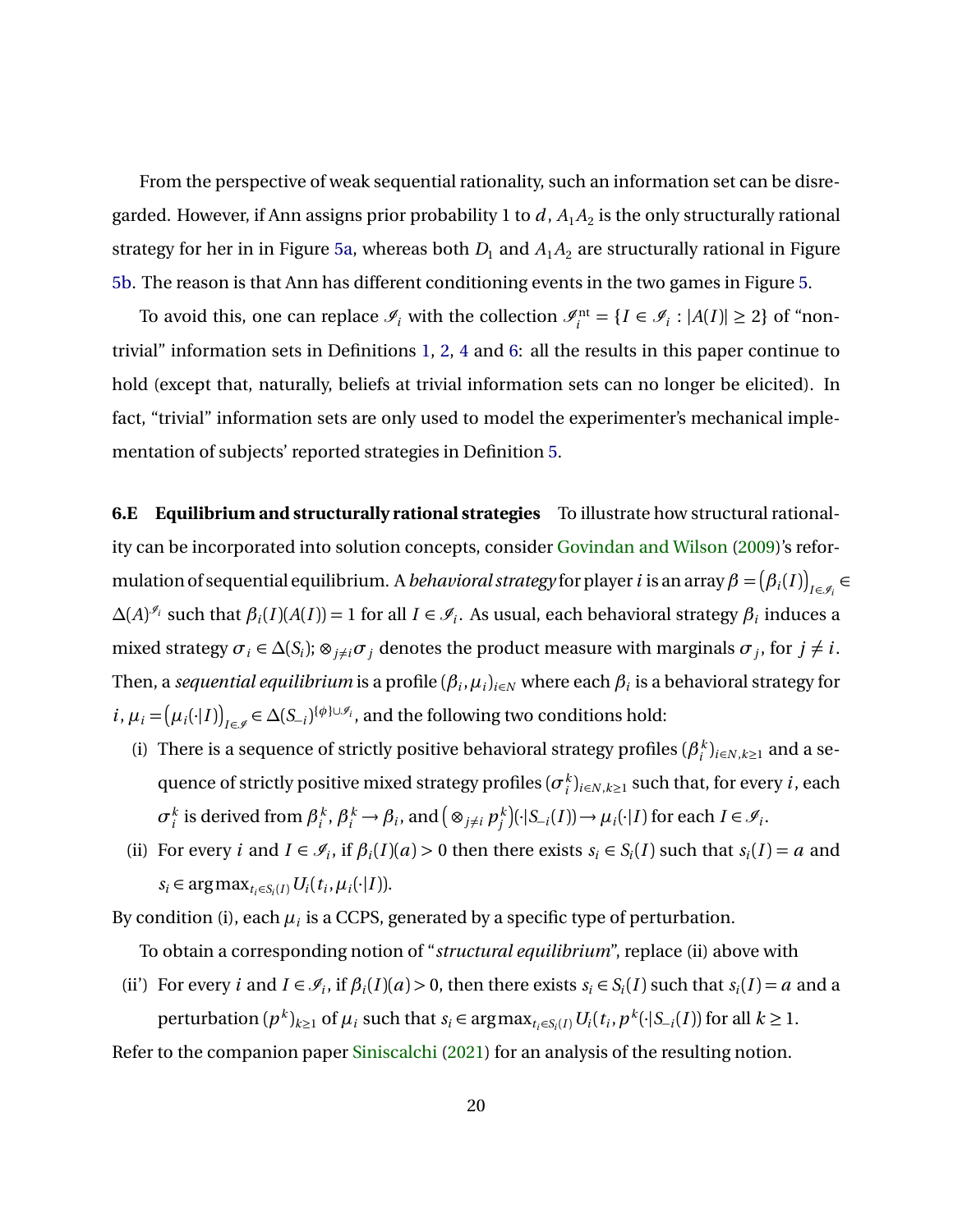From the perspective of weak sequential rationality, such an information set can be disregarded. However, if Ann assigns prior probability 1 to  $d$  ,  $A_1A_2$  is the only structurally rational strategy for her in in Figure [5a,](#page-18-0) whereas both  $D_1$  and  $A_1A_2$  are structurally rational in Figure [5b.](#page-18-0) The reason is that Ann has different conditioning events in the two games in Figure [5.](#page-18-0)

To avoid this, one can replace  $\mathcal{I}_i$  with the collection  $\mathcal{I}_i^{\text{nt}} = \{I \in \mathcal{I}_i : |A(I)| \ge 2\}$  of "nontrivial" information sets in Definitions [1,](#page-6-0) [2,](#page-6-1) [4](#page-11-3) and [6:](#page-15-2) all the results in this paper continue to hold (except that, naturally, beliefs at trivial information sets can no longer be elicited). In fact, "trivial" information sets are only used to model the experimenter's mechanical implementation of subjects' reported strategies in Definition [5.](#page-13-2)

<span id="page-19-0"></span>**6.E Equilibrium and structurally rational strategies** To illustrate how structural rationality can be incorporated into solution concepts, consider [Govindan and Wilson](#page-42-9) [\(2009\)](#page-42-9)'s reformulation of sequential equilibrium. A *behavioral strategy* for player  $i$  is an array  $\beta = (\beta_i(I))_{I \in \mathscr{I}_i} \in$  $\Delta(A)^{\mathscr{I}_i}$  such that  $\beta_i(I)(A(I)) = 1$  for all  $I \in \mathscr{I}_i$ . As usual, each behavioral strategy  $\beta_i$  induces a mixed strategy  $\sigma_i \in \Delta(S_i)$ ;  $\otimes_{j \neq i} \sigma_j$  denotes the product measure with marginals  $\sigma_j$ , for  $j \neq i$ . Then, a *sequential equilibrium* is a profile  $(\beta_i,\mu_i)_{i\in N}$  where each  $\beta_i$  is a behavioral strategy for  $i, \mu_i = (\mu_i(\cdot | I))_{I \in \mathscr{I}} \in \Delta(S_{-i})^{\{\phi\} \cup \mathscr{I}_i}$ , and the following two conditions hold:

- (i) There is a sequence of strictly positive behavioral strategy profiles ( $\beta_i^k$  $\binom{k}{i}$ <sub>*i*</sub>∈*N*, $k \ge 1$  and a sequence of strictly positive mixed strategy profiles  $(\sigma^k_i)_{i\in N, k\geq 1}$  such that, for every  $i$ , each  $\sigma_i^k$  is derived from  $\beta_i^k$  $\beta_i^k$ ,  $\beta_i^k \rightarrow \beta_i$ , and  $\left(\otimes_{j \neq i} p_j^k\right)$  $\mu_j^k$  )( $\cdot$ |*S*<sub>−*i*</sub></sub>(*I*)) →  $\mu_i(\cdot|I)$  for each  $I \in \mathcal{I}_i$ .
- (ii) For every *i* and  $I \in \mathcal{I}_i$ , if  $\beta_i(I)(a) > 0$  then there exists  $s_i \in S_i(I)$  such that  $s_i(I) = a$  and *s*<sup>*i*</sup> ∈ argmax<sub>*t<sub>i</sub>*∈*S*<sup>*i*</sup>(*I*</sub>)*U*<sup>*i*</sup>(*t*<sub>*i*</sub>,  $\mu$ <sup>*i*</sup>(·|*I*)).

By condition (i), each  $\mu_i$  is a CCPS, generated by a specific type of perturbation.

To obtain a corresponding notion of "*structural equilibrium*", replace (ii) above with

(ii') For every i and  $I \in \mathcal{I}_i$ , if  $\beta_i(I)(a) > 0$ , then there exists  $s_i \in S_i(I)$  such that  $s_i(I) = a$  and a perturbation  $(p^k)_{k\geq 1}$  of  $\mu_i$  such that  $s_i \in \argmax_{t_i \in S_i(I)} U_i(t_i, p^k(\cdot | S_{-i}(I))$  for all  $k \geq 1$ .

Refer to the companion paper [Siniscalchi](#page-44-5) [\(2021\)](#page-44-5) for an analysis of the resulting notion.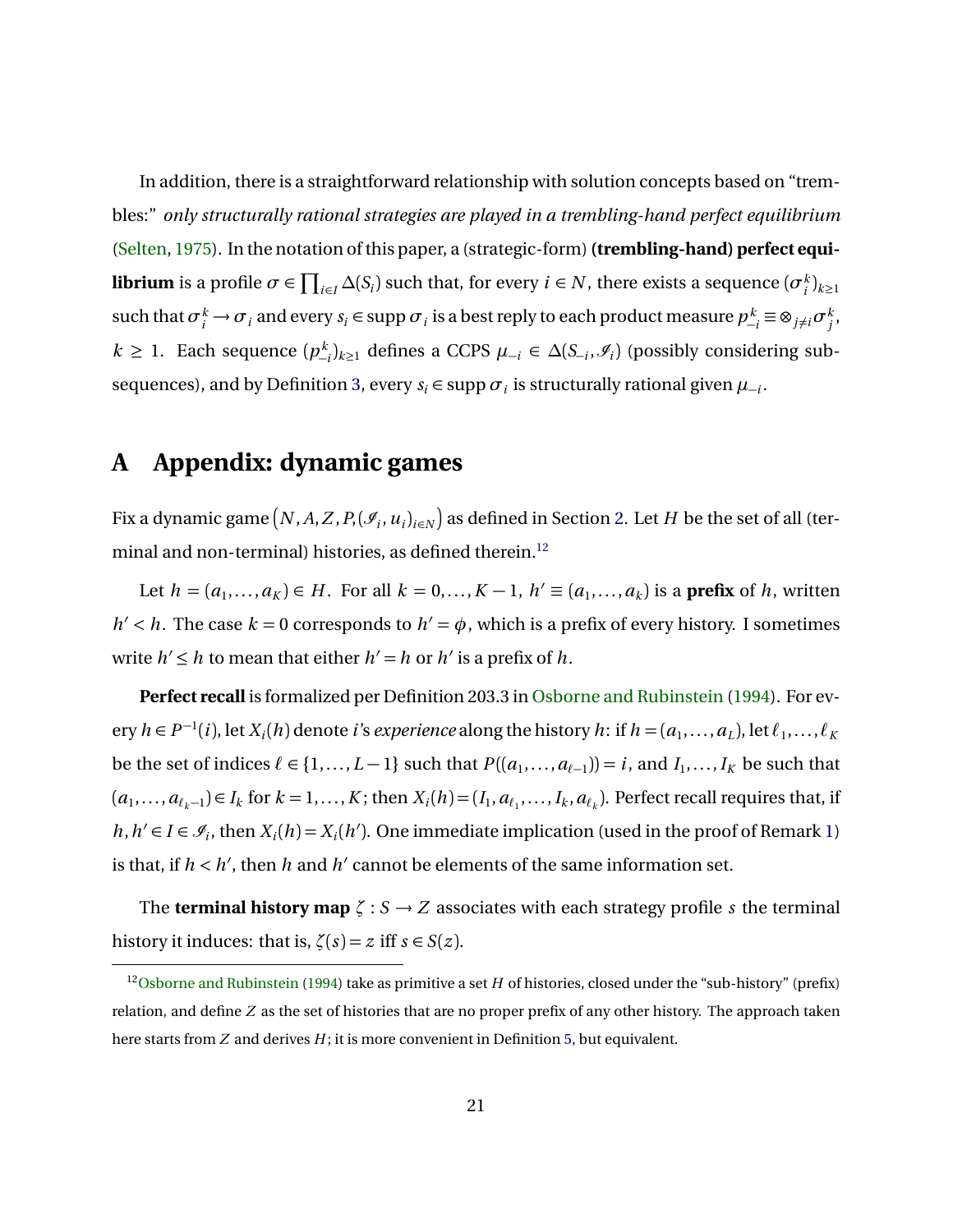In addition, there is a straightforward relationship with solution concepts based on "trembles:" *only structurally rational strategies are played in a trembling-hand perfect equilibrium* [\(Selten,](#page-44-3) [1975\)](#page-44-3). In the notation of this paper, a (strategic-form)**(trembling-hand) perfect equilibrium** is a profile  $\sigma \in \prod_{i\in I}\Delta(S_i)$  such that, for every  $i\in N$ , there exists a sequence  $(\sigma^k_i)_{k\geq 1}$  $\int \mathrm{such\,} \tan\sigma_i^k \to \sigma_i \text{ and every } s_i \in \mathrm{supp\,} \sigma_i \text{ is a best reply to each product measure } p_{-i}^k \equiv \otimes_{j\neq i} \sigma_j^k,$ *k* ≥ 1. Each sequence  $(p_{-i}^k)_{k\geq 1}$  defines a CCPS  $\mu_{-i} \in \Delta(S_{-i}, \mathcal{I}_i)$  (possibly considering sub-sequences), and by Definition [3,](#page-7-1) every  $s_i \in \text{supp } \sigma_i$  is structurally rational given  $\mu_{-i}$ .

## <span id="page-20-0"></span>**A Appendix: dynamic games**

Fix a dynamic game  $\big(N, A, Z, P,$   $(\mathscr{I}_i, u_i)_{i \in N}\big)$  as defined in Section [2.](#page-4-0) Let  $H$  be the set of all (ter-minal and non-terminal) histories, as defined therein.<sup>[12](#page-20-1)</sup>

Let  $h = (a_1, \ldots, a_K) \in H$ . For all  $k = 0, \ldots, K - 1$ ,  $h' \equiv (a_1, \ldots, a_k)$  is a **prefix** of *h*, written *h*'  $<$  *h*. The case *k* = 0 corresponds to *h*' =  $\phi$ , which is a prefix of every history. I sometimes write  $h' \leq h$  to mean that either  $h' = h$  or  $h'$  is a prefix of  $h$ .

**Perfect recall** is formalized per Definition 203.3 in [Osborne and Rubinstein](#page-43-4) [\(1994\)](#page-43-4). For every  $h \in P^{-1}(i)$ , let  $X_i(h)$  denote *i*'s *experience* along the history  $h$ : if  $h = (a_1, \ldots, a_L)$ , let  $\ell_1, \ldots, \ell_K$ be the set of indices  $\ell \in \{1, ..., L-1\}$  such that  $P((a_1, ..., a_{\ell-1})) = i$ , and  $I_1, ..., I_K$  be such that  $(a_1,\ldots,a_{\ell_k-1})\in I_k$  for  $k=1,\ldots,K$ ; then  $X_i(h)=(I_1,a_{\ell_1},\ldots,I_k,a_{\ell_k})$ . Perfect recall requires that, if *h*, *h*' ∈ *I* ∈  $\mathcal{I}_i$ , then *X*<sub>*i*</sub>(*h*) = *X<sub><i>i*</sub>(*h*'). One immediate implication (used in the proof of Remark [1\)](#page-20-2) is that, if  $h < h'$ , then  $h$  and  $h'$  cannot be elements of the same information set.

The **terminal history map**  $\zeta : S \to Z$  associates with each strategy profile *s* the terminal history it induces: that is,  $\zeta(s) = z$  iff  $s \in S(z)$ .

<span id="page-20-2"></span><span id="page-20-1"></span><sup>&</sup>lt;sup>12</sup>[Osborne and Rubinstein](#page-43-4) [\(1994\)](#page-43-4) take as primitive a set *H* of histories, closed under the "sub-history" (prefix) relation, and define *Z* as the set of histories that are no proper prefix of any other history. The approach taken here starts from *Z* and derives *H*; it is more convenient in Definition [5,](#page-13-2) but equivalent.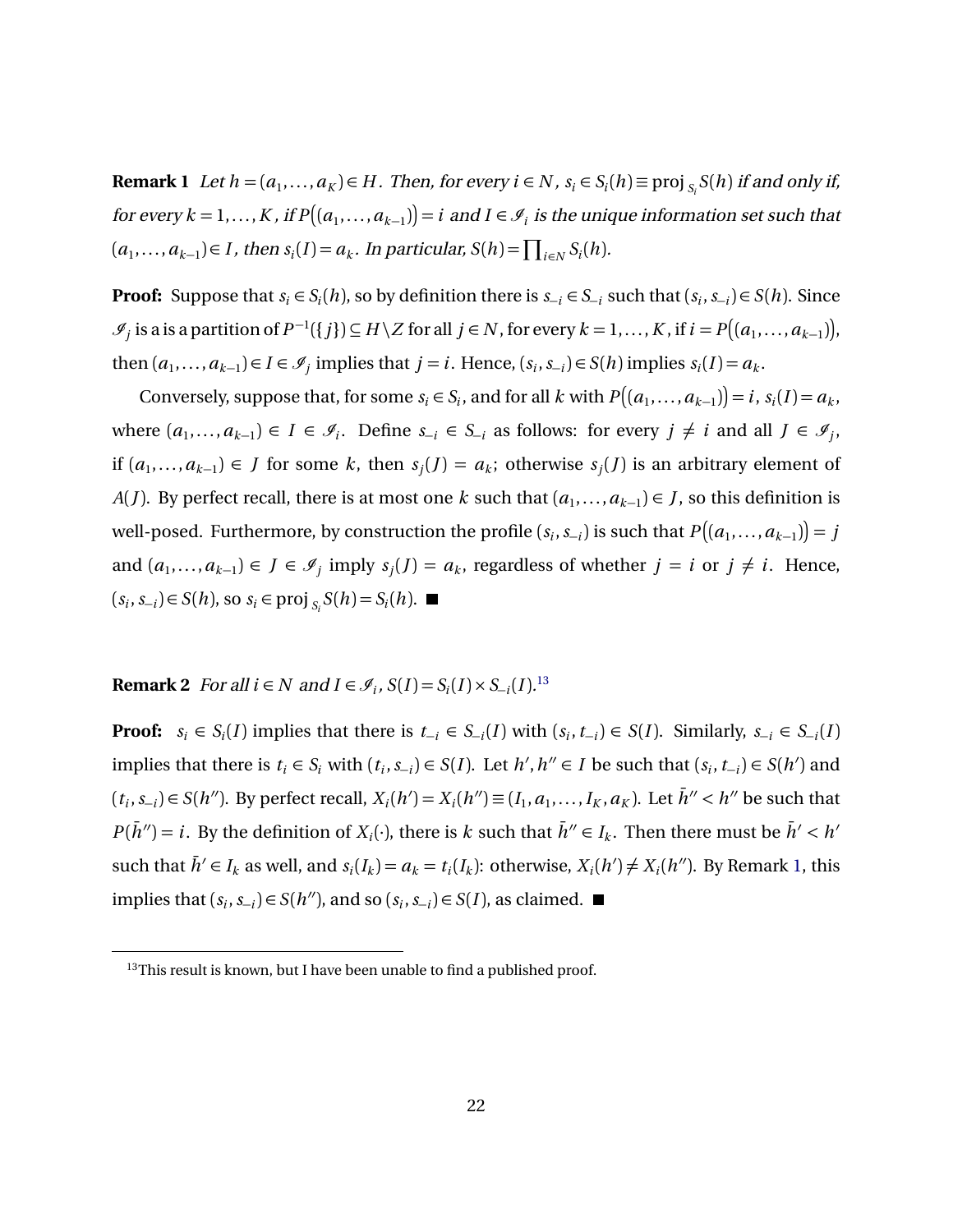**Remark 1** Let  $h = (a_1, \ldots, a_K) \in H$ . Then, for every  $i \in N$ ,  $s_i \in S_i(h) \equiv \text{proj}_{S_i} S(h)$  if and only if, for every  $k = 1, \ldots, K$  , if  $P\big((a_1, \ldots, a_{k-1})\big) = i$  and  $I \in \mathscr{I}_i$  is the unique information set such that  $(a_1, \ldots, a_{k-1}) \in I$ , then  $s_i(I) = a_k$ . In particular,  $S(h) = \prod_{i \in N} S_i(h)$ .

**Proof:** Suppose that  $s_i \in S_i(h)$ , so by definition there is  $s_{-i} \in S_{-i}$  such that  $(s_i, s_{-i}) \in S(h)$ . Since  $\mathscr{I}_j$  is a is a partition of  $P^{-1}(\{j\}) \subseteq H \setminus Z$  for all  $j \in N$ , for every  $k = 1, ..., K$ , if  $i = P((a_1, ..., a_{k-1}))$ , then  $(a_1, \ldots, a_{k-1}) \in I \in \mathcal{I}$  implies that  $j = i$ . Hence,  $(s_i, s_{-i}) \in S(h)$  implies  $s_i(I) = a_k$ .

Conversely, suppose that, for some  $s_i \in S_i$ , and for all *k* with  $P((a_1, ..., a_{k-1})) = i$ ,  $s_i(I) = a_k$ , where  $(a_1, ..., a_{k-1})$  ∈ *I* ∈  $\mathcal{I}_i$ . Define  $s_{-i}$  ∈  $S_{-i}$  as follows: for every  $j \neq i$  and all  $J \in \mathcal{I}_j$ , if  $(a_1, ..., a_{k-1})$  ∈ *J* for some *k*, then  $s_j$ (*J*) =  $a_k$ ; otherwise  $s_j$ (*J*) is an arbitrary element of *A*(*J*). By perfect recall, there is at most one *k* such that  $(a_1, \ldots, a_{k-1}) \in J$ , so this definition is well-posed. Furthermore, by construction the profile  $(s_i, s_{-i})$  is such that  $P\big((a_1, \dots, a_{k-1})\big)$  =  $j$ and  $(a_1, ..., a_{k-1}) \in J \in \mathcal{I}_j$  imply  $s_j(J) = a_k$ , regardless of whether  $j = i$  or  $j \neq i$ . Hence,  $(s_i, s_{-i})$  ∈  $S(h)$ , so  $s_i$  ∈ proj  $s_i S(h) = S_i(h)$ .

#### **Remark 2** For all  $i \in N$  and  $I \in \mathcal{I}_i$ ,  $S(I) = S_i(I) \times S_{-i}(I).^{13}$  $S(I) = S_i(I) \times S_{-i}(I).^{13}$  $S(I) = S_i(I) \times S_{-i}(I).^{13}$

**Proof:**  $s_i \in S_i(I)$  implies that there is  $t_{-i} \in S_{-i}(I)$  with  $(s_i, t_{-i}) \in S(I)$ . Similarly,  $s_{-i} \in S_{-i}(I)$ implies that there is  $t_i \in S_i$  with  $(t_i, s_{-i}) \in S(I)$ . Let  $h', h'' \in I$  be such that  $(s_i, t_{-i}) \in S(h')$  and  $(t_i,s_{-i}) \in S(h'')$ . By perfect recall,  $X_i(h') = X_i(h'') \equiv (I_1,a_1,\ldots,I_K,a_K)$ . Let  $\bar{h}'' < h''$  be such that  $P(\bar{h}^{\prime\prime}) = i$ . By the definition of  $X_i(\cdot)$ , there is *k* such that  $\bar{h}^{\prime\prime} \in I_k$ . Then there must be  $\bar{h}^{\prime} < h^{\prime}$ such that  $\bar{h}' \in I_k$  as well, and  $s_i(I_k) = a_k = t_i(I_k)$ : otherwise,  $X_i(h') \neq X_i(h'')$ . By Remark [1,](#page-20-2) this implies that  $(s_i, s_{-i})$  ∈  $S(h'')$ , and so  $(s_i, s_{-i})$  ∈  $S(I)$ , as claimed.

<span id="page-21-0"></span> $13$ This result is known, but I have been unable to find a published proof.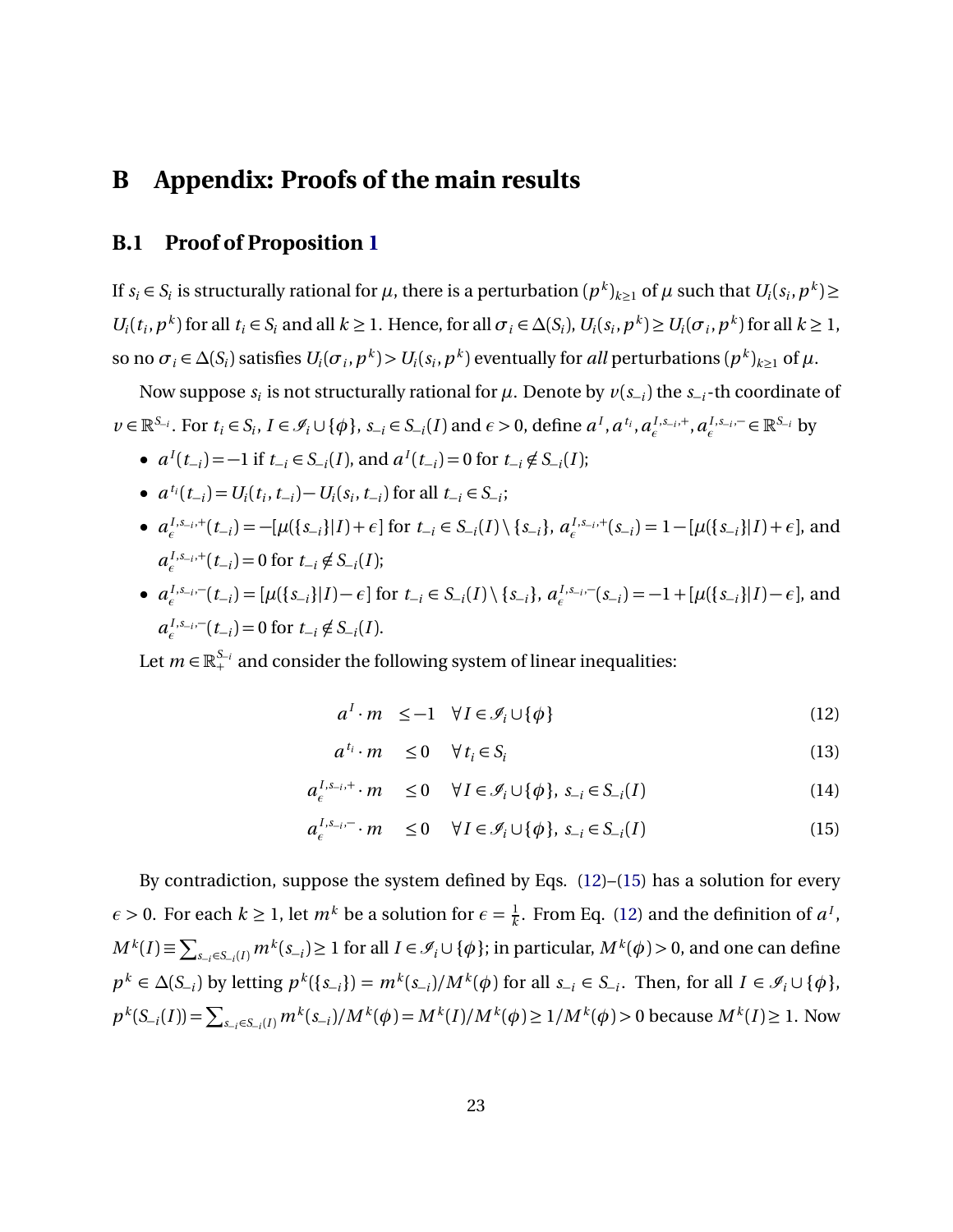### **B Appendix: Proofs of the main results**

#### **B.1 Proof of Proposition [1](#page-9-0)**

If  $s_i \in S_i$  is structurally rational for  $\mu$ , there is a perturbation  $(p^k)_{k\geq 1}$  of  $\mu$  such that  $U_i(s_i, p^k)$   $\geq$  $U_i(t_i, p^k)$  for all  $t_i \in S_i$  and all  $k \ge 1$ . Hence, for all  $\sigma_i \in \Delta(S_i)$ ,  $U_i(s_i, p^k) \ge U_i(\sigma_i, p^k)$  for all  $k \ge 1$ , so no  $\sigma_i \in \Delta(S_i)$  satisfies  $U_i(\sigma_i, p^k) > U_i(s_i, p^k)$  eventually for *all* perturbations  $(p^k)_{k\geq 1}$  of  $\mu$ .

Now suppose  $s_i$  is not structurally rational for  $\mu$ . Denote by  $v(s_{-i})$  the  $s_{-i}$ -th coordinate of  $v \in \mathbb{R}^{S_{-i}}$ . For  $t_i \in S_i$ ,  $I \in \mathcal{I}_i \cup \{\phi\}$ ,  $s_{-i} \in S_{-i}(I)$  and  $\epsilon > 0$ , define  $a^I, a^{t_i}, a^{I,s_{-i},+}_{\epsilon}, a^{I,s_{-i},-}_{\epsilon}$ *E*<sub>*E*</sub>. E<sup>*S*−*i*</sup> by

- $a^{I}(t_{-i}) = -1$  if  $t_{-i} \in S_{-i}(I)$ , and  $a^{I}(t_{-i}) = 0$  for  $t_{-i} \notin S_{-i}(I)$ ;
- $a^{t_i}(t_{-i}) = U_i(t_i, t_{-i}) U_i(s_i, t_{-i})$  for all  $t_{-i} \in S_{-i}$ ;
- $a_{\epsilon}^{I,s_{-i},+}(t_{-i}) = -[\mu({s_{-i}}|I) + \epsilon]$  for  $t_{-i} \in S_{-i}(I) \setminus {s_{-i}}$ ,  $a_{\epsilon}^{I,s_{-i},+}(s_{-i}) = 1 [\mu({s_{-i}}|I) + \epsilon]$ , and  $a_e^{I,s_{-i},+}(t_{-i}) = 0$  for  $t_{-i} \notin S_{-i}(I)$ ;
- $a_{\epsilon}^{I, s_{-i}, -}$  $e^{I, s_{-i}, -}(t_{-i}) = [\mu({s_{-i}})|I) - \epsilon]$  for  $t_{-i} \in S_{-i}(I) \setminus {s_{-i}}$ ,  $a_e^{I, s_{-i}, -}$  $e^{I, s_{-i}, -}(s_{-i}) = -1 + [\mu({s_{-i}})|I) - \epsilon]$ , and  $a_{\epsilon}^{I, s_{-i}, -}$  $\sum_{i}^{I,s_{-i},-1}(t_{-i}) = 0$  for  $t_{-i} \notin S_{-i}(I)$ .

Let  $m \in \mathbb{R}_+^{S_{-i}}$  and consider the following system of linear inequalities:

<span id="page-22-0"></span>
$$
a^I \cdot m \le -1 \quad \forall I \in \mathcal{I}_i \cup \{\phi\} \tag{12}
$$

$$
a^{t_i} \cdot m \le 0 \quad \forall \, t_i \in S_i \tag{13}
$$

$$
a_{\epsilon}^{I, s_{-i}, +} \cdot m \le 0 \quad \forall I \in \mathcal{I}_i \cup \{\phi\}, \ s_{-i} \in S_{-i}(I) \tag{14}
$$

$$
a_{\epsilon}^{I, s_{-i}, -} \cdot m \le 0 \quad \forall I \in \mathcal{I}_i \cup \{\phi\}, \ s_{-i} \in S_{-i}(I) \tag{15}
$$

By contradiction, suppose the system defined by Eqs. [\(12\)](#page-22-0)–[\(15\)](#page-22-0) has a solution for every *ε* > 0. For each  $k \ge 1$ , let  $m^k$  be a solution for  $\epsilon = \frac{1}{k}$  $\frac{1}{k}$ . From Eq. [\(12\)](#page-22-0) and the definition of  $a^I$ ,  $M^k(I) \equiv \sum_{s_{-i} \in S_{-i}(I)} m^k(s_{-i}) \ge 1$  for all  $I \in \mathcal{I}_i \cup \{\phi\}$ ; in particular,  $M^k(\phi) > 0$ , and one can define  $p^k \in \Delta(S_{-i})$  by letting  $p^k(\{s_{-i}\}) = m^k(s_{-i})/M^k(\phi)$  for all  $s_{-i} \in S_{-i}$ . Then, for all  $I \in \mathcal{I}_i \cup \{\phi\}$ ,  $p^k(S_{-i}(I)) = \sum_{s_{-i} \in S_{-i}(I)} m^k(s_{-i})/M^k(\phi) = M^k(I)/M^k(\phi) \ge 1/M^k(\phi) > 0$  because  $M^k(I) \ge 1$ . Now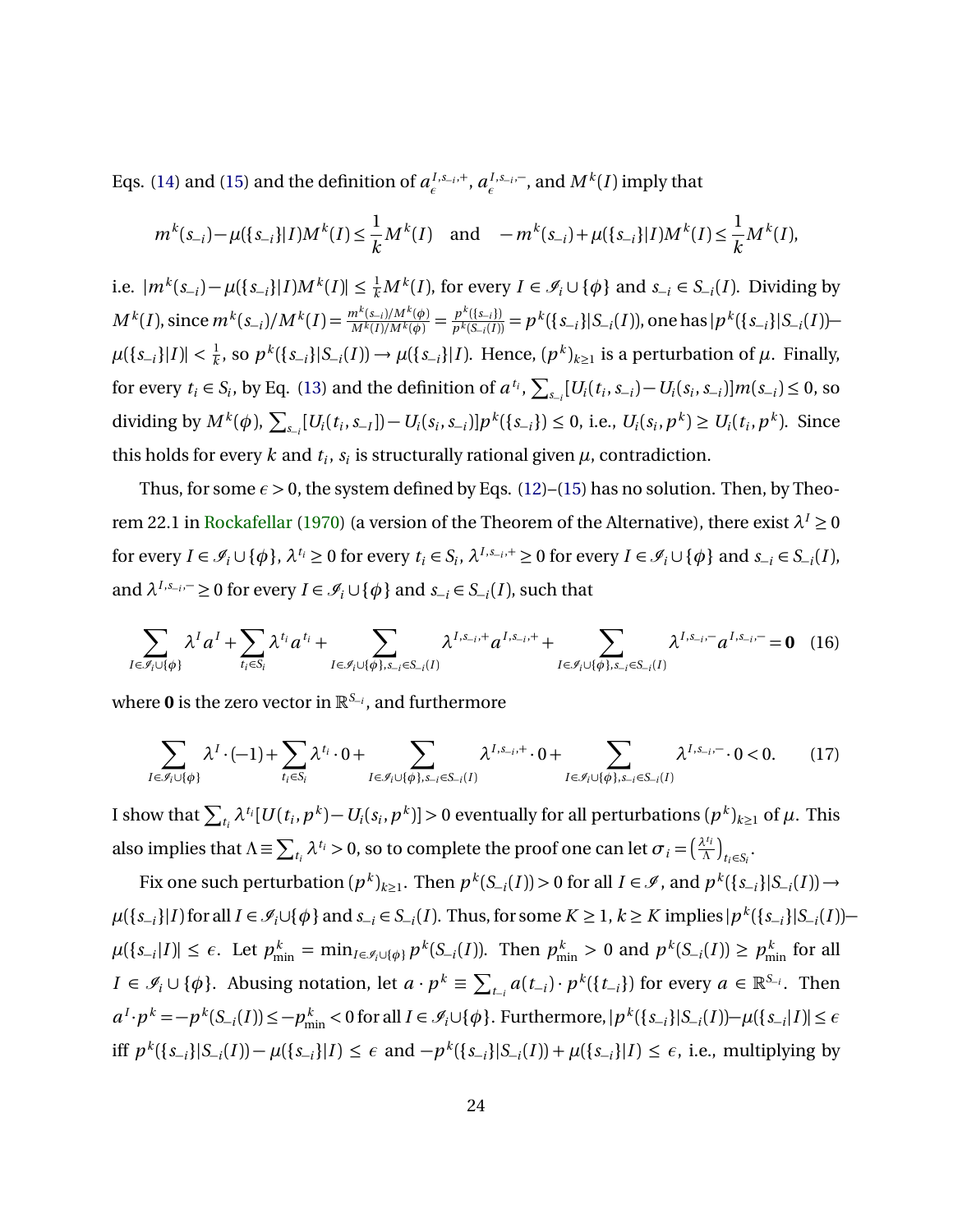Eqs. [\(14\)](#page-22-0) and [\(15\)](#page-22-0) and the definition of  $a_{\epsilon}^{I,s_{-i},+}$ ,  $a_{\epsilon}^{I,s_{-i},-}$  $_{\epsilon}^{I,s_{-i},-}$ , and  $M^k(I)$  imply that

$$
m^{k}(s_{-i}) - \mu(\{s_{-i}\}|I)M^{k}(I) \leq \frac{1}{k}M^{k}(I) \quad \text{and} \quad -m^{k}(s_{-i}) + \mu(\{s_{-i}\}|I)M^{k}(I) \leq \frac{1}{k}M^{k}(I),
$$

i.e.  $|m^k(s_{-i}) - \mu(\{s_{-i}\}|I)M^k(I)| \leq \frac{1}{k}M^k(I)$ , for every  $I \in \mathcal{I}_i \cup \{\phi\}$  and  $s_{-i} \in S_{-i}(I)$ . Dividing by  $M^{k}(I),$  since  $m^{k}(s_{-i})/M^{k}(I) = \frac{m^{k}(s_{-i})/M^{k}(\phi)}{M^{k}(I)/M^{k}(\phi)} = \frac{p^{k}(\{s_{-i}\})}{p^{k}(S_{-i}(I))}$  $p^k(\{s_{-i}\}) = p^k(\{s_{-i}\} | S_{-i}(I))$ , one has  $|p^k(\{s_{-i}\} | S_{-i}(I)) \mu(\{s_{-i}\}|I)$ | <  $\frac{1}{k}$  $\frac{1}{k}$ , so  $p^k({s_{-i}}|S_{-i}(I))$  →  $\mu({s_{-i}}|I)$ . Hence,  $(p^k)_{k≥1}$  is a perturbation of  $\mu$ . Finally, for every  $t_i \in S_i$ , by Eq. [\(13\)](#page-22-0) and the definition of  $a^{t_i}$ ,  $\sum_{s_{-i}} [U_i(t_i, s_{-i}) - U_i(s_i, s_{-i})] m(s_{-i}) \le 0$ , so dividing by  $M^k(\phi)$ ,  $\sum_{s_{-i}} [U_i(t_i, s_{-i}]) - U_i(s_i, s_{-i})] p^k(\{s_{-i}\}) \le 0$ , i.e.,  $U_i(s_i, p^k) \ge U_i(t_i, p^k)$ . Since this holds for every  $k$  and  $t_i$ ,  $s_i$  is structurally rational given  $\mu$ , contradiction.

Thus, for some  $\epsilon > 0$ , the system defined by Eqs. [\(12\)](#page-22-0)–[\(15\)](#page-22-0) has no solution. Then, by Theo-rem 22.1 in [Rockafellar](#page-43-10) [\(1970\)](#page-43-10) (a version of the Theorem of the Alternative), there exist  $\lambda^I \geq 0$ for every  $I \in \mathcal{I}_i \cup \{\phi\}$ ,  $\lambda^{t_i} \ge 0$  for every  $t_i \in S_i$ ,  $\lambda^{I,s_{-i},+} \ge 0$  for every  $I \in \mathcal{I}_i \cup \{\phi\}$  and  $s_{-i} \in S_{-i}(I)$ , and  $\lambda^{I,s_{-i},-} \ge 0$  for every  $I \in \mathcal{I}_i \cup \{\phi\}$  and  $s_{-i} \in S_{-i}(I)$ , such that

<span id="page-23-0"></span>
$$
\sum_{I \in \mathcal{I}_i \cup \{\phi\}} \lambda^I a^I + \sum_{t_i \in S_i} \lambda^{t_i} a^{t_i} + \sum_{I \in \mathcal{I}_i \cup \{\phi\}, s_{-i} \in S_{-i}(I)} \lambda^{I, s_{-i}, +} a^{I, s_{-i}, +} + \sum_{I \in \mathcal{I}_i \cup \{\phi\}, s_{-i} \in S_{-i}(I)} \lambda^{I, s_{-i}, -} a^{I, s_{-i}, -} = \mathbf{0} \quad (16)
$$

where **0** is the zero vector in R*<sup>S</sup>*−*<sup>i</sup>* , and furthermore

<span id="page-23-1"></span>
$$
\sum_{I \in \mathcal{I}_i \cup \{\phi\}} \lambda^I \cdot (-1) + \sum_{t_i \in S_i} \lambda^{t_i} \cdot 0 + \sum_{I \in \mathcal{I}_i \cup \{\phi\}, s_{-i} \in S_{-i}(I)} \lambda^{I, s_{-i}, +} \cdot 0 + \sum_{I \in \mathcal{I}_i \cup \{\phi\}, s_{-i} \in S_{-i}(I)} \lambda^{I, s_{-i}, -} \cdot 0 < 0. \tag{17}
$$

I show that  $\sum_{t_i} \lambda^{t_i} [U(t_i,p^k)-U_i(s_i,p^k)]>0$  eventually for all perturbations  $(p^k)_{k\geq 1}$  of  $\mu.$  This also implies that  $\Lambda \equiv \sum_{t_i}\lambda^{t_i}>0,$  so to complete the proof one can let  $\sigma_i=(\frac{\lambda^{t_i}}{\Lambda})$  $\frac{d^{t_i}}{\Lambda}$ <sub> $t_i \in S_i$ </sub>.

Fix one such perturbation  $(p^k)_{k\geq 1}$ . Then  $p^k(S_{-i}(I)) > 0$  for all  $I \in \mathscr{I}$ , and  $p^k(\{s_{-i}\}|S_{-i}(I)) \to$  $\mu({s_{-i}}|I)$  for all  $I \in \mathcal{I}_i \cup \{\phi\}$  and  $s_{-i} \in S_{-i}(I)$ . Thus, for some  $K \geq 1$ ,  $k \geq K$  implies  $|p^k({s_{-i}}|S_{-i}(I)) \mu({s_{-i}}|I)| \leq \epsilon$ . Let  $p_{\min}^k = \min_{I \in \mathcal{I}_i \cup \{\phi\}} p^k(S_{-i}(I))$ . Then  $p_{\min}^k > 0$  and  $p^k(S_{-i}(I)) \geq p_{\min}^k$  for all  $I \in \mathscr{I}_i \cup \{\phi\}$ . Abusing notation, let  $a \cdot p^k \equiv \sum_{t=1}^k a(t-1) \cdot p^k(\{t-1\})$  for every  $a \in \mathbb{R}^{S-1}$ . Then  $a^I \cdot p^k = -p^k(S_{-i}(I)) \le -p_{\min}^k < 0$  for all  $I \in \mathcal{I}_i \cup \{\phi\}$ . Furthermore,  $|p^k(\{s_{-i}\}|S_{-i}(I)) - \mu(\{s_{-i}|I)\}| \le \epsilon$ iff  $p^k(\{s_{-i}\}|S_{-i}(I)) - \mu(\{s_{-i}\}|I) \le \epsilon$  and  $-p^k(\{s_{-i}\}|S_{-i}(I)) + \mu(\{s_{-i}\}|I) \le \epsilon$ , i.e., multiplying by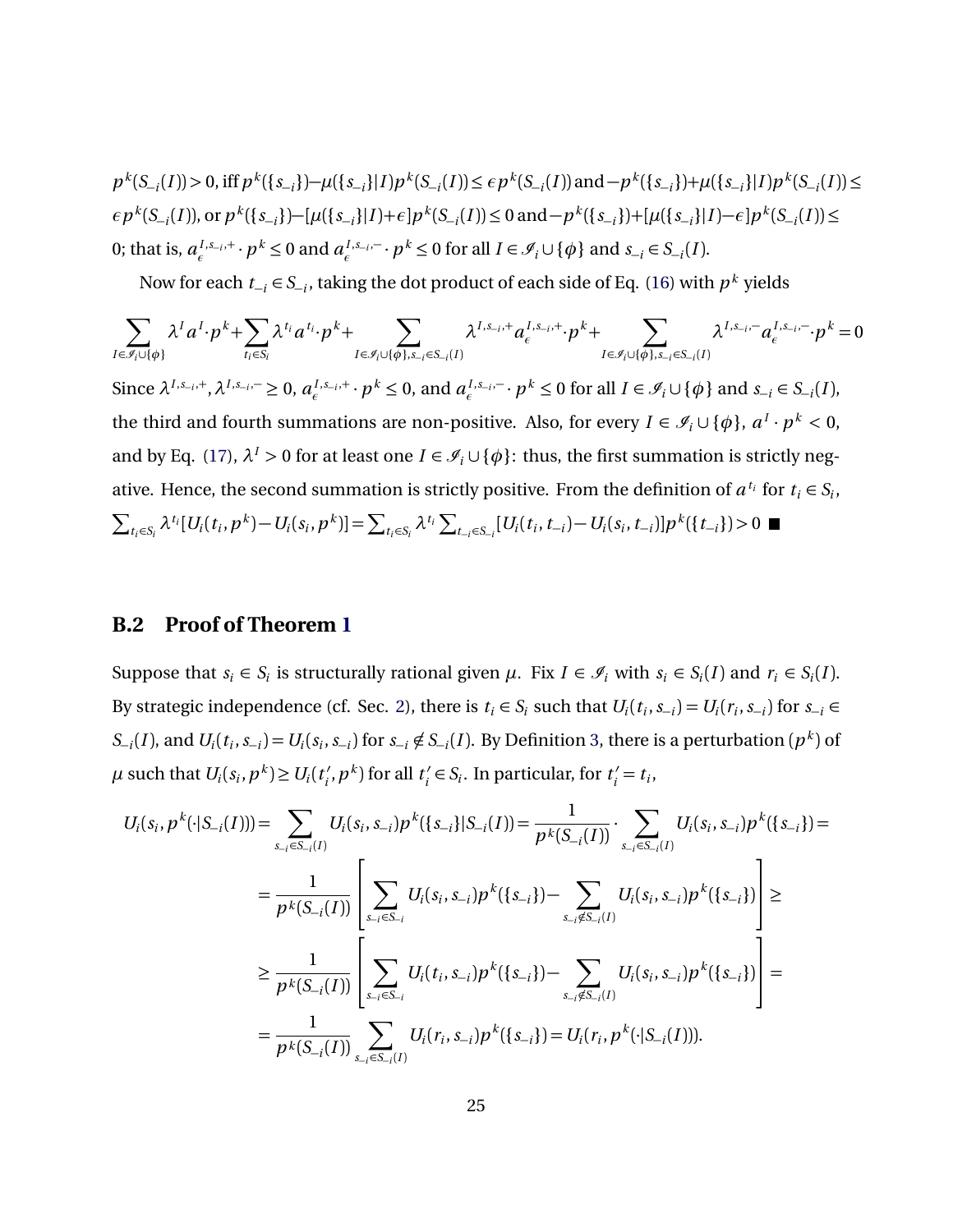$p^k(S_{-i}(I)) > 0$ , iff  $p^k(\{s_{-i}\}) - \mu(\{s_{-i}\}|I)p^k(S_{-i}(I)) \le \epsilon p^k(S_{-i}(I))$  and  $-p^k(\{s_{-i}\}) + \mu(\{s_{-i}\}|I)p^k(S_{-i}(I)) \le \epsilon p^k(S_{-i}(I))$  $\epsilon p^k(S_{-i}(I))$ , or  $p^k(\{s_{-i}\}) - [\mu(\{s_{-i}\}|I) + \epsilon]p^k(S_{-i}(I)) \le 0$  and  $-p^k(\{s_{-i}\}) + [\mu(\{s_{-i}\}|I) - \epsilon]p^k(S_{-i}(I)) \le 0$ 0; that is,  $a_{\epsilon}^{I, s_{-i}, +} \cdot p^k \le 0$  and  $a_{\epsilon}^{I, s_{-i}, -}$ *E*<sub>*f*</sub>  $\cdot$  *p*<sup>*k*</sup>  $\leq$  0 for all *I*  $\in$  *J*<sub>*i*</sub></sub>  $\cup$  { $\phi$ } and *s*<sub>−*i*</sub>  $\in$  *S*<sub>−*i*</sub>(*I*).

Now for each  $t_{-i} \in S_{-i}$ , taking the dot product of each side of Eq. [\(16\)](#page-23-0) with  $p^k$  yields

$$
\sum_{I \in \mathcal{I}_i \cup \{\phi\}} \lambda^I a^I \cdot p^k + \sum_{t_i \in S_i} \lambda^{t_i} a^{t_i} \cdot p^k + \sum_{I \in \mathcal{I}_i \cup \{\phi\}, s_{-i} \in S_{-i}(I)} \lambda^{I, s_{-i}, +} a_{\epsilon}^{I, s_{-i}, +} \cdot p^k + \sum_{I \in \mathcal{I}_i \cup \{\phi\}, s_{-i} \in S_{-i}(I)} \lambda^{I, s_{-i}, -} a_{\epsilon}^{I, s_{-i}, -} \cdot p^k = 0
$$
\nSince  $\lambda^{I, s_{-i}, +}$ ,  $\lambda^{I, s_{-i}, -} \ge 0$ ,  $a_{\epsilon}^{I, s_{-i}, +}$   $\cdot p^k \le 0$ , and  $a_{\epsilon}^{I, s_{-i}, -}$   $\cdot p^k \le 0$  for all  $I \in \mathcal{I}_i \cup \{\phi\}$  and  $s_{-i} \in S_{-i}(I)$ ,  
\nthe third and fourth summations are non-positive. Also, for every  $I \in \mathcal{I}_i \cup \{\phi\}$ ,  $a^I \cdot p^k < 0$ ,  
\nand by Eq. (17),  $\lambda^I > 0$  for at least one  $I \in \mathcal{I}_i \cup \{\phi\}$ : thus, the first summation is strictly neg-  
\native. Hence, the second summation is strictly positive. From the definition of  $a^{t_i}$  for  $t_i \in S_i$ ,  
\n
$$
\sum_{t_i \in S_i} \lambda^{t_i} [U_i(t_i, p^k) - U_i(s_i, p^k)] = \sum_{t_i \in S_i} \lambda^{t_i} \sum_{t_{-i} \in S_{-i}} [U_i(t_i, t_{-i}) - U_i(s_i, t_{-i})] p^k(\{t_{-i}\}) > 0
$$

#### **B.2 Proof of Theorem [1](#page-9-1)**

Suppose that  $s_i \in S_i$  is structurally rational given  $\mu$ . Fix  $I \in \mathcal{I}_i$  with  $s_i \in S_i(I)$  and  $r_i \in S_i(I)$ . By strategic independence (cf. Sec. [2\)](#page-4-0), there is  $t_i \in S_i$  such that  $U_i(t_i, s_{-i}) = U_i(r_i, s_{-i})$  for  $s_{-i} \in S_i$  $S_{-i}(I)$ , and  $U_i(t_i, s_{-i}) = U_i(s_i, s_{-i})$  for  $s_{-i} \notin S_{-i}(I)$ . By Definition [3,](#page-7-1) there is a perturbation  $(p^k)$  of  $\mu$  such that  $U_i(s_i, p^k) \ge U_i(t_i)$  $(t_i', p^k)$  for all  $t_i'$  $t_i \in S_i$ . In particular, for  $t_i' = t_i$ ,

$$
U_{i}(s_{i}, p^{k}(\cdot | S_{-i}(I))) = \sum_{s_{-i} \in S_{-i}(I)} U_{i}(s_{i}, s_{-i}) p^{k}(\{s_{-i}\} | S_{-i}(I)) = \frac{1}{p^{k}(S_{-i}(I))} \cdot \sum_{s_{-i} \in S_{-i}(I)} U_{i}(s_{i}, s_{-i}) p^{k}(\{s_{-i}\}) =
$$
  
\n
$$
= \frac{1}{p^{k}(S_{-i}(I))} \left[ \sum_{s_{-i} \in S_{-i}} U_{i}(s_{i}, s_{-i}) p^{k}(\{s_{-i}\}) - \sum_{s_{-i} \notin S_{-i}(I)} U_{i}(s_{i}, s_{-i}) p^{k}(\{s_{-i}\}) \right] \ge
$$
  
\n
$$
\geq \frac{1}{p^{k}(S_{-i}(I))} \left[ \sum_{s_{-i} \in S_{-i}} U_{i}(t_{i}, s_{-i}) p^{k}(\{s_{-i}\}) - \sum_{s_{-i} \notin S_{-i}(I)} U_{i}(s_{i}, s_{-i}) p^{k}(\{s_{-i}\}) \right] =
$$
  
\n
$$
= \frac{1}{p^{k}(S_{-i}(I))} \sum_{s_{-i} \in S_{-i}(I)} U_{i}(r_{i}, s_{-i}) p^{k}(\{s_{-i}\}) = U_{i}(r_{i}, p^{k}(\cdot | S_{-i}(I))).
$$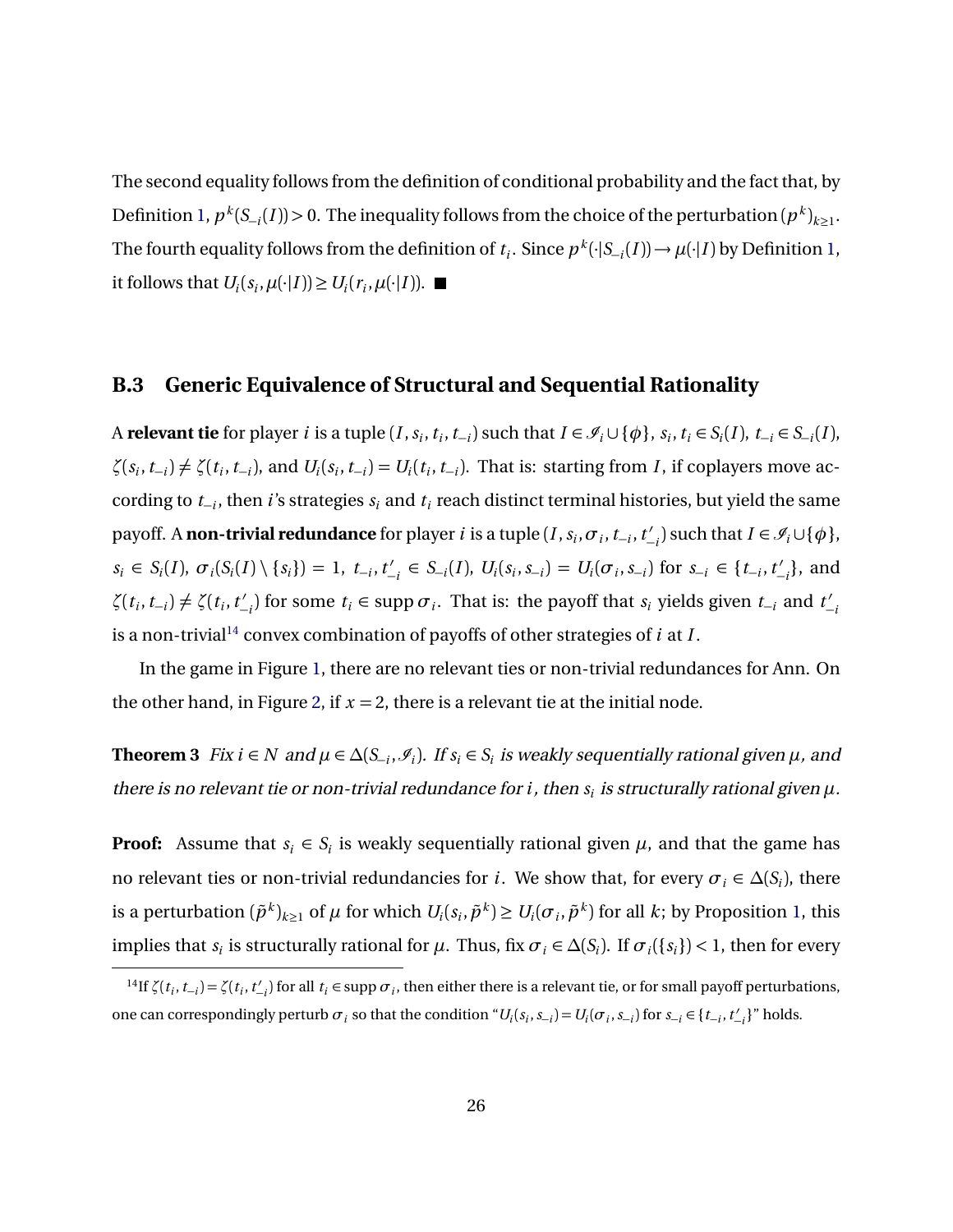The second equality follows from the definition of conditional probability and the fact that, by Definition [1,](#page-6-0)  $p^k(S_{-i}(I)) > 0$ . The inequality follows from the choice of the perturbation  $(p^k)_{k \geq 1}$ . The fourth equality follows from the definition of  $t_i$ . Since  $p^k(\cdot|S_{-i}(I)) \to \mu(\cdot|I)$  by Definition [1,](#page-6-0) it follows that  $U_i(s_i, \mu(\cdot | I)) \ge U_i(r_i, \mu(\cdot | I)).$ 

#### <span id="page-25-1"></span>**B.3 Generic Equivalence of Structural and Sequential Rationality**

A **relevant tie** for player *i* is a tuple  $(I, s_i, t_i, t_{-i})$  such that  $I \in \mathcal{I}_i \cup \{\phi\}$ ,  $s_i, t_i \in S_i(I)$ ,  $t_{-i} \in S_{-i}(I)$ ,  $\zeta(s_i, t_{-i}) \neq \zeta(t_i, t_{-i})$ , and  $U_i(s_i, t_{-i}) = U_i(t_i, t_{-i})$ . That is: starting from *I*, if coplayers move according to *t*<sup>−</sup>*<sup>i</sup>* , then *i*'s strategies *s<sup>i</sup>* and *t<sup>i</sup>* reach distinct terminal histories, but yield the same payoff. A <mark>non-trivial redundance</mark> for player *i* is a tuple (*I* ,  $s_i$  ,  $\sigma$  <sub>*i*</sub> ,  $t_{-i}$  ,  $t'_{-i}$  $\mathcal{I}_{-i}$ ) such that *I* ∈  $\mathcal{I}_{i} \cup {\phi}$ ,  $s_i \in S_i(I), \sigma_i(S_i(I) \setminus \{s_i\}) = 1, t_{-i}, t'_{-i}$  $U'_{-i} \in S_{-i}(I), U_i(s_i, s_{-i}) = U_i(\sigma_i, s_{-i})$  for  $s_{-i} \in \{t_{-i}, t'_{-i}\}$  $\binom{7}{i}$ , and  $\zeta(t_i, t_{-i}) \neq \zeta(t_i, t'_{-i})$  $\binom{t}{i}$  for some *t*<sub>*i*</sub> ∈ supp  $\sigma$ <sub>*i*</sub>. That is: the payoff that *s*<sup>*i*</sup> yields given *t*<sub>−*i*</sub> and *t*<sup> $'$ </sup> −*i* is a non-trivial<sup>[14](#page-25-2)</sup> convex combination of payoffs of other strategies of  $i$  at  $I$ .

In the game in Figure [1,](#page-1-1) there are no relevant ties or non-trivial redundances for Ann. On the other hand, in Figure [2,](#page-8-0) if  $x = 2$ , there is a relevant tie at the initial node.

<span id="page-25-0"></span>**Theorem 3** Fix  $i \in N$  and  $\mu \in \Delta(S_{-i}, \mathcal{I}_i)$ . If  $s_i \in S_i$  is weakly sequentially rational given  $\mu$ , and there is no relevant tie or non-trivial redundance for  $i$  , then  $s_i$  is structurally rational given  $\mu$ .

**Proof:** Assume that  $s_i \in S_i$  is weakly sequentially rational given  $\mu$ , and that the game has no relevant ties or non-trivial redundancies for *i*. We show that, for every  $\sigma_i \in \Delta(S_i)$ , there is a perturbation  $(\tilde{p}^k)_{k\geq 1}$  of  $\mu$  for which  $U_i(s_i,\tilde{p}^k)\geq U_i(\sigma_i,\tilde{p}^k)$  for all  $k$ ; by Proposition [1,](#page-9-0) this implies that  $s_i$  is structurally rational for  $\mu$ . Thus, fix  $\sigma_i \in \Delta(S_i)$ . If  $\sigma_i({s_i}) < 1$ , then for every

<span id="page-25-2"></span><sup>&</sup>lt;sup>14</sup>If  $\zeta(t_i, t_{-i}) = \zeta(t_i, t'_{-i})$  for all  $t_i \in \text{supp } \sigma_i$ , then either there is a relevant tie, or for small payoff perturbations, one can correspondingly perturb  $\sigma_i$  so that the condition " $U_i(s_i, s_{-i}) = U_i(\sigma_i, s_{-i})$  for  $s_{-i} \in \{t_{-i}, t'_{-i}\}$ " holds.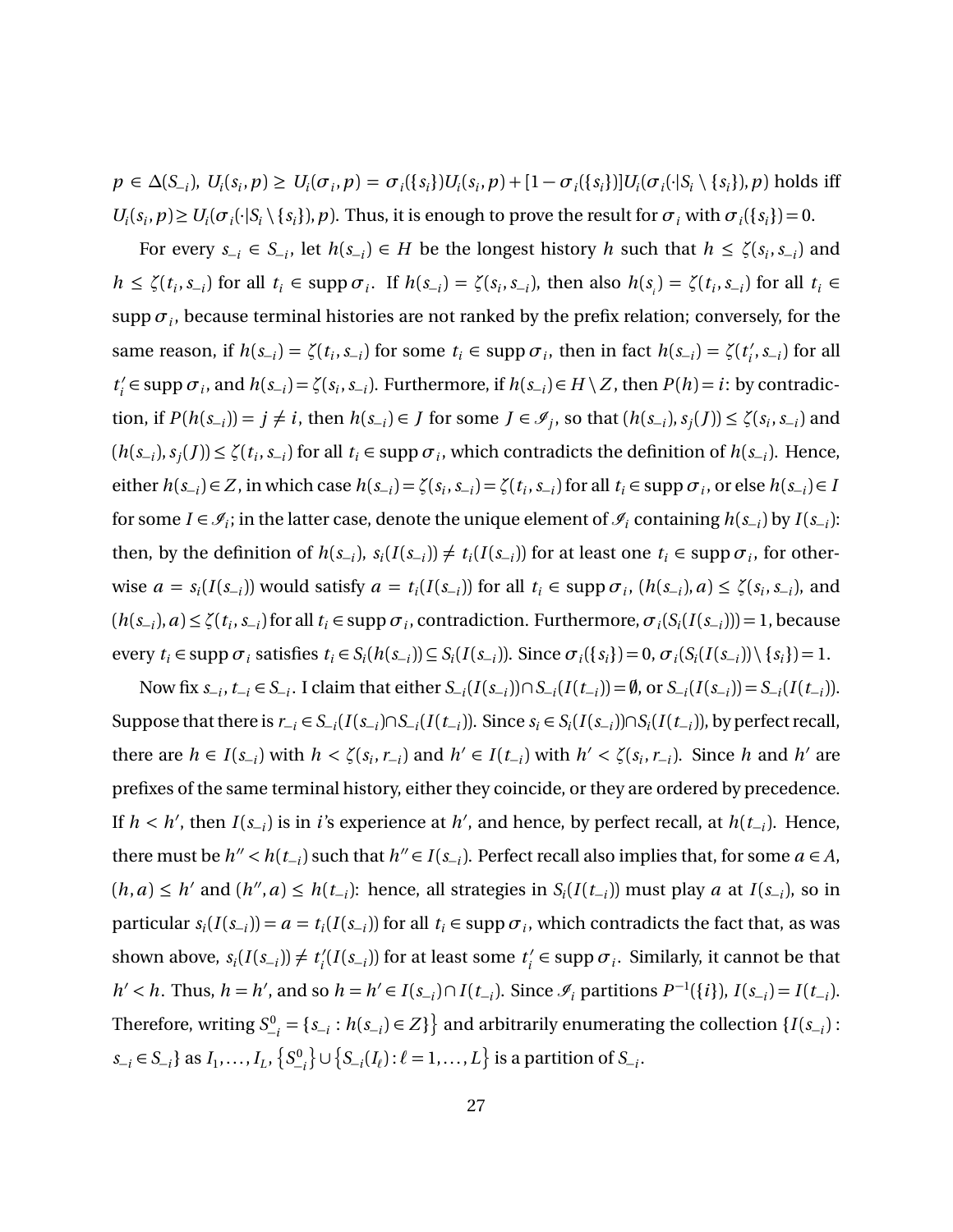$p \in \Delta(S_{-i}), U_i(s_i, p) \ge U_i(\sigma_i, p) = \sigma_i(\{s_i\})U_i(s_i, p) + [1 - \sigma_i(\{s_i\})]U_i(\sigma_i(\cdot | S_i \setminus \{s_i\}), p)$  holds iff  $U_i(s_i, p) \ge U_i(\sigma_i(\cdot|S_i \setminus \{s_i\}), p)$ . Thus, it is enough to prove the result for  $\sigma_i$  with  $\sigma_i(\{s_i\}) = 0$ .

For every  $s_{-i} \in S_{-i}$ , let  $h(s_{-i}) \in H$  be the longest history *h* such that  $h \le \zeta(s_i, s_{-i})$  and  $h \le \zeta(t_i, s_{-i})$  for all  $t_i \in \text{supp } \sigma_i$ . If  $h(s_{-i}) = \zeta(s_i, s_{-i})$ , then also  $h(s_i) = \zeta(t_i, s_{-i})$  for all  $t_i \in$  $\sup$ p $\sigma_i$ , because terminal histories are not ranked by the prefix relation; conversely, for the same reason, if  $h(s_{-i}) = \zeta(t_i, s_{-i})$  for some  $t_i \in \text{supp } \sigma_i$ , then in fact  $h(s_{-i}) = \zeta(t_i)$ *i* ,*s*<sup>−</sup>*<sup>i</sup>* ) for all  $t_i'$  $S_i$   $\in$  supp  $\sigma_i$ , and  $h(s_{-i}) = \zeta(s_i, s_{-i})$ . Furthermore, if  $h(s_{-i}) \in H \setminus Z$ , then  $P(h) = i$ : by contradiction, if  $P(h(s_{-i})) = j \neq i$ , then  $h(s_{-i}) \in J$  for some  $J \in \mathcal{I}_j$ , so that  $(h(s_{-i}), s_j(J)) \leq \zeta(s_i, s_{-i})$  and  $(h(s_{-i}), s_j(J)) \le \zeta(t_i, s_{-i})$  for all  $t_i \in \text{supp } \sigma_i$ , which contradicts the definition of  $h(s_{-i})$ . Hence, either  $h(s_{-i}) \in Z$ , in which case  $h(s_{-i}) = \zeta(s_i, s_{-i}) = \zeta(t_i, s_{-i})$  for all  $t_i \in \text{supp } \sigma_i$ , or else  $h(s_{-i}) \in R$ for some  $I \in \mathcal{I}_i$ ; in the latter case, denote the unique element of  $\mathcal{I}_i$  containing  $h(s_{-i})$  by  $I(s_{-i})$ : then, by the definition of  $h(s_{-i}), s_i(I(s_{-i})) \neq t_i(I(s_{-i}))$  for at least one  $t_i \in \text{supp } \sigma_i$ , for otherwise  $a = s_i(I(s_{-i}))$  would satisfy  $a = t_i(I(s_{-i}))$  for all  $t_i \in \text{supp } \sigma_i$ ,  $(h(s_{-i}), a) \le \zeta(s_i, s_{-i})$ , and  $(h(s_{-i}), a) \le \zeta(t_i, s_{-i})$  for all  $t_i \in \text{supp } \sigma_i$ , contradiction. Furthermore,  $\sigma_i(S_i(I(s_{-i}))) = 1$ , because every  $t_i \in \text{supp } \sigma_i$  satisfies  $t_i \in S_i(h(s_{-i})) \subseteq S_i(I(s_{-i}))$ . Since  $\sigma_i(\{s_i\}) = 0$ ,  $\sigma_i(S_i(I(s_{-i})) \setminus \{s_i\}) = 1$ .

Now fix  $s_{-i}$ ,  $t_{-i} \in S_{-i}$ . I claim that either  $S_{-i}(I(s_{-i})) \cap S_{-i}(I(t_{-i})) = \emptyset$ , or  $S_{-i}(I(s_{-i})) = S_{-i}(I(t_{-i}))$ . Suppose that there is  $r_{-i} \in S_{-i}(I(s_{-i}) \cap S_{-i}(I(t_{-i}))$ . Since  $s_i \in S_i(I(s_{-i})) \cap S_i(I(t_{-i}))$ , by perfect recall, there are  $h \in I(s_{-i})$  with  $h < \zeta(s_i, r_{-i})$  and  $h' \in I(t_{-i})$  with  $h' < \zeta(s_i, r_{-i})$ . Since h and h' are prefixes of the same terminal history, either they coincide, or they are ordered by precedence. If  $h < h'$ , then  $I(s_{-i})$  is in *i*'s experience at  $h'$ , and hence, by perfect recall, at  $h(t_{-i})$ . Hence, there must be  $h'' < h(t_{-i})$  such that  $h'' \in I(s_{-i})$ . Perfect recall also implies that, for some  $a \in A$ ,  $(h, a) \le h'$  and  $(h'', a) \le h(t_{-i})$ : hence, all strategies in  $S_i(I(t_{-i}))$  must play a at  $I(s_{-i})$ , so in particular  $s_i(I(s_{-i})) = a = t_i(I(s_{-i}))$  for all  $t_i \in \text{supp } \sigma_i$ , which contradicts the fact that, as was shown above,  $s_i(I(s_{-i})) \neq t'_i$  $\chi'_i(I(s_{-i}))$  for at least some  $t'_i$  $a_i' \in \text{supp } \sigma_i$ . Similarly, it cannot be that  $h' < h$ . Thus,  $h = h'$ , and so  $h = h' \in I(s_{-i}) \cap I(t_{-i})$ . Since  $\mathcal{I}_i$  partitions  $P^{-1}(\{i\})$ ,  $I(s_{-i}) = I(t_{-i})$ . Therefore, writing  $S_{-i}^0 = \{s_{-i} : h(s_{-i}) \in Z\}$  and arbitrarily enumerating the collection  $\{I(s_{-i}) :$ *s*−*i*</sub> ∈ *S*−*i*</sub>} as *I*<sub>1</sub>,...,*I*<sub>*L*</sub>, {*S*<sup>0</sup><sup>-</sup><sub>*i*</sub></sub>} ∪ {*S*−*i*(*I*<sub>*l*</sub>) :  $\ell$  = 1,...,*L*} is a partition of *S*−*i*.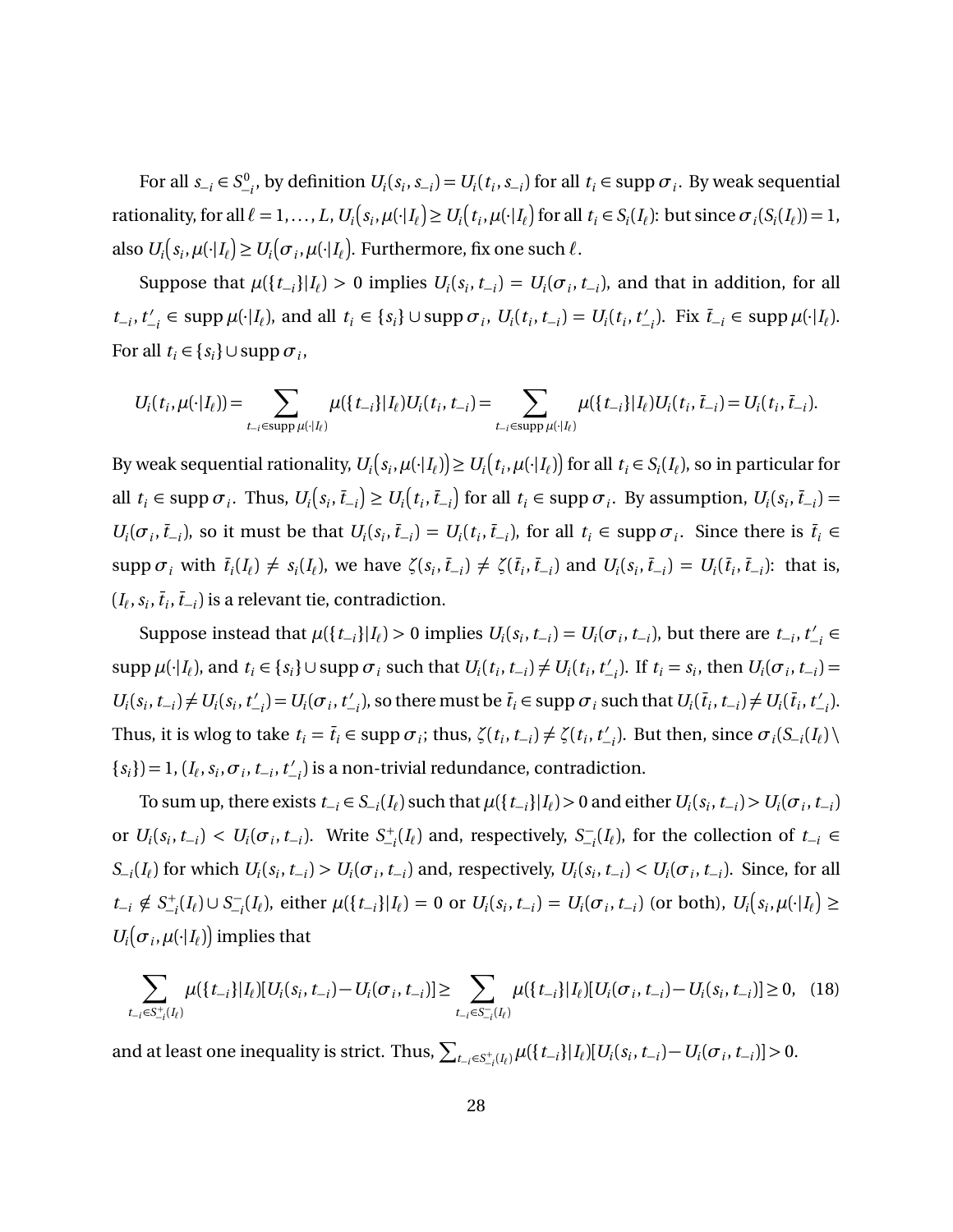For all  $s_{-i} \in S^0_{-i}$ , by definition  $U_i(s_i, s_{-i}) = U_i(t_i, s_{-i})$  for all  $t_i \in \text{supp } \sigma_i$ . By weak sequential rationality, for all  $\ell = 1, ..., L$ ,  $U_i(s_i, \mu(\cdot | I_\ell) \ge U_i(t_i, \mu(\cdot | I_\ell))$  for all  $t_i \in S_i(I_\ell)$ : but since  $\sigma_i(S_i(I_\ell)) = 1$ , also  $U_i(s_i, \mu(\cdot | I_\ell) \ge U_i(\sigma_i, \mu(\cdot | I_\ell)).$  Furthermore, fix one such  $\ell$ .

Suppose that  $\mu({t_{-i}}|I_{\ell}) > 0$  implies  $U_i(s_i, t_{-i}) = U_i(\sigma_i, t_{-i})$ , and that in addition, for all  $t_{-i}$ ,  $t'_{-i}$  $\mathcal{L}_{i,j} \in \text{supp }\mu(\cdot | I_{\ell})$ , and all  $t_i \in \{s_i\} \cup \text{supp }\sigma_i$ ,  $U_i(t_i, t_{-i}) = U_i(t_i, t'_{-i})$  $\mathcal{L}_{-i}$ ). Fix  $\bar{t}_{-i}$  ∈ supp  $\mu(\cdot|I_{\ell})$ . For all  $t_i \in \{s_i\} \cup \text{supp } \sigma_i$ ,

$$
U_i(t_i, \mu(\cdot | I_\ell)) = \sum_{t_{-i} \in \text{supp }\mu(\cdot | I_\ell)} \mu(\{t_{-i}\} | I_\ell) U_i(t_i, t_{-i}) = \sum_{t_{-i} \in \text{supp }\mu(\cdot | I_\ell)} \mu(\{t_{-i}\} | I_\ell) U_i(t_i, \overline{t}_{-i}) = U_i(t_i, \overline{t}_{-i}).
$$

By weak sequential rationality,  $U_i\big(s_i,\mu(\cdot|I_\ell)\big)\!\ge\! U_i\big(t_i,\mu(\cdot|I_\ell)\big)$  for all  $t_i\in S_i(I_\ell)$ , so in particular for all  $t_i \in \text{supp } \sigma_i$ . Thus,  $U_i(s_i, \bar{t}_{-i}) \geq U_i(t_i, \bar{t}_{-i})$  for all  $t_i \in \text{supp } \sigma_i$ . By assumption,  $U_i(s_i, \bar{t}_{-i})$  $U_i(\sigma_i, \bar{t}_{-i})$ , so it must be that  $U_i(s_i, \bar{t}_{-i}) = U_i(t_i, \bar{t}_{-i})$ , for all  $t_i \in \text{supp } \sigma_i$ . Since there is  $\bar{t}_i \in$ supp  $\sigma_i$  with  $\bar{t}_i(I_\ell) \neq s_i(I_\ell)$ , we have  $\zeta(s_i, \bar{t}_{-i}) \neq \zeta(\bar{t}_i, \bar{t}_{-i})$  and  $U_i(s_i, \bar{t}_{-i}) = U_i(\bar{t}_i, \bar{t}_{-i})$ : that is,  $(I_\ell, s_i, \bar{t}_i, \bar{t}_{-i})$  is a relevant tie, contradiction.

Suppose instead that  $\mu({t_{-i}}|I_\ell) > 0$  implies  $U_i(s_i, t_{-i}) = U_i(\sigma_i, t_{-i})$ , but there are  $t_{-i}, t'_{-i}$ −*i* ∈  $\sup p \mu(\cdot | I_{\ell})$ , and  $t_i \in \{s_i\} \cup \sup p \sigma_i$  such that  $U_i(t_i, t_{-i}) \neq U_i(t_i, t_{-i}')$  $U_i$ ). If  $t_i = s_i$ , then  $U_i(\sigma_i, t_{-i}) =$  $U_i(s_i, t_{-i}) \neq U_i(s_i, t'_{-i})$  $\binom{1}{i}$  =  $U_i(\sigma_i, t'$  $\overline{t}_i$ , so there must be  $\overline{t}_i \in \text{supp } \sigma_i$  such that  $U_i(\overline{t}_i, t_{-i}) \neq U_i(\overline{t}_i, t_{-i}')$ −*i* ). Thus, it is wlog to take  $t_i = \overline{t}_i \in \text{supp } \sigma_i$ ; thus,  $\zeta(t_i, t_{-i}) \neq \zeta(t_i, t'_{-i})$  $\mathcal{L}_{-i}^{\prime}$ ). But then, since  $\sigma_i(S_{-i}(I_{\ell}) \setminus I_{\ell})$  ${s_i}$ ) = 1, ( $I_\ell$ ,  $s_i$ ,  $\sigma_i$ ,  $t_{-i}$ ,  $t'_{-i}$  $\binom{1}{i}$  is a non-trivial redundance, contradiction.

To sum up, there exists  $t_{-i} \in S_{-i}(I_\ell)$  such that  $\mu(\{t_{-i}\}|I_\ell) > 0$  and either  $U_i(s_i, t_{-i}) > U_i(\sigma_i, t_{-i})$ or  $U_i(s_i, t_{-i}) < U_i(\sigma_i, t_{-i})$ . Write  $S_{-i}^+(I_i)$  and, respectively,  $S_{-i}^ \int_{-i}^{i-1} (I_{\ell})$ , for the collection of  $t_{-i}$  ∈  $S_{-i}(I_\ell)$  for which  $U_i(s_i, t_{-i}) > U_i(\sigma_i, t_{-i})$  and, respectively,  $U_i(s_i, t_{-i}) < U_i(\sigma_i, t_{-i})$ . Since, for all  $t_{-i} \notin S_{-i}^+(I_\ell) \cup S_{-i}^ U_{-i}^-(I_\ell)$ , either  $\mu({t_{-i}}|I_\ell) = 0$  or  $U_i(s_i, t_{-i}) = U_i(\sigma_i, t_{-i})$  (or both),  $U_i(s_i, \mu(\cdot | I_\ell) \geq 0)$  $U_i(\sigma_i, \mu(\cdot | I_\ell))$  implies that

<span id="page-27-0"></span>
$$
\sum_{t_{-i}\in S_{-i}^+(I_\ell)} \mu(\{t_{-i}\}|I_\ell)[U_i(s_i, t_{-i}) - U_i(\sigma_i, t_{-i})] \ge \sum_{t_{-i}\in S_{-i}^-(I_\ell)} \mu(\{t_{-i}\}|I_\ell)[U_i(\sigma_i, t_{-i}) - U_i(s_i, t_{-i})] \ge 0, \quad (18)
$$

and at least one inequality is strict. Thus,  $\sum_{t_{-i}\in S^+_{-i}(I_i)}\mu(\{t_{-i}\}|I_i)[U_i(s_i,t_{-i})-U_i(\sigma_i,t_{-i})]>0.$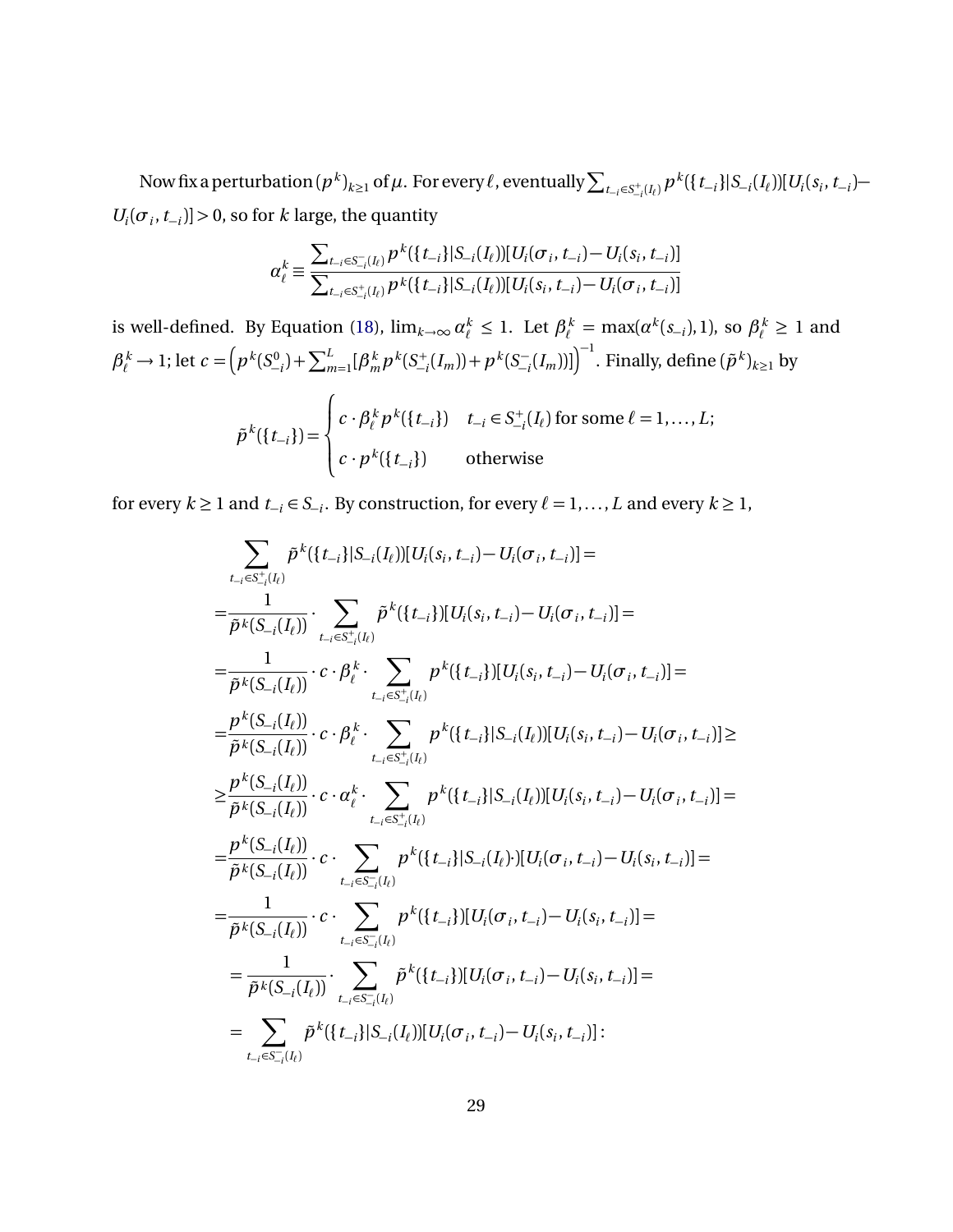Now fix a perturbation  $(p^k)_{k\geq 1}$  of  $\mu$  . For every  $\ell$  , eventually  $\sum_{t_{-i}\in S^+_{-i}(I_{\ell})}p^k(\{t_{-i}\}|S_{-i}(I_{\ell}))$   $[U_i(s_i,t_{-i}) U_i(\sigma_i, t_{-i})$  > 0, so for *k* large, the quantity

$$
\alpha_{\ell}^{k} \equiv \frac{\sum_{t_{-i} \in S_{-i}^{-}(I_{\ell})} p^{k}(\lbrace t_{-i} \rbrace | S_{-i}(I_{\ell})) [U_{i}(\sigma_{i}, t_{-i}) - U_{i}(s_{i}, t_{-i})]}{\sum_{t_{-i} \in S_{-i}^{+}(I_{\ell})} p^{k}(\lbrace t_{-i} \rbrace | S_{-i}(I_{\ell})) [U_{i}(s_{i}, t_{-i}) - U_{i}(\sigma_{i}, t_{-i})]}
$$

is well-defined. By Equation [\(18\)](#page-27-0),  $\lim_{k\to\infty} \alpha_\ell^k \le 1$ . Let  $\beta_\ell^k = \max(\alpha^k(s_{-i}), 1)$ , so  $\beta_\ell^k \ge 1$  and  $\beta_{\ell}^{k} \to 1$ ; let  $c = (p^{k}(S_{-i}^{0}) + \sum_{m=1}^{L} [\beta_{m}^{k}]$  $\binom{k}{m} p^k (S_{-i}^+(I_m)) + p^k (S_{-i}^-)$  $\left[\mathcal{I}_{-i}(I_m)]\right]^{-1}$ . Finally, define  $(\tilde{p}^{\,k})_{k\geq 1}$  by

$$
\tilde{p}^k(\lbrace t_{-i}\rbrace) = \begin{cases} c \cdot \beta_\ell^k p^k(\lbrace t_{-i}\rbrace) & t_{-i} \in S_{-i}^+(\lbrace t_{\ell} \rbrace) \text{ for some } \ell = 1, \ldots, L; \\ c \cdot p^k(\lbrace t_{-i}\rbrace) & \text{otherwise} \end{cases}
$$

for every  $k \ge 1$  and  $t_{-i} \in S_{-i}$ . By construction, for every  $\ell = 1, ..., L$  and every  $k \ge 1$ ,

$$
\sum_{t_{-i}\in S_{-i}^{+}(I_{\ell})}\tilde{p}^{k}(\lbrace t_{-i}\rbrace |S_{-i}(I_{\ell})][U_{i}(s_{i}, t_{-i}) - U_{i}(\sigma_{i}, t_{-i})] =
$$
\n
$$
= \frac{1}{\tilde{p}^{k}(S_{-i}(I_{\ell}))} \cdot \sum_{t_{-i}\in S_{-i}^{+}(I_{\ell})}\tilde{p}^{k}(\lbrace t_{-i}\rbrace)[U_{i}(s_{i}, t_{-i}) - U_{i}(\sigma_{i}, t_{-i})] =
$$
\n
$$
= \frac{1}{\tilde{p}^{k}(S_{-i}(I_{\ell}))} \cdot c \cdot \beta_{\ell}^{k} \cdot \sum_{t_{-i}\in S_{-i}^{+}(I_{\ell})}\tilde{p}^{k}(\lbrace t_{-i}\rbrace)[U_{i}(s_{i}, t_{-i}) - U_{i}(\sigma_{i}, t_{-i})] =
$$
\n
$$
= \frac{p^{k}(S_{-i}(I_{\ell}))}{\tilde{p}^{k}(S_{-i}(I_{\ell}))} \cdot c \cdot \beta_{\ell}^{k} \cdot \sum_{t_{-i}\in S_{-i}^{+}(I_{\ell})}\tilde{p}^{k}(\lbrace t_{-i}\rbrace |S_{-i}(I_{\ell})][U_{i}(s_{i}, t_{-i}) - U_{i}(\sigma_{i}, t_{-i})] \ge
$$
\n
$$
\geq \frac{p^{k}(S_{-i}(I_{\ell}))}{\tilde{p}^{k}(S_{-i}(I_{\ell}))} \cdot c \cdot \alpha_{\ell}^{k} \cdot \sum_{t_{-i}\in S_{-i}^{+}(I_{\ell})}\tilde{p}^{k}(\lbrace t_{-i}\rbrace |S_{-i}(I_{\ell}))][U_{i}(\sigma_{i}, t_{-i}) - U_{i}(\sigma_{i}, t_{-i})] =
$$
\n
$$
= \frac{p^{k}(S_{-i}(I_{\ell}))}{\tilde{p}^{k}(S_{-i}(I_{\ell}))} \cdot c \cdot \sum_{t_{-i}\in S_{-i}^{-}(I_{\ell})}\tilde{p}^{k}(\lbrace t_{-i}\rbrace)[U_{i}(\sigma_{i}, t_{-i}) - U_{i}(s_{i}, t_{-i})] =
$$
\n
$$
= \frac{1}{\tilde{p}^{k}(S_{-i}(I
$$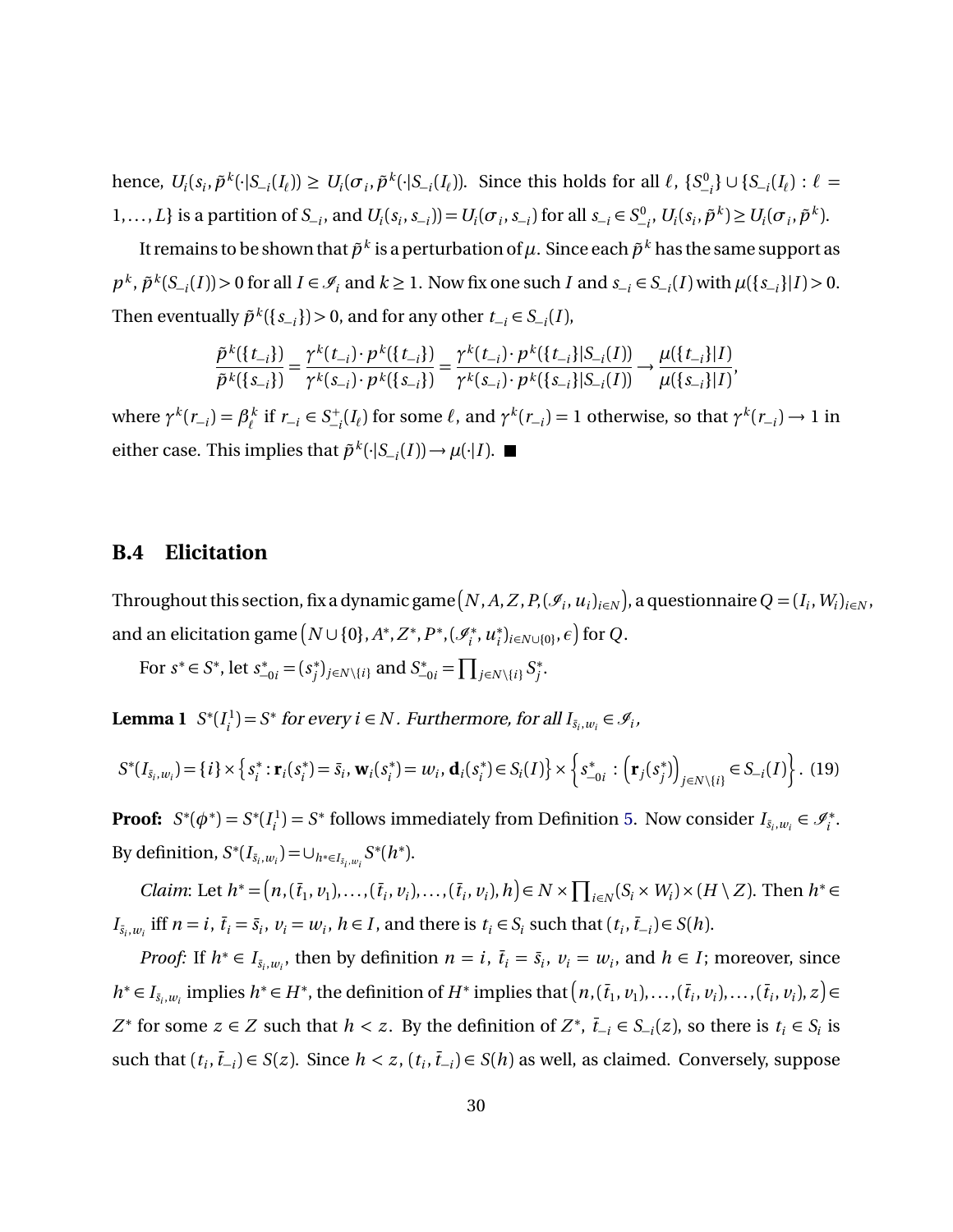hence,  $U_i(s_i, \tilde{p}^k(\cdot|S_{-i}(I_\ell)) \ge U_i(\sigma_i, \tilde{p}^k(\cdot|S_{-i}(I_\ell))$ . Since this holds for all  $\ell$ ,  $\{S_{-i}^0\} \cup \{S_{-i}(I_\ell) : \ell =$ 1,..., L} is a partition of  $S_{-i}$ , and  $U_i(s_i, s_{-i}) = U_i(\sigma_i, s_{-i})$  for all  $s_{-i} \in S^0_{-i}$ ,  $U_i(s_i, \tilde{p}^k) \ge U_i(\sigma_i, \tilde{p}^k)$ .

It remains to be shown that  $\tilde{p}^k$  is a perturbation of  $\mu$ . Since each  $\tilde{p}^k$  has the same support as  $p^k$ ,  $\tilde{p}^k(S_{-i}(I)) > 0$  for all  $I \in \mathcal{I}_i$  and  $k \ge 1$ . Now fix one such I and  $s_{-i} \in S_{-i}(I)$  with  $\mu(\{s_{-i}\}|I) > 0$ . Then eventually  $\tilde{p}^k({s_{-i}}) > 0$ , and for any other  $t_{-i} \in S_{-i}(I)$ ,

$$
\frac{\tilde{p}^k(\lbrace t_{-i}\rbrace)}{\tilde{p}^k(\lbrace s_{-i}\rbrace)} = \frac{\gamma^k(t_{-i})\cdot p^k(\lbrace t_{-i}\rbrace)}{\gamma^k(s_{-i})\cdot p^k(\lbrace s_{-i}\rbrace)} = \frac{\gamma^k(t_{-i})\cdot p^k(\lbrace t_{-i}\rbrace|S_{-i}(I))}{\gamma^k(s_{-i})\cdot p^k(\lbrace s_{-i}\rbrace|S_{-i}(I))} \longrightarrow \frac{\mu(\lbrace t_{-i}\rbrace|I)}{\mu(\lbrace s_{-i}\rbrace|I)},
$$

where  $\gamma^k$ ( $r_{-i}$ ) =  $\beta^k_{\ell}$  $\chi^k$  if  $r_{-i} \in S_{-i}^+(I_\ell)$  for some  $\ell$ , and  $\gamma^k(r_{-i}) = 1$  otherwise, so that  $\gamma^k(r_{-i}) \to 1$  in either case. This implies that  $\tilde{p}^k(\cdot | S_{-i}(I)) \to \mu(\cdot | I)$ .

#### **B.4 Elicitation**

Throughout this section, fix a dynamic game  $[N, A, Z, P,$   $(\mathscr{I}_i, u_i)_{i\in N})$ , a questionnaire  $Q = (I_i, W_i)_{i\in N}$  , and an elicitation game  $\big(N\cup\{0\},A^*,Z^*,P^*,(\mathscr{I}_i^*)\big)$ *i* ,*u* ∗  $f_i^*$ )<sub>*i*∈*N*∪{0}</sub>,  $\epsilon$ ) for Q.

For  $s^* \in S^*$ , let  $s_{-0i}^* = (s_j^*)$ *j*<sup>9</sup><sub>*j*∈*N*\{*i*}</sub> and *S*<sup>\*</sup><sub>−0*i*</sub> =  $\prod_{j \in N \setminus \{i\}} S_j^*$ *j* .

**Lemma 1**  $S^*(I_i^1)$  $J_i^1$ ) = *S*<sup>\*</sup> for every *i* ∈ *N*. Furthermore, for all  $I_{\bar{s}_i, w_i} \in \mathcal{I}_i$ ,

<span id="page-29-0"></span>
$$
S^*(I_{\bar{s}_i,w_i}) = \{i\} \times \left\{s_i^* : \mathbf{r}_i(s_i^*) = \bar{s}_i, \mathbf{w}_i(s_i^*) = w_i, \mathbf{d}_i(s_i^*) \in S_i(I)\right\} \times \left\{s_{-0i}^* : (\mathbf{r}_j(s_j^*))_{j \in N \setminus \{i\}} \in S_{-i}(I)\right\}.
$$
 (19)

**Proof:**  $S^*(\phi^*) = S^*(I_i^1)$  $J_i^{(1)} = S^*$  follows immediately from Definition [5.](#page-13-2) Now consider  $I_{\bar{s}_i, w_i} \in \mathcal{I}_i^*$ .  $\text{By definition, } S^*(I_{\bar{s}_i, w_i}) = \cup_{h^* \in I_{\bar{s}_i, w_i}} S^*(h^*).$ 

*Claim*: Let  $h^* = (n, (\bar{t}_1, v_1), \ldots, (\bar{t}_i, v_i), \ldots, (\bar{t}_i, v_i), h) \in N \times \prod_{i \in N} (S_i \times W_i) \times (H \setminus Z)$ . Then  $h^* \in$  $I_{\bar{s}_i,w_i}$  iff  $n=i$ ,  $\bar{t}_i=\bar{s}_i$ ,  $v_i=w_i$ ,  $h\in I$ , and there is  $t_i\in S_i$  such that  $(t_i,\bar{t}_{-i})\in S(h)$ .

*Proof:* If  $h^* \in I_{\bar{s}_i,w_i}$ , then by definition  $n = i$ ,  $\bar{t}_i = \bar{s}_i$ ,  $v_i = w_i$ , and  $h \in I$ ; moreover, since  $h^* \in I_{\bar{s}_i,w_i}$  implies  $h^* \in H^*$ , the definition of  $H^*$  implies that  $\left(n,(\bar{t}_1,v_1),\ldots,(\bar{t}_i,v_i),\ldots,(\bar{t}_i,v_i),z\right) \in$ *Z*<sup>∗</sup> for some *z* ∈ *Z* such that *h* < *z*. By the definition of *Z*<sup>∗</sup>,  $\bar{t}_{-i}$  ∈ *S*<sub>−*i*</sub>(*z*), so there is  $t_i$  ∈ *S<sub>i</sub>* is such that  $(t_i, \bar{t}_{-i})$  ∈ *S*(*z*). Since  $h < z$ ,  $(t_i, \bar{t}_{-i})$  ∈ *S*(*h*) as well, as claimed. Conversely, suppose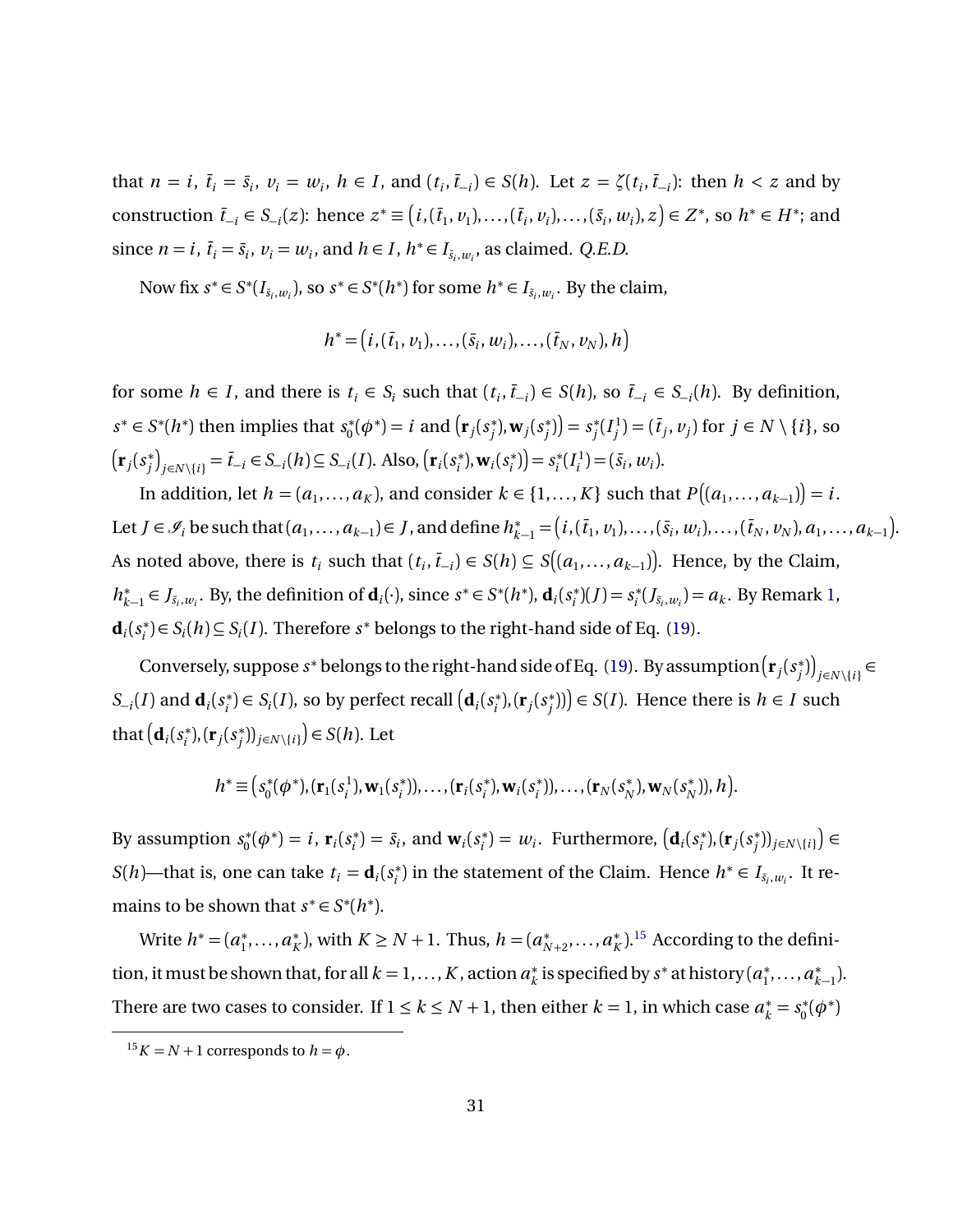that  $n = i$ ,  $\bar{t}_i = \bar{s}_i$ ,  $v_i = w_i$ ,  $h \in I$ , and  $(t_i, \bar{t}_{-i}) \in S(h)$ . Let  $z = \zeta(t_i, \bar{t}_{-i})$ : then  $h < z$  and by construction  $\bar{t}_{-i} \in S_{-i}(z)$ : hence  $z^* \equiv (i,(\bar{t}_1,v_1),\ldots,(\bar{t}_i,v_i),\ldots,(\bar{s}_i,w_i),z) \in Z^*$ , so  $h^* \in H^*$ ; and since  $n = i$ ,  $\bar{t}_i = \bar{s}_i$ ,  $v_i = w_i$ , and  $h \in I$ ,  $h^* \in I_{\bar{s}_i, w_i}$ , as claimed. *Q.E.D.* 

Now fix  $s^* \in S^*(I_{\bar{s}_i,w_i})$ , so  $s^* \in S^*(h^*)$  for some  $h^* \in I_{\bar{s}_i,w_i}$ . By the claim,

$$
h^* = (i, (\bar{t}_1, v_1), \ldots, (\bar{s}_i, w_i), \ldots, (\bar{t}_N, v_N), h)
$$

for some *h* ∈ *I*, and there is  $t_i$  ∈  $S_i$  such that  $(t_i, \overline{t}_{-i})$  ∈  $S(h)$ , so  $\overline{t}_{-i}$  ∈  $S_{-i}(h)$ . By definition,  $s^* \in S^*(h^*)$  then implies that  $s_0^*$  $j_0^*(\phi^*) = i$  and  $(\mathbf{r}_j(s_j^*))$ <sup>\*</sup><sub>*j*</sub>, **w**<sub>*j*</sub>( $s_j^*$  $\binom{*}{j}$  =  $s_j^*$  $j^*$  $(I_j^1)$  $j_j$ <sup>1</sup>) = ( $\bar{t}_j$ ,  $v_j$ ) for  $j \in N \setminus \{i\}$ , so  $\left(\mathbf{r}_j(s)^* \right)$  $\int_{i}^{*}$  *j*<sub> $j \in N \setminus \{i\}}$  =  $\bar{t}_{-i}$  ∈ *S*<sub>−*i*</sub></sub>(*h*) ⊆ *S*<sub>−*i*</sub>(*I*). Also,  $(\mathbf{r}_{i}(s_{i}^{*}))$  $(i)$ , **w**<sub>*i*</sub> $(s_i^*)$  $(s_i^*)$ ) =  $s_i^*$  $i^*$ <sup>( $I_i^1$ </sup>  $\binom{1}{i} = (\bar{s}_i, w_i).$ 

In addition, let  $h = (a_1, \ldots, a_K)$ , and consider  $k \in \{1, \ldots, K\}$  such that  $P((a_1, \ldots, a_{k-1})) = i$ . Let  $J \in \mathscr{I}_i$  be such that  $(a_1, ..., a_{k-1}) \in J$ , and define  $h_{k-1}^* = (i, (\bar{t}_1, v_1), ..., (\bar{s}_i, w_i), ..., (\bar{t}_N, v_N), a_1, ..., a_{k-1})$ . As noted above, there is  $t_i$  such that  $(t_i, \bar{t}_{-i}) \in S(h) \subseteq S((a_1, \ldots, a_{k-1}))$ . Hence, by the Claim, *h* ∗ *k*−1 ∈ *J*<sub>*s*<sup>*i*</sup>,*w*<sub>*i*</sub></sub>. By, the definition of **d**<sub>*i*</sub>(·), since *s*<sup>\*</sup> ∈ *S*<sup>\*</sup>(*h*<sup>\*</sup>), **d**<sub>*i*</sub>(*s*<sup>\*</sup><sub>*i*</sub>  $(s_i^*)$  $(J) = s_i^*$  $a_i^*(J_{\bar{s}_i,w_i}) = a_k$ . By Remark [1,](#page-20-2)  $\mathbf{d}_i$  $(s_i^*)$  $S_i^*$ ) ∈ *S<sub>i</sub>*(*h*) ⊆ *S<sub>i</sub>*(*I*). Therefore *s*<sup>\*</sup> belongs to the right-hand side of Eq. [\(19\)](#page-29-0).

Conversely, suppose  $s^*$  belongs to the right-hand side of Eq. [\(19\)](#page-29-0). By assumption  $(\mathbf{r}_j(s^*_i))$ \*) $\binom{2}{j}$ <sub>j∈</sub>*N* \{*i* } ∈  $S_{-i}(I)$  and  $\mathbf{d}_i(s_i^*)$  $\mathbf{S}_i^*$ )  $\in S_i(I)$ , so by perfect recall  $(\mathbf{d}_i(s_i^*)$ *i* ),(**r***<sup>j</sup>* (*s* ∗  $\binom{m}{j}$  $\equiv$  *S*(*I*). Hence there is *h*  $\in$  *I* such that  $(\mathbf{d}_i s_i^* )$  $(r_j^*), (\mathbf{r}_j(s_j^*))$  $\binom{(*)}{j}$ <sub>*j*∈*N*\{*i*}</sub> $\binom{(*)}{j}$  ∈ *S*(*h*). Let

$$
h^* \equiv (s_0^*(\phi^*), (\mathbf{r}_1(s_i^1), \mathbf{w}_1(s_i^*)), \dots, (\mathbf{r}_i(s_i^*), \mathbf{w}_i(s_i^*)), \dots, (\mathbf{r}_N(s_N^*), \mathbf{w}_N(s_N^*)), h).
$$

By assumption *s* ∗  $\mathbf{r}_0^*(\phi^*) = i$ ,  $\mathbf{r}_i(s_i^*)$  $\mathbf{v}_i^*$ ) =  $\bar{s}_i$ , and  $\mathbf{w}_i(s_i^*)$  $\mathbf{w}_i^*$ ) =  $w_i$ . Furthermore,  $(\mathbf{d}_i(s_i^*)$ *i* ),(**r***<sup>j</sup>* (*s* ∗  $\binom{*}{j}$ <sub>*j*∈*N* \{*i*}</sub> $\Big)$  ∈ *S*(*h*)—that is, one can take  $t_i = \mathbf{d}_i(s_i^*)$  $i$ <sup>\*</sup>) in the statement of the Claim. Hence  $h^* \in I_{\bar{s}_i,w_i}$ . It remains to be shown that  $s^* \in S^*(h^*)$ .

Write  $h^* = (a_1^*)$ <sup>\*</sup><sub>1</sub>,...,*a*<sup>\*</sup><sub>*k*</sub>  $K_K^*$ ), with *K* ≥ *N* + 1. Thus, *h* = (*a*<sup>\*</sup><sub>*N*</sub></sub> ∗<br>*N*+2'...,*a*<sup>\*</sup><sub>*k*</sub>  $K^{*}$ <sup>1.5</sup> According to the definition, it must be shown that, for all  $k = 1, ..., K$ , action  $a_k^*$  $\chi^*$  is specified by  $s^*$  at history ( $a_1^*$ <sup>\*</sup><sub>1</sub>,...,*a*<sup>\*</sup><sub>*k*</sub> *k*−1 ). There are two cases to consider. If  $1 \le k \le N + 1$ , then either  $k = 1$ , in which case  $a_k^* = s_0^*$  $\phi_0^*(\phi^*)$ 

<span id="page-30-0"></span> $15K = N + 1$  corresponds to  $h = \phi$ .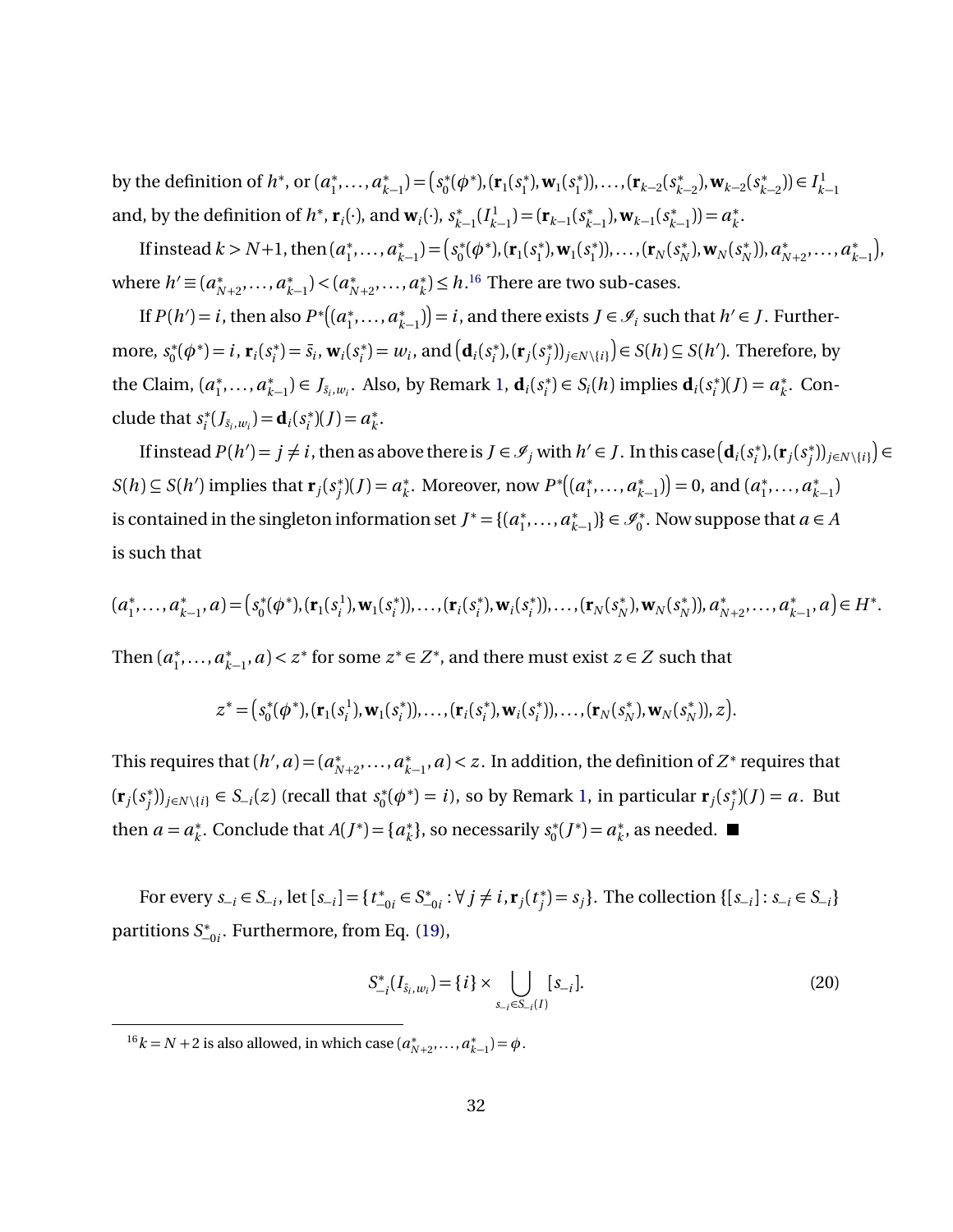by the definition of  $h^*$ , or  $(a_1^*)$ <sup>\*</sup><sub>1</sub>,...,*a*<sup>\*</sup><sub>*k*</sub>  $\binom{*}{k-1} = \binom{s^*}{0}$  $S_0^*(\phi^*), (\mathbf{r}_1(s_1^*)$  $(s_1^*), \mathbf{w}_1(s_1^*)$ 1 )),...,(**r***k*−<sup>2</sup> (*s* ∗ *k*−2 ),**w***k*−<sup>2</sup> (*s* ∗ *k*−2 )) ∈ *I* 1 *k*−1 and, by the definition of  $h^*$ ,  $\mathbf{r}_i(\cdot)$ , and  $\mathbf{w}_i(\cdot)$ ,  $s_k^*$  $f_{k-1}^*(I_{k-1}^1) = (\mathbf{r}_{k-1}(s_k^*)$ *k*−1 ),**w***k*−<sup>1</sup> (*s* ∗  $(a_{k-1}^*)$ ) =  $a_k^*$ *k* .

If instead  $k > N+1$ , then  $(a_1^*)$ <sup>\*</sup><sub>1</sub>,...,*a*<sup>\*</sup><sub>*k*</sub>  $\binom{*}{k-1} = \binom{s^*}{0}$  $S_0^*(\phi^*), (\mathbf{r}_1(s_1^*)$ <sup>\*</sup><sub>1</sub>, **w**<sub>1</sub>( $s_1^*$ )  $(\mathbf{r}_{N}(s_{N}^{*}))$ , ...,  $(\mathbf{r}_{N}(s_{N}^{*}))$  $\mathbf{w}_N^*$ ),  $\mathbf{w}_N(s_N^*)$ *N* )),*a* ∗ \*<br>N+2</sub>,...,a<sup>\*</sup> *k*−1 , where  $h' \equiv (a_{N}^{*})$ \*<br>*N*+2</sub>,...,*a*<sup>\*</sup><sub>*k*</sub>  $\binom{*}{k-1}$  <  $(a^*_{N})$ \*<br>*N*+2</sub>,...,*a*<sup>\*</sup><sub>*k*</sub>  $k<sup>*</sup>$ )  $\leq h$ .<sup>[16](#page-31-0)</sup> There are two sub-cases.

If  $P(h') = i$ , then also  $P^*\left((a_1^*)\right)$ <sup>\*</sup><sub>1</sub>,...,*a*<sup>\*</sup><sub>*k*</sub> *k*<sup> $+$ </sup><sub>*k*−1</sub></sub>) $) = i$ , and there exists *J* ∈  $\mathcal{I}_i$  such that *h*<sup> $\prime$ </sup> ∈ *J*. Furthermore, *s* ∗  $\mathbf{r}_0^*(\phi^*) = i$ ,  $\mathbf{r}_i(s_i^*)$  $\bar{s}_i^*$ ) =  $\bar{s}_i$ , **w**<sub>*i*</sub>( $s_i^*$ )  $w_i^*$ ) =  $w_i$ , and  $(\mathbf{d}_i(s_i^*)$  $(r_j^*), (\mathbf{r}_j(s_j^*))$  $(y_j^*)$ <sub>*j*∈*N*\{*i*}</sub> $)$  ∈ *S*(*h*) ⊆ *S*(*h'*). Therefore, by the Claim, (*a* ∗ <sup>\*</sup><sub>1</sub>,...,*a*<sup>\*</sup><sub>*k*</sub>  $\mathbf{A}_{k-1}^*$ ) ∈ *J*<sub>*si*</sub>, $w_i$ . Also, by Remark [1,](#page-20-2) **d**<sub>*i*</sub>( $s_i^*$ )  $s_i^*$ )  $\in S_i(h)$  implies  $\mathbf{d}_i(s_i^*)$  $a_k^*$  $(f) = a_k^*$  $\stackrel{*}{\phantom{*}}_k$ . Conclude that *s* ∗  $\mathbf{d}_i^*(J_{\bar{s}_i,w_i}) = \mathbf{d}_i(s_i^*)$  $a_k^*$  $(f) = a_k^*$ *k* .

If instead  $P(h') = j \neq i$ , then as above there is  $J \in \mathscr{I}_j$  with  $h' \in J$ . In this case  $(\mathbf{d}_i(s_i^*,\mathbf{d}_i))$  $(r_j^*), (\mathbf{r}_j(s_j^*))$ <sup>\*</sup><sub>*j*</sub></sub> $)$ <sub>*j*∈*N* \{*i*}</sub> $)$  ∈  $S(h) \subseteq S(h')$  implies that  $\mathbf{r}_j(s_i^*)$  $j^{*}(J) = a_{k}^{*}$ *k* . Moreover, now *P* ∗ (*a* ∗ <sup>\*</sup><sub>1</sub>,...,*a*<sup>\*</sup><sub>*k*</sub>  $\binom{*}{k-1}$ ) = 0, and  $\left(a_1^*\right)$ <sup>\*</sup><sub>1</sub>,...,*a*<sup>\*</sup><sub>*k*</sub> *k*−1 ) is contained in the singleton information set  $J^* = \{ (a_1^* \mid a_2^* \mid a_3^* \mid a_4^* \} )$ <sup>\*</sup><sub>1</sub>,...,*a*<sup>\*</sup><sub>*k*</sub>  $\{k-1\}\in \mathscr{I}_0^*$ . Now suppose that *a* ∈ *A* is such that

$$
(a_1^*,...,a_{k-1}^*,a) = (s_0^*(\phi^*),(\mathbf{r}_1(s_i^1),\mathbf{w}_1(s_i^*)),...,(\mathbf{r}_i(s_i^*),\mathbf{w}_i(s_i^*)),...,(\mathbf{r}_N(s_N^*),\mathbf{w}_N(s_N^*)),a_{N+2}^*,...,a_{k-1}^*,a) \in H^*.
$$

Then  $(a_1^*$  $a_1^*, \ldots, a_k^*$  $x_{k-1}^*$ , *a*) < *z*<sup>∗</sup> for some *z*<sup>∗</sup> ∈ *Z*<sup>∗</sup>, and there must exist *z* ∈ *Z* such that

$$
z^* = (s_0^*(\phi^*), (\mathbf{r}_1(s_i^1), \mathbf{w}_1(s_i^*)), \ldots, (\mathbf{r}_i(s_i^*), \mathbf{w}_i(s_i^*)), \ldots, (\mathbf{r}_N(s_N^*), \mathbf{w}_N(s_N^*)), z).
$$

This requires that  $(h', a) = (a<sub>N</sub><sup>*</sup>)$ ∗<br>*N*+2'...,*a*<sup>\*</sup>  $\binom{*}{k-1}$ , *a*) < *z*. In addition, the definition of *Z*<sup>∗</sup> requires that  $(\mathbf{r}_j(s)^\ast)$ *j*</sub> $)$ <sub>*j*∈*N*\{*i*}</sub> ∈ *S*<sub>−*i*</sub>(*z*) (recall that *s*<sup>\*</sup><sub>0</sub><sup>*n*</sup>  $\mathbf{u}_0^*(\phi^*) = i$ , so by Remark [1,](#page-20-2) in particular  $\mathbf{r}_j(s_j^*)$  $j^*$ ) $(J)$  =  $a$ . But then  $a = a_k^*$  $k<sup>*</sup>$ . Conclude that *A*(*J*<sup>\*</sup>) = {*a*<sup>\*</sup><sub>*k*</sub>  $\mathbf{x}_k^*$ }, so necessarily  $s_0^*$  $a_k^*(J^*) = a_k^*$  $_{k}^{*}$ , as needed.

For every  $s_{-i} \in S_{-i}$ , let  $[s_{-i}] = \{t_{-i}^*\}$  $\chi^*_{-0i} \in S^*$  $\forall i$ <sub>→0*i*</sub> : ∀*j* ≠ *i*, **r**<sub>*j*</sub>(*t*<sub>j</sub><sup>\*</sup> *j*</sub> } = *s<sub>j</sub>* }. The collection {[*s*<sub>−*i*</sub>] : *s*<sub>−*i*</sub> ∈ *S*<sub>−*i*</sub>} partitions *S* ∗ −0*i* . Furthermore, from Eq. [\(19\)](#page-29-0),

<span id="page-31-1"></span>
$$
S_{-i}^*(I_{\bar{s}_i, w_i}) = \{i\} \times \bigcup_{s_{-i} \in S_{-i}(I)} [s_{-i}].
$$
\n(20)

<span id="page-31-0"></span><sup>&</sup>lt;sup>16</sup> $k = N + 2$  is also allowed, in which case ( $a_N^*$ )  $a_{N+2}^*$ , ...,  $a_{k-1}^*$  $= \phi$ .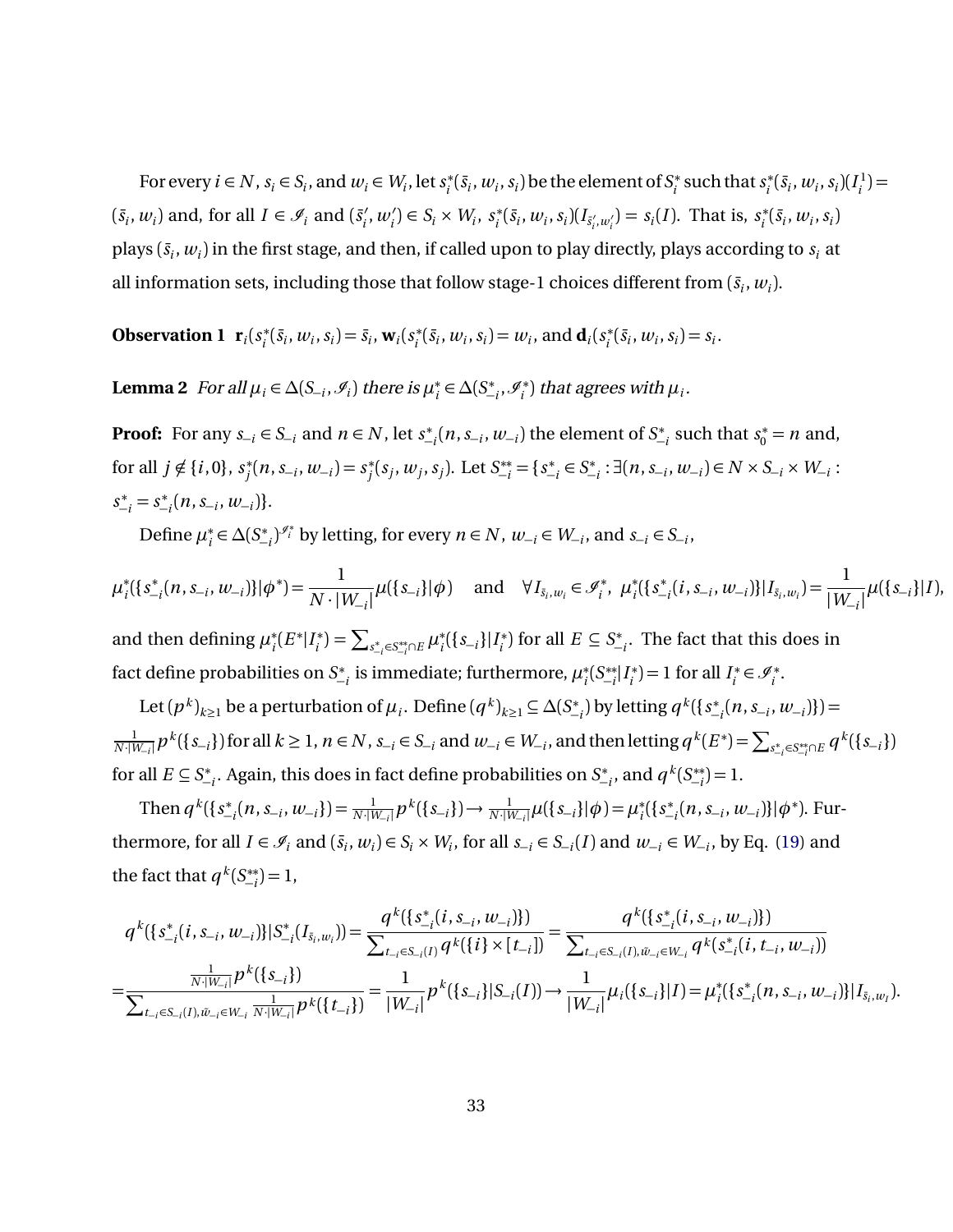For every  $i \in N$ ,  $s_i \in S_i$ , and  $w_i \in W_i$ , let  $s_i^*$  $\mathbf{f}_i^*(\bar{s}_i, w_i, s_i)$  be the element of  $S_i^*$ *i* such that*s* ∗  $\int_{i}^{*} (\bar{s}_i, w_i, s_i) (I_i^1)$  $i^{(1)} =$  $(\bar{s}_i, w_i)$  and, for all  $I \in \mathcal{I}_i$  and  $(\bar{s}_i)$  $w'_{i}, w'_{i}$ )  $\in S_{i} \times W_{i}, s^{*}_{i}$  $s_i^*(\bar{s}_i, w_i, s_i)(I_{\bar{s}'_i, w'_i}) = s_i(I)$ . That is,  $s_i^*$  $\sum_{i}^{*}(\bar{s}_i, w_i, s_i)$ plays  $(\bar{s}_i, w_i)$  in the first stage, and then, if called upon to play directly, plays according to  $s_i$  at all information sets, including those that follow stage-1 choices different from  $(\bar{s}_i, w_i)$ .

**Observation 1**  $\mathbf{r}_i(s_i^*)$  $\mathbf{v}_i^*(\bar{s}_i, w_i, s_i) = \bar{s}_i, \mathbf{w}_i(s_i^*)$  $w_i^*(\bar{s}_i, w_i, s_i) = w_i$ , and  $\mathbf{d}_i(s_i^*)$  $s_i^*(\bar{s}_i, w_i, s_i) = s_i.$ 

<span id="page-32-0"></span>**Lemma 2** For all  $\mu_i \in \Delta(S_{-i}, \mathscr{I}_i)$  there is  $\mu_i^*$ *i* ∈ *∆*(*S* ∗  $\mathscr{I}_{i}^*, \mathscr{I}_{i}^*$  $\mu_i^{(*)}$  that agrees with  $\mu_i$ .

**Proof:** For any  $s_{-i} \in S_{-i}$  and  $n \in N$ , let  $s_{-i}^*$ −*i* (*n*,*s*<sup>−</sup>*<sup>i</sup>* ,*w*<sup>−</sup>*<sup>i</sup>* ) the element of *S* ∗  $s_{-i}^*$  such that  $s_0^* = n$  and, for all  $j \notin \{i, 0\}$ ,  $s_i^*$  $j^{*}(n, s_{-i}, w_{-i}) = s^{*}_{j}$  $j^{*}(s_{j}, w_{j}, s_{j})$ . Let  $S_{-i}^{**} = \{s_{-i}^{*}\}$  $\chi^*_{-i}$  ∈  $S^*_{-i}$  $S_{-i}^*$  : ∃(*n*, *s*<sub>−*i*</sub>, *w*<sub>−*i*</sub>)∈ *N* × *S*<sub>−*i*</sub> × *W*<sub>−*i*</sub> :  $s_{-i}^* = s_{-i}^*$ −*i* (*n*,*s*<sup>−</sup>*<sup>i</sup>* ,*w*<sup>−</sup>*<sup>i</sup>* )}.

Define *µ* ∗ *i* ∈ *∆*(*S* ∗  $(v_{-i}^*)^{s_i^*}$  by letting, for every  $n \in N$ ,  $w_{-i} \in W_{-i}$ , and  $s_{-i} \in S_{-i}$ ,

$$
\mu_i^*({s_{-i}^*(n, s_{-i}, w_{-i})})|\phi^*) = \frac{1}{N \cdot |W_{-i}|} \mu({s_{-i}}) |\phi) \text{ and } \forall I_{\bar{s}_i, w_i} \in \mathcal{I}_i^*, \mu_i^*({s_{-i}^*(i, s_{-i}, w_{-i})})|I_{\bar{s}_i, w_i}) = \frac{1}{|W_{-i}|} \mu({s_{-i}})|I\rangle,
$$

and then defining  $\mu_i^*$  $i(E^* | I_i^*$  $\mu_i^*$ ) =  $\sum_{s^*_{-i} \in S^{**}_{-i} \cap E} \mu_i^*$ *i* ({*s*<sup>−</sup>*<sup>i</sup>* }|*I* ∗  $j_i^*$ ) for all  $E \subseteq S^*$ −*i* . The fact that this does in fact define probabilities on *S* ∗  $\mu^*_{-i}$  is immediate; furthermore,  $\mu^*_i$ *i* (*S* ∗∗  $\binom{1}{i} I_i^*$  $I_i^*$ ) = 1 for all  $I_i^*$  $i^* \in \mathscr{I}_i^*$ .

Let  $(p^k)_{k\geq 1}$  be a perturbation of  $\mu_i$ . Define  $(q^k)_{k\geq 1} \subseteq \Delta(S^*_-)$ −*i* ) by letting *q k* ({*s* ∗  $\binom{k}{-i}(n, s_{-i}, w_{-i})\}) =$  $\frac{1}{N+|W_{-i}|}p^k(\{s_{-i}\})$  for all  $k\geq 1$ ,  $n\in N$ ,  $s_{-i}\in S_{-i}$  and  $w_{-i}\in W_{-i}$ , and then letting  $q^k(E^*)=\sum_{s_{-i}^*\in S_{-i}^{**}\cap E}q^k(\{s_{-i}\})$ for all  $E \subseteq S^*$  $\int_{-i}^{*}$ . Again, this does in fact define probabilities on S<u>\*</u>  $\mathcal{S}_{-i}^*$ , and  $q^k(S_{-i}^{**})$  $\binom{**}{-i} = 1.$ 

Then  $q^k(\{s^*_{-})$  $\frac{1}{N+i}(n, s_{-i}, w_{-i}) = \frac{1}{N+iw_{-i}} p^k({s_{-i}}) \rightarrow \frac{1}{N+iw_{-i}} \mu({s_{-i}}) \phi = \mu_i^*$ *i* ({*s* ∗ −*i* (*n*,*s*<sup>−</sup>*<sup>i</sup>* ,*w*<sup>−</sup>*<sup>i</sup>* )}|*φ*<sup>∗</sup> ). Furthermore, for all  $I \in \mathcal{I}_i$  and  $(\bar{s}_i, w_i) \in S_i \times W_i$ , for all  $s_{-i} \in S_{-i}(I)$  and  $w_{-i} \in W_{-i}$ , by Eq. [\(19\)](#page-29-0) and the fact that  $q^k (S_{-i}^{**})$  $\binom{**}{-i} = 1$ ,

$$
q^{k}(\{s_{-i}^{*}(i, s_{-i}, w_{-i})\}|S_{-i}^{*}(I_{\bar{s}_{i}, w_{i}})) = \frac{q^{k}(\{s_{-i}^{*}(i, s_{-i}, w_{-i})\})}{\sum_{t_{-i} \in S_{-i}(I)} q^{k}(\{i\} \times [t_{-i}])} = \frac{q^{k}(\{s_{-i}^{*}(i, s_{-i}, w_{-i})\})}{\sum_{t_{-i} \in S_{-i}(I), \tilde{w}_{-i} \in W_{-i}} q^{k}(\{s_{-i}^{*}(i, t_{-i}, w_{-i})\})}
$$
\n
$$
= \frac{\frac{1}{N \cdot |W_{-i}|} p^{k}(\{s_{-i}\})}{\sum_{t_{-i} \in S_{-i}(I), \tilde{w}_{-i} \in W_{-i}} \frac{1}{n^{k}(\{t_{-i}\})} = \frac{1}{|W_{-i}|} p^{k}(\{s_{-i}\}|S_{-i}(I)) \rightarrow \frac{1}{|W_{-i}|} \mu_{i}(\{s_{-i}\}|I) = \mu_{i}^{*}(\{s_{-i}^{*}(n, s_{-i}, w_{-i})\}|I_{\bar{s}_{i}, w_{i}}).
$$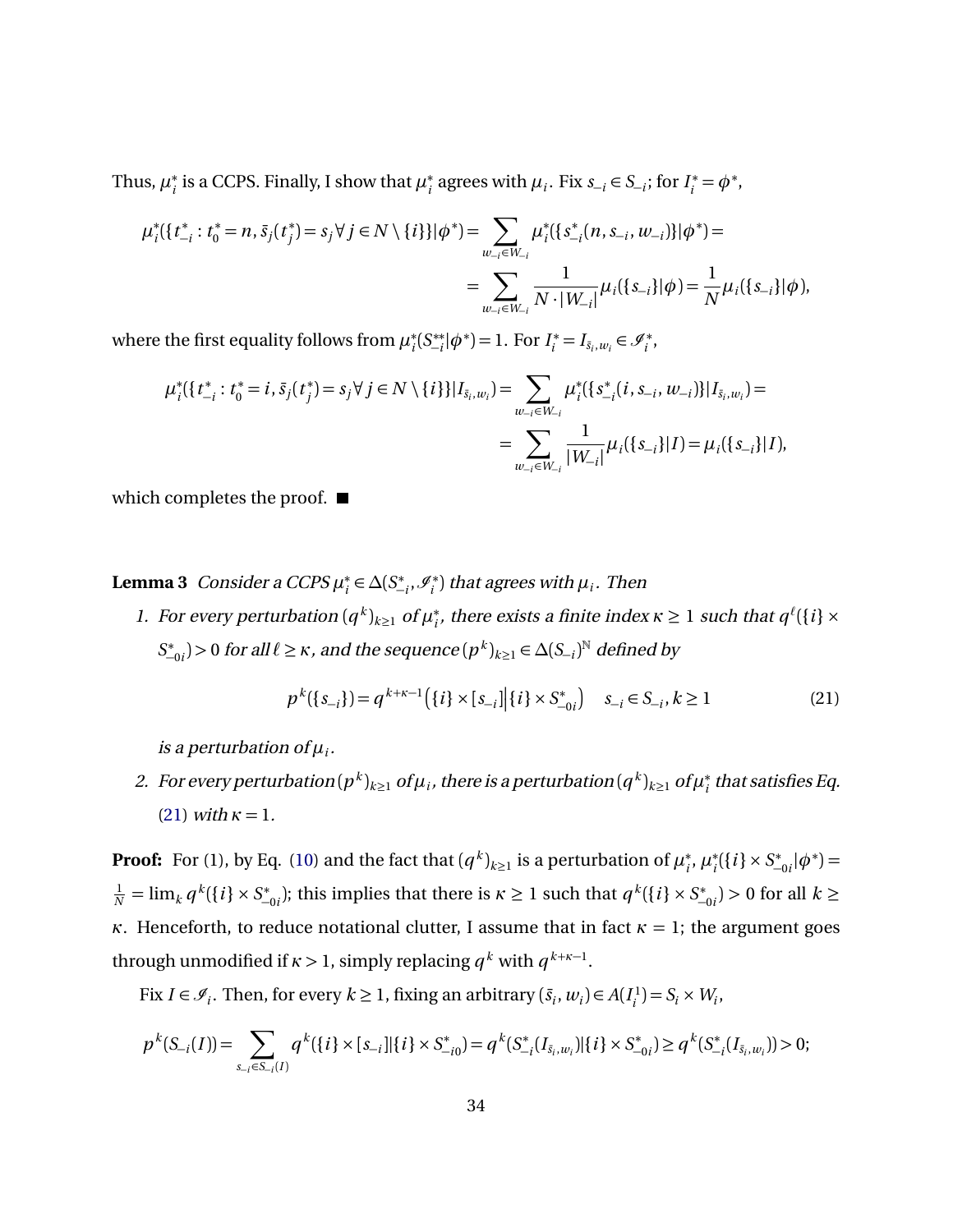Thus,  $\mu_i^*$  $i<sub>i</sub>$  is a CCPS. Finally, I show that  $\mu<sub>i</sub>^*$ <sup>\*</sup><sub>*i*</sub> agrees with  $\mu_i$ . Fix  $s_{-i} \in S_{-i}$ ; for  $I_i^* = \phi^*$ ,

$$
\mu_i^*(\{t_{-i}^*: t_0^* = n, \bar{s}_j(t_j^*) = s_j \forall j \in N \setminus \{i\}\}|\phi^*) = \sum_{w_{-i} \in W_{-i}} \mu_i^*(\{s_{-i}^*(n, s_{-i}, w_{-i})\}|\phi^*) =
$$
  
= 
$$
\sum_{w_{-i} \in W_{-i}} \frac{1}{N \cdot |W_{-i}|} \mu_i(\{s_{-i}\}|\phi) = \frac{1}{N} \mu_i(\{s_{-i}\}|\phi),
$$

where the first equality follows from *µ* ∗ *i* (*S* ∗∗  $\mathcal{F}_{-i}^{**}|\phi^*$  = 1. For  $I_i^* = I_{\bar{s}_i,w_i} \in \mathcal{I}_i^*$ ,

$$
\mu_i^*(\{t_{-i}^*: t_0^* = i, \bar{s}_j(t_j^*) = s_j \forall j \in N \setminus \{i\}\}|I_{\bar{s}_i, w_i}) = \sum_{w_{-i} \in W_{-i}} \mu_i^*(\{s_{-i}^*(i, s_{-i}, w_{-i})\}|I_{\bar{s}_i, w_i}) =
$$
  
= 
$$
\sum_{w_{-i} \in W_{-i}} \frac{1}{|W_{-i}|} \mu_i(\{s_{-i}\}|I) = \mu_i(\{s_{-i}\}|I),
$$

which completes the proof.  $\blacksquare$ 

<span id="page-33-1"></span>**Lemma 3** Consider a CCPS *µ* ∗ *i* ∈ *∆*(*S* ∗  $\mathscr{I}_{i}^*, \mathscr{I}_{i}^*$  $\binom{(*)}{i}$  that agrees with  $\mu_i.$  Then

1. For every perturbation  $(q^k)_{k\geq 1}$  of  $\mu_i^*$  $i$ <sub>*i*</sub>, there exists a finite index  $\kappa \geq 1$  such that  $q^{\ell}(\{i\} \times$ *S* ∗  $\mathcal{L}_{-0i}^*$ )>0 for all  $\ell \geq \kappa$ , and the sequence  $(p^k)_{k≥1}$  ∈  $\Delta(S_{-i})^{\mathbb{N}}$  defined by

<span id="page-33-0"></span>
$$
p^{k}(\{s_{-i}\}) = q^{k+\kappa-1}(\{i\} \times [s_{-i}][\{i\} \times S_{-0i}^{*}) \quad s_{-i} \in S_{-i}, k \ge 1
$$
 (21)

is a perturbation of  $\mu_i.$ 

2. For every perturbation  $(p^k)_{k\geq 1}$  of  $\mu_i$ , there is a perturbation  $(q^k)_{k\geq 1}$  of  $\mu_i^*$  $_i^\ast$  that satisfies Eq. [\(21\)](#page-33-0) with  $\kappa = 1$ .

**Proof:** For (1), by Eq. [\(10\)](#page-15-3) and the fact that  $(q^k)_{k\geq 1}$  is a perturbation of  $\mu_i^*$ *i* , *µ* ∗  $S_i^*$ ({*i*} × *S*<sup>\*</sup>  $\binom{4}{-0i}$  $\phi^*$ ) =  $\frac{1}{N} = \lim_{k} q^{k} (\{i\} \times S_{-}^{*})$ <sup>\*</sup> $\binom{+}{-0i}$ ; this implies that there is *κ* ≥ 1 such that *q*<sup>*k*</sup>({*i*} × *S*<sup>\*</sup>  $\binom{k}{-0i}$  > 0 for all  $k$  ≥ *κ*. Henceforth, to reduce notational clutter, I assume that in fact  $\kappa = 1$ ; the argument goes through unmodified if  $\kappa > 1$ , simply replacing  $q^k$  with  $q^{k+\kappa-1}$ .

Fix  $I \in \mathcal{I}_i$ . Then, for every  $k \geq 1$ , fixing an arbitrary  $(\bar{s}_i, w_i) \in A(I_i)$  $J_i^{(1)} = S_i \times W_i$ 

$$
p^k(S_{-i}(I)) = \sum_{s_{-i} \in S_{-i}(I)} q^k(\{i\} \times [s_{-i}][\{i\} \times S_{-i0}^*) = q^k(S_{-i}^*(I_{\bar{s}_i, w_i}) | \{i\} \times S_{-0i}^*) \ge q^k(S_{-i}^*(I_{\bar{s}_i, w_i})) > 0;
$$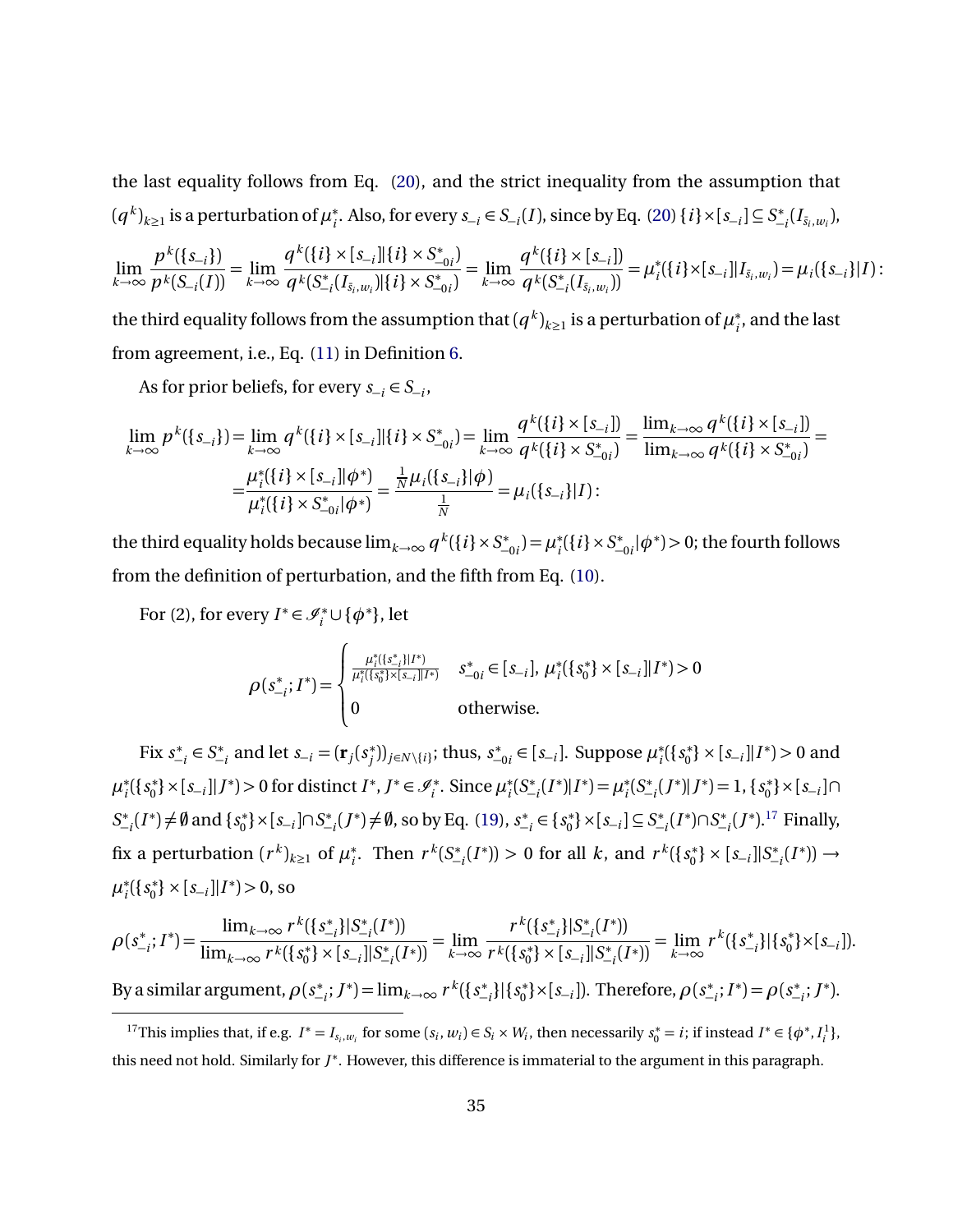the last equality follows from Eq. [\(20\)](#page-31-1), and the strict inequality from the assumption that  $(q^k)_{k\geq 1}$  is a perturbation of  $\mu_i^*$ *i* . Also, for every *s*<sup>−</sup>*<sup>i</sup>* ∈ *S*<sup>−</sup>*<sup>i</sup>* (*I* ), since by Eq. [\(20\)](#page-31-1) {*i* }×[*s*<sup>−</sup>*<sup>i</sup>* ] ⊆ *S* ∗  $\int_{-i}^{*} (I_{\bar{s}_i, w_i}),$ 

$$
\lim_{k \to \infty} \frac{p^k(\{s_{-i}\})}{p^k(S_{-i}(I))} = \lim_{k \to \infty} \frac{q^k(\{i\} \times [s_{-i}] | \{i\} \times S^*_{-0i})}{q^k(S^*_{-i}(I_{\bar{s}_i,w_i}) | \{i\} \times S^*_{-0i})} = \lim_{k \to \infty} \frac{q^k(\{i\} \times [s_{-i}])}{q^k(S^*_{-i}(I_{\bar{s}_i,w_i}))} = \mu_i^*(\{i\} \times [s_{-i}] | I_{\bar{s}_i,w_i}) = \mu_i(\{s_{-i}\} | I) :
$$

the third equality follows from the assumption that  $(q^k)_{k\geq 1}$  is a perturbation of  $\mu_i^*$  $_{i}^{\ast}$ , and the last from agreement, i.e., Eq. [\(11\)](#page-15-4) in Definition [6.](#page-15-2)

As for prior beliefs, for every  $s_{-i} \in S_{-i}$ ,

$$
\lim_{k \to \infty} p^k(\{s_{-i}\}) = \lim_{k \to \infty} q^k(\{i\} \times [s_{-i}]\|\{i\} \times S^*_{-0i}) = \lim_{k \to \infty} \frac{q^k(\{i\} \times [s_{-i}])}{q^k(\{i\} \times S^*_{-0i})} = \frac{\lim_{k \to \infty} q^k(\{i\} \times [s_{-i}])}{\lim_{k \to \infty} q^k(\{i\} \times S^*_{-0i})} = \frac{\mu_i^*(\{i\} \times [s_{-i}]\|\phi^*)}{\mu_i^*(\{i\} \times S^*_{-0i}|\phi^*)} = \frac{\frac{1}{N}\mu_i(\{s_{-i}\}|\phi)}{\frac{1}{N}} = \mu_i(\{s_{-i}\}|I):
$$

the third equality holds because  $\lim_{k\to\infty} q^k(\{i\}\!\times\! S^*_{\!-})$  $\mu_{-0i}^*$ <sup>\*</sup>  $S_i^*$ ({*i* } × *S*<sup>\*</sup>  $\sum_{-0i}^{10} |\phi^*| > 0$ ; the fourth follows from the definition of perturbation, and the fifth from Eq. [\(10\)](#page-15-3).

For (2), for every  $I^* \in \mathcal{I}_i^* \cup \{ \phi^* \}$ , let

$$
\rho(s_{-i}^*; I^*) = \begin{cases} \frac{\mu_i^*(\{s_{-i}^*\}|I^*)}{\mu_i^*(\{s_0^*\} \times [s_{-i}]\|I^*)} & s_{-0i}^* \in [s_{-i}], \ \mu_i^*(\{s_0^*\} \times [s_{-i}]\|I^*) > 0 \\ 0 & \text{otherwise.} \end{cases}
$$

Fix *s* ∗  $\sum_{i=1}^{k}$  ∈  $S_{\frac{1}{k}}$  $S_{-i}^*$  and let  $s_{-i} = (\mathbf{r}_j(s_j^*)$ <sup>\*</sup>/ $)$ <sub>*j*</sub>∈*N* \{*i*}</sub>; thus, *s*<sup>\*</sup> −0*i* ∈ [*s*<sup>−</sup>*<sup>i</sup>* ]. Suppose *µ* ∗ *i* ({*s* ∗  $\{S_{-i}\}\times [s_{-i}]|I^*| > 0$  and  $\mu_i^*$ *i* ({*s* ∗  $\{S_{-i}\}|J^*\rangle > 0$  for distinct  $I^*, J^* \in \mathcal{I}_i^*$ . Since  $\mu_i^*$ *i* (*S* ∗  $\mu_{-i}^*(I^*)|I^*$  =  $\mu_i^*$ *i* (*S* ∗  $\binom{4}{i} (J^*) | J^*$  = 1, {*s*<sup>\*</sup><sub>0</sub><sup>\*</sup> 0 }×[*s*<sup>−</sup>*<sup>i</sup>* ]∩ *S* ∗  $\mathcal{L}_{-i}^*(I^*) \neq \emptyset$  and  $\{s_0^*\}$ 0 }×[*s*<sup>−</sup>*<sup>i</sup>* ]∩*S* ∗  $S_{-i}^*(J^*) \neq \emptyset$ , so by Eq. [\(19\)](#page-29-0), *s*<sup>\*</sup> −*i* ∈ {*s* ∗ <sup>∗</sup><sub>0</sub></sub><sup><sup>\*</sup></sup><sub>2</sub> × [*s*<sup>−*i*</sup><sub>1</sub><sup>]</sup> ⊆ *S*<sup>\*</sup> −*i* (*I* ∗ )∩*S* ∗  $\int_{-i}^{*}(J^*)$ .<sup>[17](#page-34-0)</sup> Finally, fix a perturbation  $(r^k)_{k\geq 1}$  of  $\mu^*_i$  $\int_i^*$ . Then  $r^k(S^*_-)$  $J_{-i}^*(I^*)$ ) > 0 for all *k*, and  $r^k({s_0^*})$  $\binom{1}{0}$  ×  $\frac{s}{0}$  ×  $\frac{s}{0}$  $\sum_{i=1}^{k} (I^*)$  → *µ* ∗ *i* ({*s* ∗  $\{S_{-i}\}\times [S_{-i}]|I^*| > 0$ , so

$$
\rho(s_{-i}^*,I^*) = \frac{\lim_{k \to \infty} r^k(\{s_{-i}^*\}|S_{-i}^*(I^*))}{\lim_{k \to \infty} r^k(\{s_0^*\} \times [s_{-i}]\|S_{-i}^*(I^*))} = \lim_{k \to \infty} \frac{r^k(\{s_{-i}^*\}|S_{-i}^*(I^*))}{r^k(\{s_0^*\} \times [s_{-i}]\|S_{-i}^*(I^*))} = \lim_{k \to \infty} r^k(\{s_{-i}^*\}|\{s_0^*\} \times [s_{-i}]).
$$

By a similar argument, *ρ*(*s* ∗ −*i* ; *J* ∗ ) = lim*k*→∞ *r k* ({*s* ∗ −*i* }|{*s* ∗  $\mathcal{O}_{0}^{*}$ }×[ $s_{-i}$ ]). Therefore,  $\rho(s_{-i}^{*})$  $\sum_{i=1}^{8} I^* = \rho (s^*$ −*i* ; *J* ∗ ).

<span id="page-34-0"></span><sup>&</sup>lt;sup>17</sup>This implies that, if e.g.  $I^* = I_{s_i,w_i}$  for some  $(s_i, w_i) \in S_i \times W_i$ , then necessarily  $s_0^* = i$ ; if instead  $I^* \in \{\phi^*, I_i^1\}$ , this need not hold. Similarly for *J* ∗ . However, this difference is immaterial to the argument in this paragraph.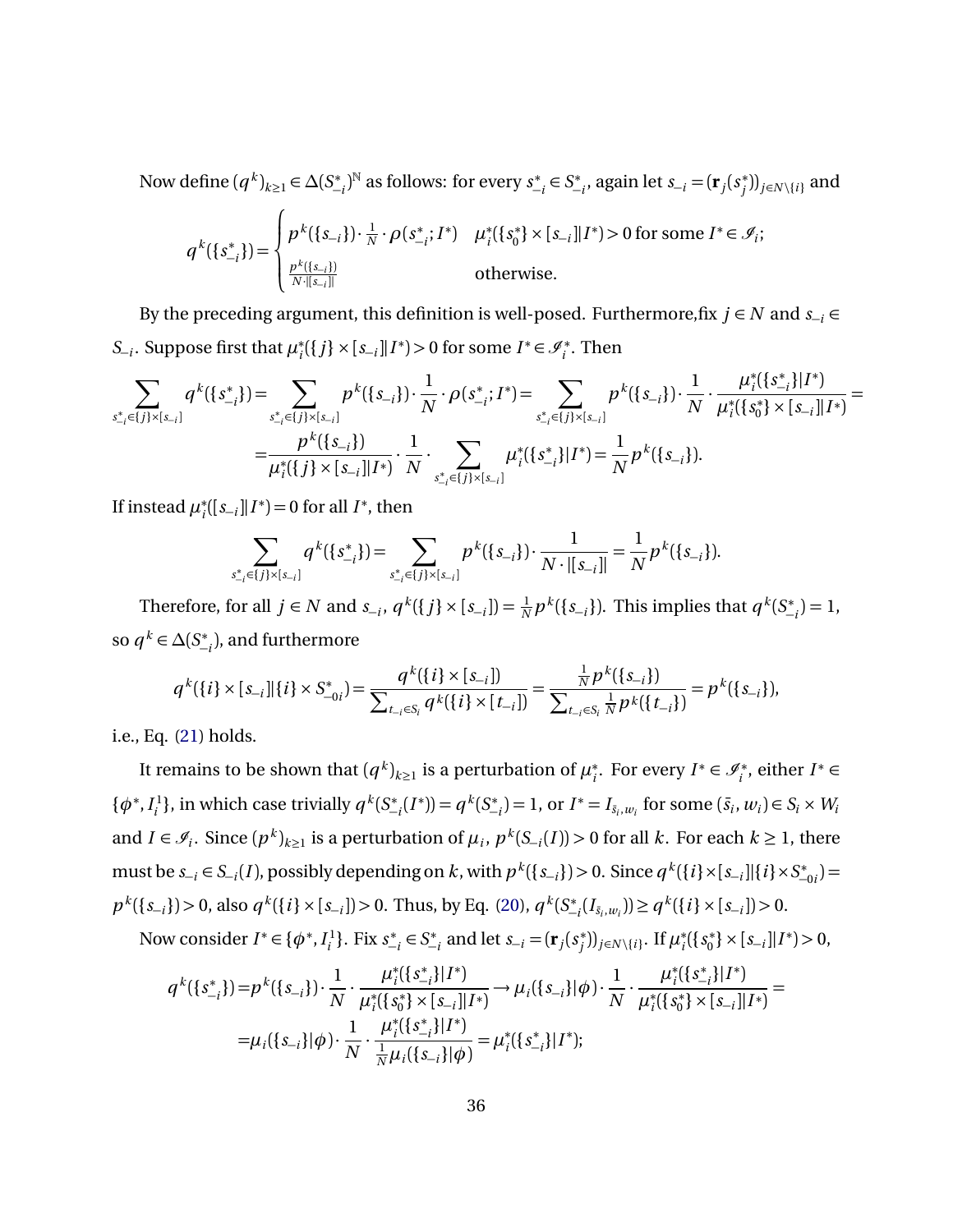Now define  $(q^k)_{k\geq 1} \in \Delta(S^*_-)$ −*i* ) <sup>N</sup> as follows: for every *s* ∗  $\sum_{i=1}^{k}$  ∈  $S_{\frac{1}{k}}$ −*i* , again let *s*<sup>−</sup>*<sup>i</sup>* = (**r***<sup>j</sup>* (*s* ∗  $\binom{*}{j}$ ) $_{j\in N\setminus\{i\}}$  and

$$
q^{k}(\{s_{-i}^{*}\}) = \begin{cases} p^{k}(\{s_{-i}\}) \cdot \frac{1}{N} \cdot \rho(s_{-i}^{*}; I^{*}) & \mu_{i}^{*}(\{s_{0}^{*}\} \times [s_{-i}] | I^{*}) > 0 \text{ for some } I^{*} \in \mathcal{I}_{i}; \\ \frac{p^{k}(\{s_{-i}\})}{N \cdot ||s_{-i}||} & \text{otherwise.} \end{cases}
$$

By the preceding argument, this definition is well-posed. Furthermore, fix  $j \in N$  and  $s_{-i} \in$ *S*<sup>−*i*</sup>. Suppose first that  $\mu_i^*$ *i*<sup>{</sup>{ $j$ } ×  $[s_{-i}]$ |*I*<sup>\*</sup>) > 0 for some *I*<sup>\*</sup> ∈  $\mathcal{I}_i^*$ . Then

$$
\sum_{s_{-i}^* \in \{j\} \times [s_{-i}]} q^k(\{s_{-i}^*\}) = \sum_{s_{-i}^* \in \{j\} \times [s_{-i}]} p^k(\{s_{-i}\}) \cdot \frac{1}{N} \cdot \rho(s_{-i}^*, I^*) = \sum_{s_{-i}^* \in \{j\} \times [s_{-i}]} p^k(\{s_{-i}\}) \cdot \frac{1}{N} \cdot \frac{\mu_i^*(\{s_{-i}^*\} | I^*)}{\mu_i^*(\{s_0^*\} \times [s_{-i}] | I^*)} = \frac{p^k(\{s_{-i}\})}{\mu_i^*(\{j\} \times [s_{-i}] | I^*)} \cdot \frac{1}{N} \cdot \sum_{s_{-i}^* \in \{j\} \times [s_{-i}]} \mu_i^*(\{s_{-i}^*\} | I^*) = \frac{1}{N} p^k(\{s_{-i}\}).
$$

If instead *µ* ∗  $i$ <sup>([ $s$ </sup><sub>-*i*</sub>]| $I$ <sup>\*</sup>) = 0 for all  $I$ <sup>\*</sup>, then

$$
\sum_{s_{-i}^*\in\{j\}\times[s_{-i}]}q^k(\{s_{-i}^*\})=\sum_{s_{-i}^*\in\{j\}\times[s_{-i}]}p^k(\{s_{-i}\})\cdot\frac{1}{N\cdot|[s_{-i}]|}=\frac{1}{N}p^k(\{s_{-i}\}).
$$

Therefore, for all  $j \in N$  and  $s_{-i}$ ,  $q^k({j} \times [s_{-i}]) = \frac{1}{N} p^k({s_{-i}})$ . This implies that  $q^k(S^*_-)$  $\binom{4}{-i} = 1$ , so  $q^k \in \Delta(S^*_-$ −*i* ), and furthermore

$$
q^{k}(\{i\} \times [s_{-i}][\{i\} \times S_{-0i}^{*}) = \frac{q^{k}(\{i\} \times [s_{-i}])}{\sum_{t_{-i} \in S_{i}} q^{k}(\{i\} \times [t_{-i}])} = \frac{\frac{1}{N} p^{k}(\{s_{-i}\})}{\sum_{t_{-i} \in S_{i}} \frac{1}{N} p^{k}(\{t_{-i}\})} = p^{k}(\{s_{-i}\}),
$$

i.e., Eq. [\(21\)](#page-33-0) holds.

It remains to be shown that  $(q^k)_{k\geq 1}$  is a perturbation of  $\mu_i^*$ <sup>\*</sup><sub>*i*</sub></sub>. For every *I*<sup>\*</sup>  $\in \mathcal{I}_i^*$ , either *I*<sup>\*</sup>  $\in$  $\{\phi^*, I^1_i\}$  $g^{(1)}$ , in which case trivially  $q^{k}(S^{*}_{-})$  $\binom{4}{i} = q^k (S^*_{-})$  $\binom{*}{-i}$  = 1, or *I*<sup>\*</sup> = *I*<sub>*s*<sub>*i*</sub>,*w*<sub>*i*</sub></sub> for some (*s*<sub>*i*</sub>, *w*<sub>*i*</sub>) ∈ *S*<sub>*i*</sub> × *W*<sub>*i*</sub> and  $I \in \mathcal{I}_i$ . Since  $(p^k)_{k\geq 1}$  is a perturbation of  $\mu_i$ ,  $p^k(S_{-i}(I)) > 0$  for all  $k$ . For each  $k \geq 1$ , there must be  $s_{-i}\in S_{-i}(I)$ , possibly depending on  $k$ , with  $p^k(\{s_{-i}\})>0$ . Since  $q^k(\{i\}\times [s_{-i}]]\{i\}\times S^*_ \binom{*}{-0i}$  $p^k(\{s_{-i}\}) > 0$ , also  $q^k(\{i\} \times [s_{-i}]) > 0$ . Thus, by Eq. [\(20\)](#page-31-1),  $q^k(S_{-i}^*)$  $\binom{n}{i} \binom{i}{i} \geq q^k (\{i\} \times [s_{-i}]) > 0.$ 

Now consider  $I^* \in {\phi^*}, I_i^1$  $\binom{1}{i}$ . Fix  $s^*$  $\sum_{i=1}^{k}$  ∈  $S_{\frac{1}{k}}$  $s_{-i}^*$  and let  $s_{-i} = (\mathbf{r}_j(s_j^*)$ <sup>\*</sup><sub>*j*</sub><sup>)</sup>)<sub>*j*∈*N* \{*i*}</sub>. If  $\mu_i^*$ *i* ({*s* ∗  $\{S_{-i}\}\times [S_{-i}]|I^*| > 0,$ 

$$
q^{k}(\{s_{-i}^{*}\}) = p^{k}(\{s_{-i}\}) \cdot \frac{1}{N} \cdot \frac{\mu_{i}^{*}(\{s_{-i}^{*}\}|I^{*})}{\mu_{i}^{*}(\{s_{0}^{*}\} \times [s_{-i}]|I^{*})} \rightarrow \mu_{i}(\{s_{-i}\}|\phi) \cdot \frac{1}{N} \cdot \frac{\mu_{i}^{*}(\{s_{-i}^{*}\}|I^{*})}{\mu_{i}^{*}(\{s_{0}^{*}\} \times [s_{-i}]|I^{*})} =
$$

$$
= \mu_{i}(\{s_{-i}\}|\phi) \cdot \frac{1}{N} \cdot \frac{\mu_{i}^{*}(\{s_{-i}^{*}\}|I^{*})}{\frac{1}{N}\mu_{i}(\{s_{-i}\}|\phi)} = \mu_{i}^{*}(\{s_{-i}^{*}\}|I^{*});
$$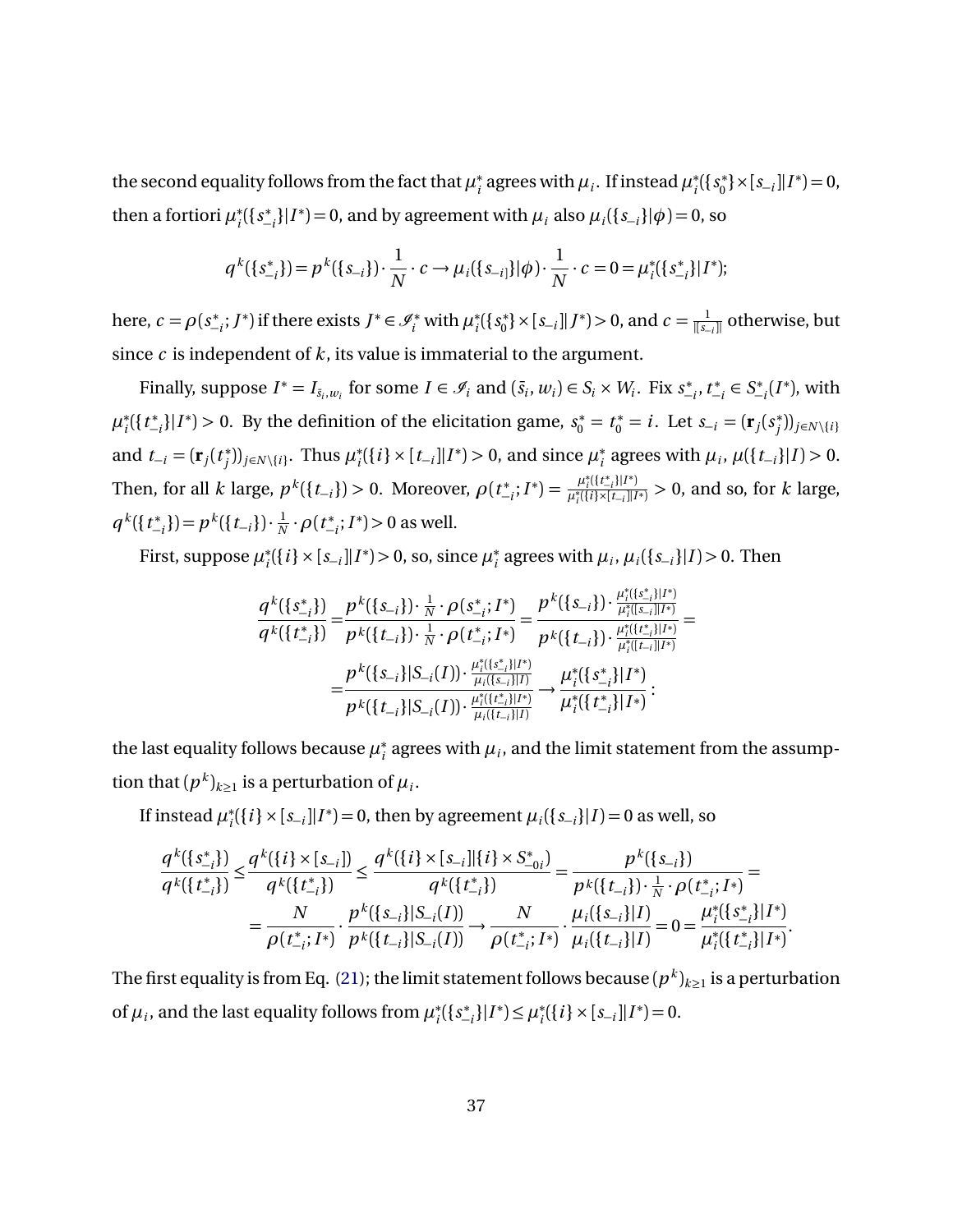the second equality follows from the fact that  $\mu_i^*$  $\mu_i^*$  agrees with  $\mu_i$ . If instead  $\mu_i^*$ *i* ({*s* ∗  $\{S_{-i}\}\times [S_{-i}]|I^*]=0,$ then a fortiori  $\mu_i^*$ *i* ({*s* ∗  $\{\mu_i\}_{i=1}^*$ } $|I^*|=0$ , and by agreement with  $\mu_i$  also  $\mu_i({s_{-i}}|{\phi})=0$ , so

$$
q^{k}(\{s_{-i}^{*}\}) = p^{k}(\{s_{-i}\}) \cdot \frac{1}{N} \cdot c \rightarrow \mu_{i}(\{s_{-i}\}|\phi) \cdot \frac{1}{N} \cdot c = 0 = \mu_{i}^{*}(\{s_{-i}^{*}\}|I^{*});
$$

here,  $c = \rho(s^*_ \mathcal{F}_{i}^{*}$ ; *J*<sup>\*</sup>) if there exists *J*<sup>\*</sup> ∈  $\mathcal{I}_{i}^{*}$  with  $\mu_{i}^{*}$ *i* ({*s* ∗ 0 }×[*s*<sup>−</sup>*<sup>i</sup>* ]|*J* ∗ ) *>* 0, and *c* = 1 |[*s*−*<sup>i</sup>* ]| otherwise, but since *c* is independent of *k*, its value is immaterial to the argument.

Finally, suppose  $I^* = I_{\bar{s}_i,w_i}$  for some  $I \in \mathcal{I}_i$  and  $(\bar{s}_i,w_i) \in S_i \times W_i$ . Fix  $s^*$ −*i* ,*t* ∗  $\chi^*_{-i}$  ∈  $S^*_{-i}$  $\int_{-i}^{*}(I^*)$ , with  $\mu_i^*$ *i* ({*t* ∗  $\binom{*}{i}$ |*I*<sup>\*</sup>) > 0. By the definition of the elicitation game,  $s_0^* = t_0^* = i$ . Let  $s_{-i} = (\mathbf{r}_i(s_j^*)$ *j* ))*j*∈*<sup>N</sup>* \{*<sup>i</sup>* } and  $t_{-i} = (\mathbf{r}_j(t_j^*))$ <sup>\*</sup><sub>*j*</sub></sub> $)$ <sub>*j*∈*N* \{*i*}</sub>. Thus  $\mu_i^*$ *i*<sup>∤</sup> $\{i\}$  ×  $[t_{-i}]$ |*I*<sup>\*</sup> $)$  > 0, and since  $\mu_i^*$  $\mu_i$ <sup>*n*</sup> agrees with  $\mu_i$ ,  $\mu({t_{-i}}|I) > 0$ . Then, for all *k* large,  $p^k({t_{-i}}) > 0$ . Moreover,  $\rho(t_{-i}^*)$  $\frac{u_i^*(\{t_{-i}^*\}|I^*)}{\mu_i^*(\{i\}\times [t_{-i}]\|I^*)}$  $\frac{\mu_i((v_{-i})^{|I|})}{\mu_i^*((i) \times [t_{-i}]|I^*)} > 0$ , and so, for *k* large, *q k* ({*t* ∗  $(-i)^*$ <sub>−*i*</sub> $) = p^k(\lbrace t_{-i}\rbrace) \cdot \frac{1}{N}$  $\frac{1}{N}$ .  $\rho(t^*$ −*i* ;*I* ∗ ) *>* 0 as well.

First, suppose *µ* ∗  $\chi_i^*$  ({*i*} × [*s*−*i*]|*I*<sup>\*</sup>) > 0, so, since  $\mu_i^*$  $\mu_i$ <sup>*i*</sup>,  $\mu_i$ <sup>(</sup>{*s*<sub>−*i*</sub>}|*I*) > 0. Then

$$
\frac{q^k(\{s_{-i}^*\})}{q^k(\{t_{-i}^*\})} = \frac{p^k(\{s_{-i}\}) \cdot \frac{1}{N} \cdot \rho(s_{-i}^*; I^*)}{p^k(\{t_{-i}\}) \cdot \frac{1}{N} \cdot \rho(t_{-i}^*; I^*)} = \frac{p^k(\{s_{-i}\}) \cdot \frac{\mu_i^*(\{s_{-i}^*\}I^*)}{\mu_i^*(\{s_{-i}\}I^*)}}{p^k(\{t_{-i}\}) \cdot \frac{\mu_i^*(\{t_{-i}^*\}I^*)}{\mu_i^*(\{t_{-i}\}I^*)}} = \frac{p^k(\{s_{-i}\}|\mathcal{S}_{-i}(I)) \cdot \frac{\mu_i^*(\{s_{-i}^*\}I^*)}{\mu_i^*(\{s_{-i}\}I^*)}}{\mu_i^*(\{t_{-i}^*\}|\mathcal{S}_{-i}(I)) \cdot \frac{\mu_i^*(\{t_{-i}^*\}I^*)}{\mu_i^*(\{t_{-i}^*\}I^*)}} \rightarrow \frac{\mu_i^*(\{s_{-i}^*\}I^*)}{\mu_i^*(\{t_{-i}^*\}I^*)}.
$$

the last equality follows because *µ* ∗  $_i^*$  agrees with  $\mu_i$ , and the limit statement from the assumption that  $(p^k)_{k\geq 1}$  is a perturbation of  $\mu_i.$ 

If instead  $\mu_i^*$ *i*<sup>{</sup>{ $i$ <sup>[</sup> $i$ </sub>}  $\times$  [ $s$ <sub>−*i*</sub>]| $I$ <sup>\*</sup>) = 0, then by agreement  $\mu$ <sub>*i*</sub>({ $s$ <sub>−*i*</sub>}| $I$ ) = 0 as well, so

$$
\frac{q^k(\{s_{-i}^*\})}{q^k(\{t_{-i}^*\})} \leq \frac{q^k(\{i\} \times [s_{-i}])}{q^k(\{t_{-i}^*\})} \leq \frac{q^k(\{i\} \times [s_{-i}]|\{i\} \times S_{-0i}^*)}{q^k(\{t_{-i}^*\})} = \frac{p^k(\{s_{-i}\})}{p^k(\{t_{-i}\}) \cdot \frac{1}{N} \cdot \rho(t_{-i}^*, I^*)}{p^k(\{t_{-i}\}) \cdot \frac{1}{N} \cdot \rho(t_{-i}^*, I^*)} = \frac{N}{\rho(t_{-i}^*, I^*)} \cdot \frac{p^k(\{s_{-i}\}|\{S_{-i}(I)\})}{p^k(\{t_{-i}\}|\{S_{-i}(I)\})} \to \frac{N}{\rho(t_{-i}^*, I^*)} \cdot \frac{\mu_i(\{s_{-i}\}|\{I\})}{\mu_i(\{t_{-i}\}|\{I\})} = 0 = \frac{\mu_i^*(\{s_{-i}^*\}|\{I^*\})}{\mu_i^*(\{t_{-i}^*\}|\{I^*\})}.
$$

The first equality is from Eq.  $(21)$ ; the limit statement follows because  $(p^k)_{k\geq 1}$  is a perturbation of  $\mu_i$ , and the last equality follows from  $\mu_i^*$ *i* ({*s* ∗  $\{I^*\}\leq \mu_i^*$  $\sum_{i}^{*} (\{i\} \times [s_{-i}] | I^{*}) = 0.$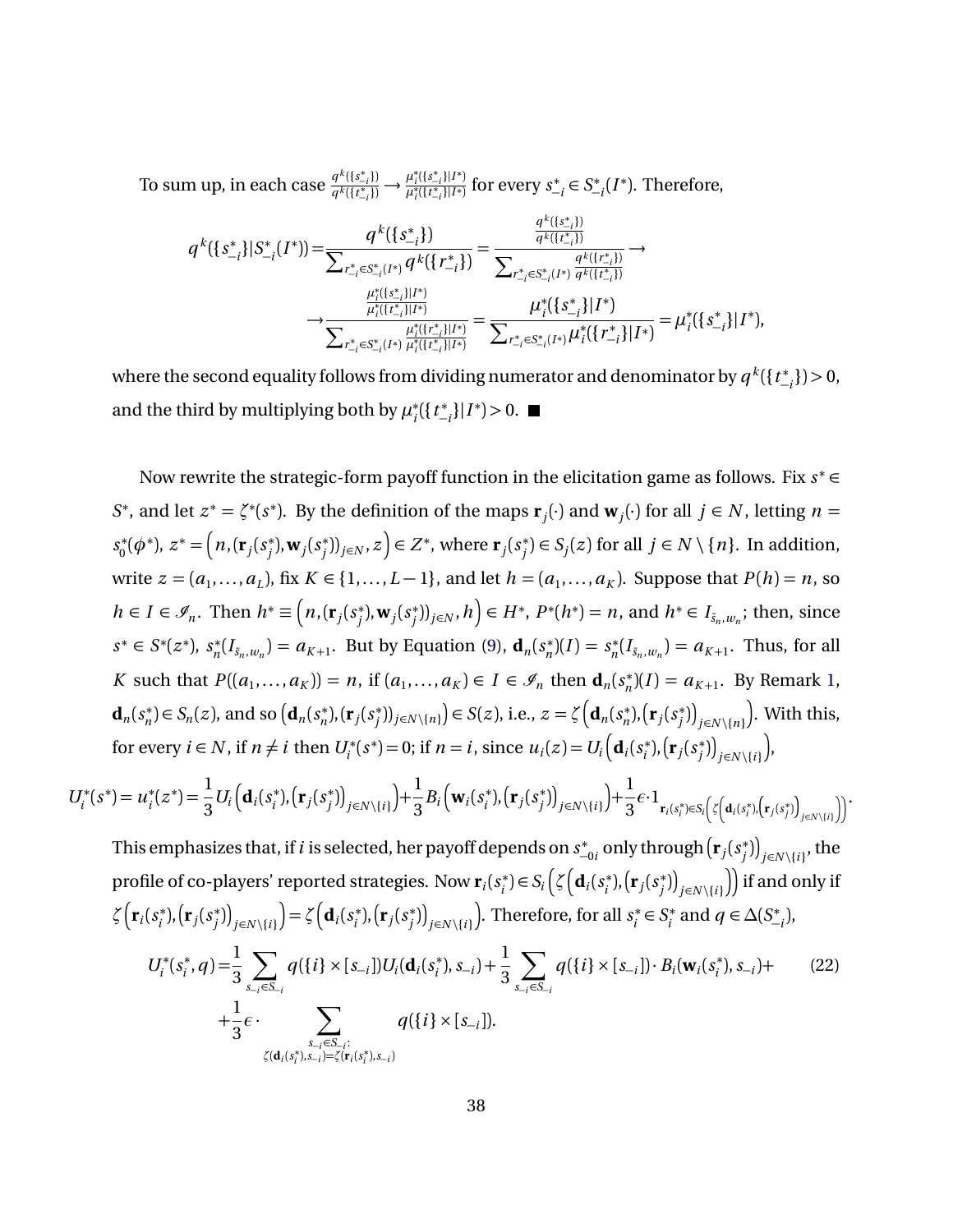To sum up, in each case  $\frac{q^k(\{s_{-i}^*\})}{q^k(\{t^*\})}$  $\frac{q^k(\{s_{-i}^*\})}{q^k(\{t_{-i}^*\})} \longrightarrow \frac{\mu_i^*(\{s_{-i}^*\}|I^*)}{\mu_i^*(\{t_{-i}^*\}|I^*)}$ *µ*<sub>i'</sub>({*t*<sub>±*i*</sub>}|*I*\*)</sub> for every *s*<u>\*</u>  $\sum_{i=1}^{k}$  ∈ S<sup>\*</sup>  $\int_{-i}^{*}(I^*)$ . Therefore,

$$
q^{k}(\{s_{-i}^{*}\}|S_{-i}^{*}(I^{*})) = \frac{q^{k}(\{s_{-i}^{*}\})}{\sum_{r_{-i}^{*}\in S_{-i}^{*}(I^{*})}q^{k}(\{r_{-i}^{*}\})} = \frac{\frac{q^{k}(\{s_{-i}^{*}\})}{q^{k}(\{r_{-i}^{*}\})}}{\sum_{r_{-i}^{*}\in S_{-i}^{*}(I^{*})}\frac{q^{k}(\{r_{-i}^{*}\})}{q^{k}(\{r_{-i}^{*}\})}} \rightarrow \\ \frac{\frac{\mu_{i}^{*}(\{s_{-i}^{*}\}|I^{*})}{\mu_{i}^{*}(\{r_{-i}^{*}\}|I^{*})}}{\sum_{r_{-i}^{*}\in S_{-i}^{*}(I^{*})}\frac{\mu_{i}^{*}(\{r_{-i}^{*}\}|I^{*})}{\mu_{i}^{*}(\{r_{-i}^{*}\}|I^{*})}} = \frac{\mu_{i}^{*}(\{s_{-i}^{*}\}|I^{*})}{\sum_{r_{-i}^{*}\in S_{-i}^{*}(I^{*})}\mu_{i}^{*}(\{r_{-i}^{*}\}|I^{*})} = \mu_{i}^{*}(\{s_{-i}^{*}\}|I^{*}),
$$

where the second equality follows from dividing numerator and denominator by  $q^k(\{t\_^*\})$ −*i* }) *>* 0, and the third by multiplying both by  $\mu_i^*$ *i* ({*t* ∗ −*i* }|*I* ∗ ) *>* 0.

Now rewrite the strategic-form payoff function in the elicitation game as follows. Fix *s* <sup>∗</sup> ∈ *S*<sup>\*</sup>, and let  $z^* = \zeta^*(s^*)$ . By the definition of the maps  $\mathbf{r}_j(\cdot)$  and  $\mathbf{w}_j(\cdot)$  for all  $j \in N$ , letting  $n =$ *s* ∗  $\chi_0^*(\phi^*), z^* = \Big(n, ({\bf r}_j(s^*_j))\Big)$  $j^*$ ), **w**<sub>*j*</sub>( $s_j^*$  $\binom{*}{j}$ )<sub>*j*∈*N*</sub>, *z*) ∈ *Z*<sup>\*</sup>, where **r**<sub>*j*</sub>(*s*<sup>\*</sup><sub>*j*</sub> *j*</sub>  $\in$  *S*<sub>*j*</sub>(*z*) for all *j* ∈ *N* \{*n*}. In addition, write *z* =  $(a_1, ..., a_L)$ , fix *K* ∈ {1,...,*L* − 1}, and let *h* =  $(a_1, ..., a_K)$ . Suppose that *P*(*h*) = *n*, so  $h \in I \in \mathscr{I}_n$ . Then  $h^* \equiv \left(n, (\mathbf{r}_j(s^*_i))^T\right)$ <sup>\*</sup><sub>*j*</sub>, **w**<sub>*j*</sub> $(s_j^*$  $\left( \sum_{j=1}^{n} h_j \right)_{j \in N}, h \Big) \in H^*, \ P^*(h^*) = n, \text{ and } h^* \in I_{\bar{s}_n,w_n}; \text{ then, since }$  $s^*$  ∈ *S*<sup>\*</sup>( $z^*$ ),  $s_n^*$  $a_n^*(I_{\bar{s}_n,w_n}) = a_{K+1}$ . But by Equation [\(9\)](#page-15-5),  $\mathbf{d}_n(s_n^*)$  $(n^*)$ (*I*) =  $s_n^*$  $n_n^*(I_{\bar{s}_n,w_n}) = a_{K+1}$ . Thus, for all *K* such that  $P((a_1, \ldots, a_K)) = n$ , if  $(a_1, \ldots, a_K) \in I \in \mathcal{I}_n$  then  $\mathbf{d}_n(s_n^*)$  $n_n^*(I) = a_{K+1}$ . By Remark [1,](#page-20-2)  $\mathbf{d}_n(s_n^*)$  $S_n^*$ )  $\in$   $S_n(z)$ , and so  $(d_n(s_n^*)$  $(r_j^*), (r_j(s_j^*))$ *j*</sub>  $\bigcup_{j\in N\setminus\{n\}}$   $\big)$  ∈ *S*(*z*), i.e., *z* =  $\zeta$   $\left(\mathbf{d}_{n}$  (*s*<sub>*n*</sub><sup>\*</sup>  $(r_j(s_j^*))$  $\binom{(*)}{j}$ <sub>j∈*N* \{*n*}</sub> . With this, for every  $i \in N$ , if  $n \neq i$  then  $U_i^*(s^*) = 0$ ; if  $n = i$ , since  $u_i(z) = U_i\left(\mathbf{d}_i(s_i^*)\right)$  $\binom{*}{i}$ ,  $\left(\mathbf{r}_j(s_j^*)\right)$  $\binom{*}{j}$ <sub> $j \in N \setminus \{i\}$ </sub> ,

$$
U_i^*(s^*) = u_i^*(z^*) = \frac{1}{3} U_i \Big( \mathbf{d}_i(s_i^*), (\mathbf{r}_j(s_j^*))_{j \in N \setminus \{i\}} \Big) + \frac{1}{3} B_i \Big( \mathbf{w}_i(s_i^*), (\mathbf{r}_j(s_j^*))_{j \in N \setminus \{i\}} \Big) + \frac{1}{3} \epsilon \cdot 1_{\mathbf{r}_i(s_i^*) \in S_i \Big( \zeta \Big( \mathbf{d}_i(s_i^*), (\mathbf{r}_j(s_j^*))_{j \in N \setminus \{i\}} \Big) \Big)}.
$$

This emphasizes that, if*i* is selected, her payoff depends on *s* ∗ ∗<sub>−0*i*</sub> only through  $\left(\mathbf{r}_{j}(s_{j}^{*}% ,s_{j}^{*})\right)$  $\binom{*}{j}$   $\big|_{j \in N \setminus \{i\}}$ , the profile of co-players' reported strategies. Now  $\mathbf{r}_i(s_i^*)$  $S_i^*$ ) $\in S_i$   $\left( \zeta \left( \mathbf{d}_i (s_i^*) \right) \right)$  $\binom{*}{i}$ ,  $\left(\mathbf{r}_j(s_j^*)\right)$  $\binom{a}{j}$   $\binom{b}{i}$  ) if and only if  $\zeta\left(\mathbf{r}_i(s_i^*)\right)$  $\binom{*}{i}$ ,  $\left(\mathbf{r}_j(s_j^*)\right)$  $\binom{(*)}{j}$ <sub>j∈</sub>*N* \{*i* }  $= \zeta \left( \mathbf{d}_i (s_i^*) \right)$  $\binom{*}{i}$ ,  $\left(\mathbf{r}_j(s_j^*)\right)$  $\binom{(*)}{j}$ <sub> $j \in N \setminus \{i\}$ </sub> . Therefore, for all *s* ∗  $s_i^*$  ∈  $S_i^*$  $a_i^*$  and  $q \in \Delta(S^*_-)$ −*i* ),

<span id="page-37-0"></span>
$$
U_i^*(s_i^*, q) = \frac{1}{3} \sum_{s_{-i} \in S_{-i}} q(\{i\} \times [s_{-i}]) U_i(\mathbf{d}_i(s_i^*), s_{-i}) + \frac{1}{3} \sum_{s_{-i} \in S_{-i}} q(\{i\} \times [s_{-i}]) \cdot B_i(\mathbf{w}_i(s_i^*), s_{-i}) + \frac{1}{3} \epsilon \cdot \sum_{s_{-i} \in S_{-i}: \zeta(\mathbf{d}_i(s_i^*), s_{-i}) = \zeta(\mathbf{r}_i(s_i^*), s_{-i})} q(\{i\} \times [s_{-i}]).
$$
\n(22)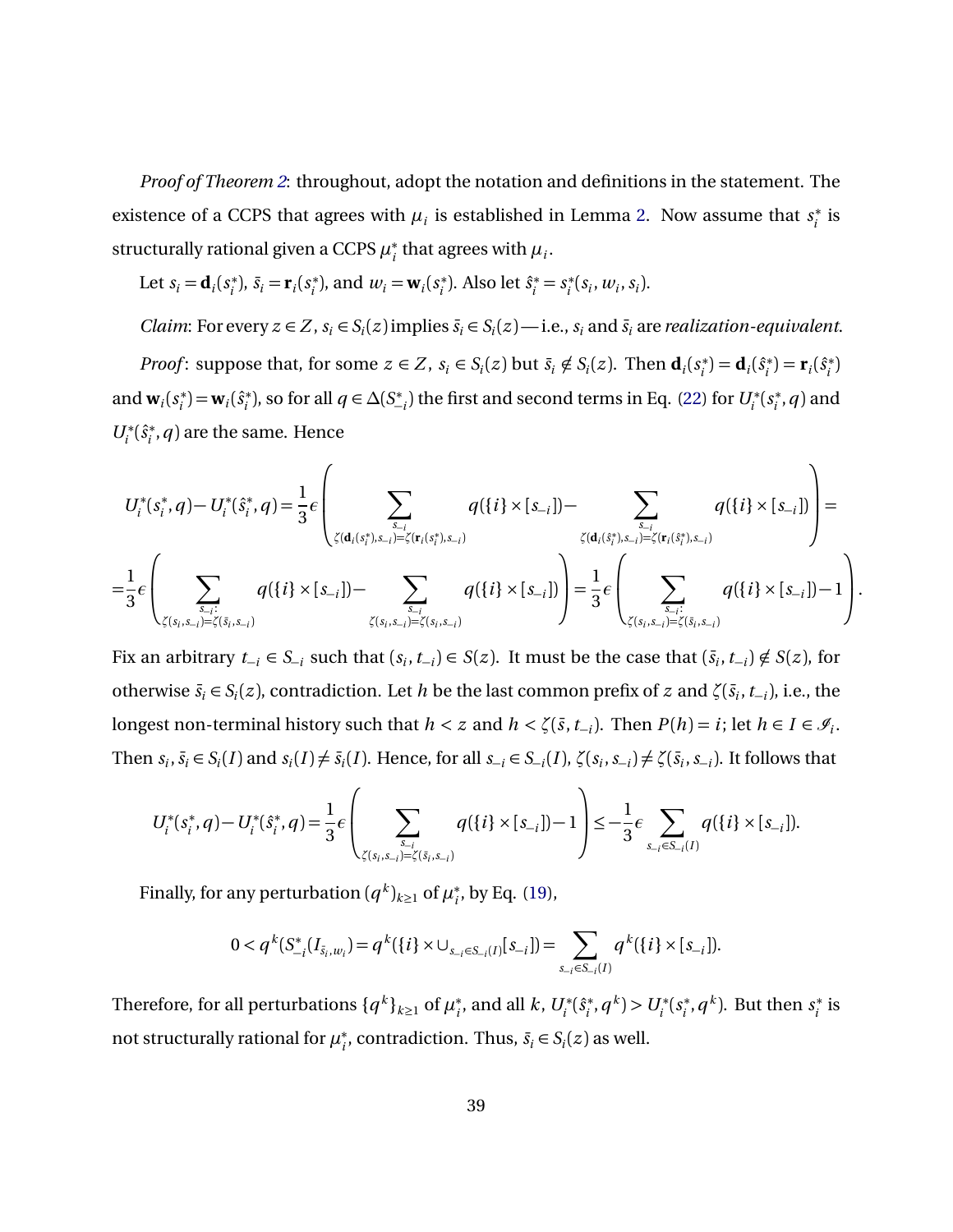*Proof of Theorem [2](#page-15-0)*: throughout, adopt the notation and definitions in the statement. The existence of a CCPS that agrees with  $\mu_i$  is established in Lemma [2.](#page-32-0) Now assume that  $s_i^*$  $i^*$  is structurally rational given a CCPS *µ* ∗  $i<sub>i</sub>$  that agrees with  $\mu<sub>i</sub>$ .

Let 
$$
s_i = \mathbf{d}_i(s_i^*)
$$
,  $\bar{s}_i = \mathbf{r}_i(s_i^*)$ , and  $w_i = \mathbf{w}_i(s_i^*)$ . Also let  $\hat{s}_i^* = s_i^*(s_i, w_i, s_i)$ .

*Claim*: For every  $z \in Z$ ,  $s_i \in S_i(z)$  implies  $\bar{s}_i \in S_i(z)$ —i.e.,  $s_i$  and  $\bar{s}_i$  are *realization-equivalent*.

*Proof*: suppose that, for some  $z \in Z$ ,  $s_i \in S_i(z)$  but  $\bar{s}_i \notin S_i(z)$ . Then  $\mathbf{d}_i(s_i^*)$  $f_i^*$ **)** = **d**<sub>*i*</sub>( $\hat{s}_i^*$  $\mathbf{r}_i^*$ ) =  $\mathbf{r}_i(\hat{s}_i^*)$ *i* ) and  $\mathbf{w}_i(s_i^*)$  $\mathbf{w}_i^*$ ) =  $\mathbf{w}_i(\hat{s}_i^*)$  $a_i^*$ ), so for all  $q \in \Delta(S^*_-)$  $\binom{4}{i}$ ; the first and second terms in Eq. [\(22\)](#page-37-0) for  $U_i^*(s_i^*)$  $i<sub>i</sub>$ , $q$ ) and  $U_i^*(\hat{s}_i^*$  $\mathcal{C}_i^*, q$  are the same. Hence

$$
U_i^*(s_i^*,q) - U_i^*(\hat{s}_i^*,q) = \frac{1}{3}\epsilon \left( \sum_{\zeta(\mathbf{d}_i(s_i^*), s_{-i}) = \zeta(\mathbf{r}_i(s_i^*), s_{-i})} q(\{i\} \times [s_{-i}]) - \sum_{\zeta(\mathbf{d}_i(s_i^*), s_{-i}) = \zeta(\mathbf{r}_i(s_i^*), s_{-i})} q(\{i\} \times [s_{-i}]) \right) =
$$
  

$$
= \frac{1}{3}\epsilon \left( \sum_{\zeta(s_i, s_{-i}) = \zeta(\bar{s}_i, s_{-i})} q(\{i\} \times [s_{-i}]) - \sum_{\zeta(s_i, s_{-i}) = \zeta(s_i, s_{-i})} q(\{i\} \times [s_{-i}]) \right) = \frac{1}{3}\epsilon \left( \sum_{\zeta(s_i, s_{-i}) = \zeta(\bar{s}_i, s_{-i})} q(\{i\} \times [s_{-i}]) - 1 \right).
$$

Fix an arbitrary  $t_{-i} \in S_{-i}$  such that  $(s_i, t_{-i}) \in S(z)$ . It must be the case that  $(\bar{s}_i, t_{-i}) \notin S(z)$ , for otherwise  $\bar{s}_i \in S_i(z)$ , contradiction. Let *h* be the last common prefix of *z* and  $\zeta(\bar{s}_i, t_{-i})$ , i.e., the longest non-terminal history such that  $h < z$  and  $h < \zeta(\bar{s}, t_{-i})$ . Then  $P(h) = i$ ; let  $h \in I \in \mathcal{I}_i$ . Then  $s_i$ ,  $\bar{s}_i \in S_i(I)$  and  $s_i(I) \neq \bar{s}_i(I)$ . Hence, for all  $s_{-i} \in S_{-i}(I)$ ,  $\zeta(s_i, s_{-i}) \neq \zeta(\bar{s}_i, s_{-i})$ . It follows that

$$
U_i^*(s_i^*,q) - U_i^*(\hat{s}_i^*,q) = \frac{1}{3}\epsilon \left( \sum_{\zeta(s_i,s_{-i})=\zeta(\bar{s}_i,s_{-i})} q(\{i\} \times [s_{-i}]) - 1 \right) \le -\frac{1}{3}\epsilon \sum_{s_{-i} \in S_{-i}(I)} q(\{i\} \times [s_{-i}]).
$$

Finally, for any perturbation  $(q^k)_{k\geq 1}$  of  $\mu_i^*$  $_{i}^{*}$ , by Eq. [\(19\)](#page-29-0),

$$
0 < q^{k}(S_{-i}^{*}(I_{\bar{s}_{i},w_{i}}) = q^{k}(\lbrace i \rbrace \times \cup_{s_{-i} \in S_{-i}(I)}[s_{-i}]) = \sum_{s_{-i} \in S_{-i}(I)} q^{k}(\lbrace i \rbrace \times [s_{-i}]).
$$

Therefore, for all perturbations  $\{q^k\}_{k\geq 1}$  of  $\mu_i^*$  $i<sup>*</sup>$ , and all *k*,  $U<sub>i</sub><sup>*</sup>(\hat{s}<sub>i</sub><sup>*</sup>)$  $U_i^*$ ,  $q^k$ ) >  $U_i^*$ ( $s_i^*$  $S_i^*$ ,  $q^k$ ). But then  $s_i^*$  $i^*$  is not structurally rational for  $\mu_i^*$  $\overline{s}_i$ , contradiction. Thus,  $\overline{s}_i \in S_i(z)$  as well.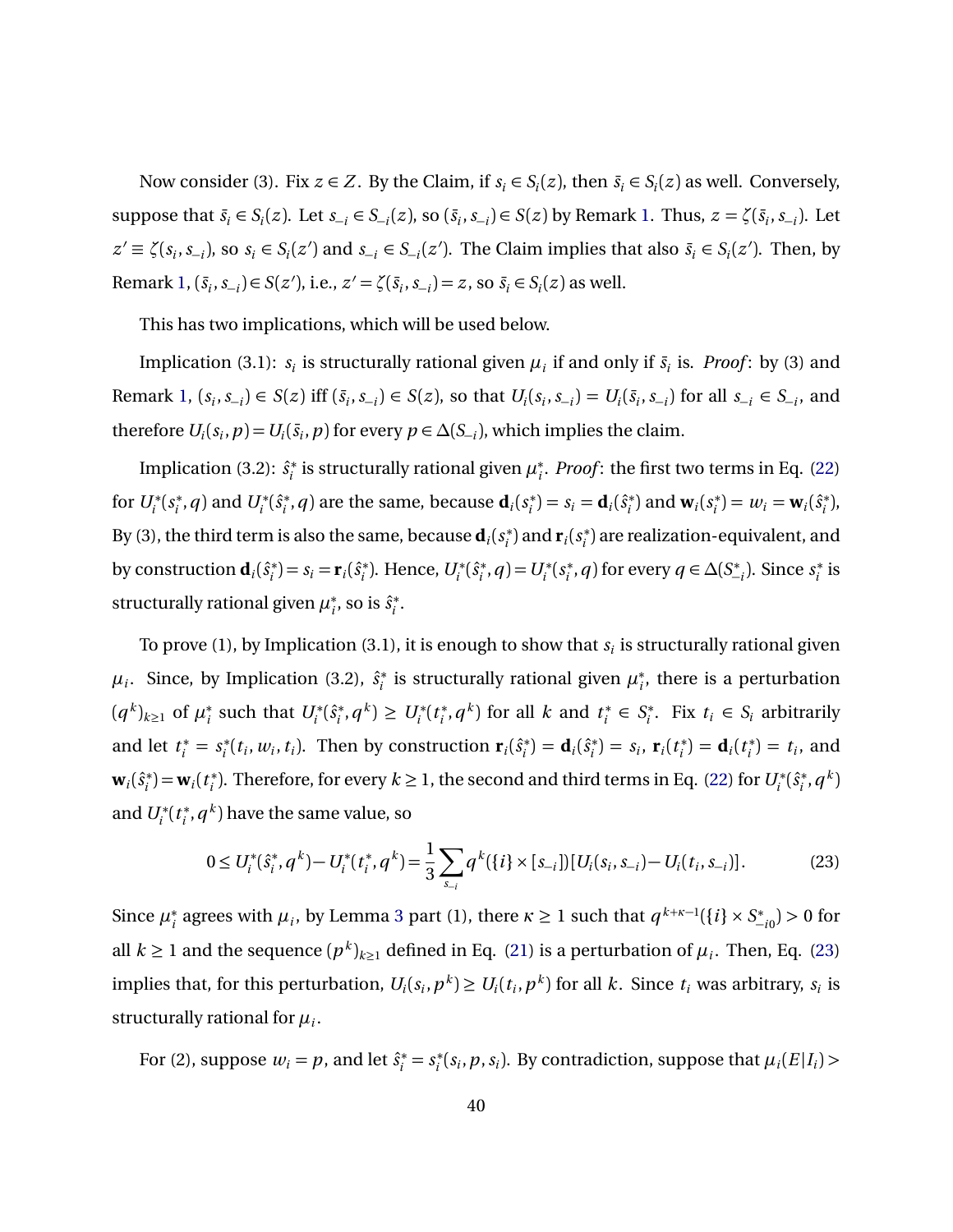Now consider (3). Fix  $z \in Z$ . By the Claim, if  $s_i \in S_i(z)$ , then  $\bar{s}_i \in S_i(z)$  as well. Conversely, suppose that  $\bar{s}_i \in S_i(z)$ . Let  $s_{-i} \in S_{-i}(z)$ , so  $(\bar{s}_i, s_{-i}) \in S(z)$  by Remark [1.](#page-20-2) Thus,  $z = \zeta(\bar{s}_i, s_{-i})$ . Let  $z' \equiv \zeta(s_i, s_{-i})$ , so  $s_i \in S_i(z')$  and  $s_{-i} \in S_{-i}(z')$ . The Claim implies that also  $\bar{s}_i \in S_i(z')$ . Then, by Remark [1,](#page-20-2)  $(\bar{s}_i, s_{-i}) \in S(z')$ , i.e.,  $z' = \zeta(\bar{s}_i, s_{-i}) = z$ , so  $\bar{s}_i \in S_i(z)$  as well.

This has two implications, which will be used below.

Implication (3.1):  $s_i$  is structurally rational given  $\mu_i$  if and only if  $\bar{s}_i$  is. *Proof*: by (3) and Remark [1,](#page-20-2)  $(s_i, s_{-i}) \in S(z)$  iff  $(\bar{s}_i, s_{-i}) \in S(z)$ , so that  $U_i(s_i, s_{-i}) = U_i(\bar{s}_i, s_{-i})$  for all  $s_{-i} \in S_{-i}$ , and therefore  $U_i(s_i, p) = U_i(\bar{s}_i, p)$  for every  $p \in \Delta(S_{-i})$ , which implies the claim.

Implication (3.2):  $\hat{s}^*$  $\mu_i^*$  is structurally rational given  $\mu_i^*$ *i* . *Proof* : the first two terms in Eq. [\(22\)](#page-37-0) for  $U_i^*(s_i^*)$  $U_i^*, q$ ) and  $U_i^*(\hat{s}_i^*)$  $\mathbf{a}_i^*$ , *q*) are the same, because  $\mathbf{d}_i(s_i^*)$  $s_i^*$ ) =  $s_i = \mathbf{d}_i(\hat{s}_i^*)$  $\mathbf{w}_i^*$ ) and  $\mathbf{w}_i$  ( $s_i^*$  $w_i^*$ ) =  $w_i = \mathbf{w}_i(\hat{s}_i^*)$ *i* ), By (3), the third term is also the same, because  $\mathbf{d}_i(s_i^*)$  $\mathbf{r}_i^*$ ) and  $\mathbf{r}_i$  ( $s_i^*$  $\binom{*}{i}$  are realization-equivalent, and by construction  $\mathbf{d}_i(\hat{s}^*_i)$  $(s_i^*) = s_i = \mathbf{r}_i(\hat{s}_i^*)$  $U_i^*$ ). Hence,  $U_i^*(\hat{s}_i^*)$  $U_i^*$ , *q*) =  $U_i^*$ ( $S_i^*$  $a_i^*$ , *q*) for every *q* ∈ *∆*(*S*<sup>\*</sup> −*i* ). Since *s* ∗  $i^*$  is structurally rational given *µ* ∗ <sup>\*</sup><sub>*i*</sub></sub>, so is  $\hat{s}^*$ <sub>i</sub> *i* .

To prove (1), by Implication (3.1), it is enough to show that  $s_i$  is structurally rational given  $\mu_i$ . Since, by Implication (3.2),  $\hat{s}_i^*$ <sup>\*</sup>/<sub>i</sub> is structurally rational given  $\mu_i^*$ *i* , there is a perturbation  $(q^k)_{k\geq 1}$  of  $\mu_i^*$ <sup>\*</sup><sub>*i*</sub> such that  $U_i^*(\hat{s}_i^*)$  $U_i^*, q^k$ ) ≥  $U_i^*(t_i^*)$  $i^*$ ,  $q^k$ ) for all *k* and  $t_i^*$ *i* ∈ *S* ∗ *i*<sup>∗</sup>. Fix *t*<sup>*i*</sup> ∈ *S*<sup>*i*</sup> arbitrarily and let  $t_i^* = s_i^*$  $\mathbf{r}_i(t_i, w_i, t_i)$ . Then by construction  $\mathbf{r}_i(\hat{s}_i^*)$  $\mathbf{d}_i^*$ ) =  $\mathbf{d}_i(\hat{s}_i^*)$  $s_i^*$ ) =  $s_i$ , **r**<sub>*i*</sub>(*t<sub>i</sub>*<sup>\*</sup>)  $i^*$ ) = **d**<sub>*i*</sub>(*t*<sub>*i*</sub><sup>\*</sup>)  $t_i^*$ ) =  $t_i$ , and  $\mathbf{w}_i$  $(\hat{s}_i^*)$  $\mathbf{w}_i^*$ ) =  $\mathbf{w}_i(t_i^*)$ <sup>\*</sup>). Therefore, for every  $k \ge 1$ , the second and third terms in Eq. [\(22\)](#page-37-0) for  $U_i^*(\hat{s}_i^*)$  $i^*$ ,  $q^k$ ) and  $U_i^*(t_i^*)$  $\mathbf{f}_i^*, q^k$ ) have the same value, so

<span id="page-39-0"></span>
$$
0 \le U_i^*(\hat{s}_i^*, q^k) - U_i^*(t_i^*, q^k) = \frac{1}{3} \sum_{s_{-i}} q^k(\{i\} \times [s_{-i}])[U_i(s_i, s_{-i}) - U_i(t_i, s_{-i})].
$$
 (23)

Since  $\mu_i^*$  $\frac{1}{i}$  agrees with  $\mu_i$ , by Lemma [3](#page-33-1) part (1), there  $\kappa \ge 1$  such that  $q^{k+\kappa-1}(\{i\} \times S^*_-)$ −*i* 0 ) *>* 0 for all  $k \ge 1$  and the sequence  $(p^k)_{k \ge 1}$  defined in Eq. [\(21\)](#page-33-0) is a perturbation of  $\mu_i$ . Then, Eq. [\(23\)](#page-39-0) implies that, for this perturbation,  $U_i(s_i, p^k) \ge U_i(t_i, p^k)$  for all k. Since  $t_i$  was arbitrary,  $s_i$  is structurally rational for  $\mu_i$ .

For (2), suppose  $w_i = p$ , and let  $\hat{s}_i^* = s_i^*$  $\mu_i^*(s_i, p, s_i)$ . By contradiction, suppose that  $\mu_i(E|I_i)$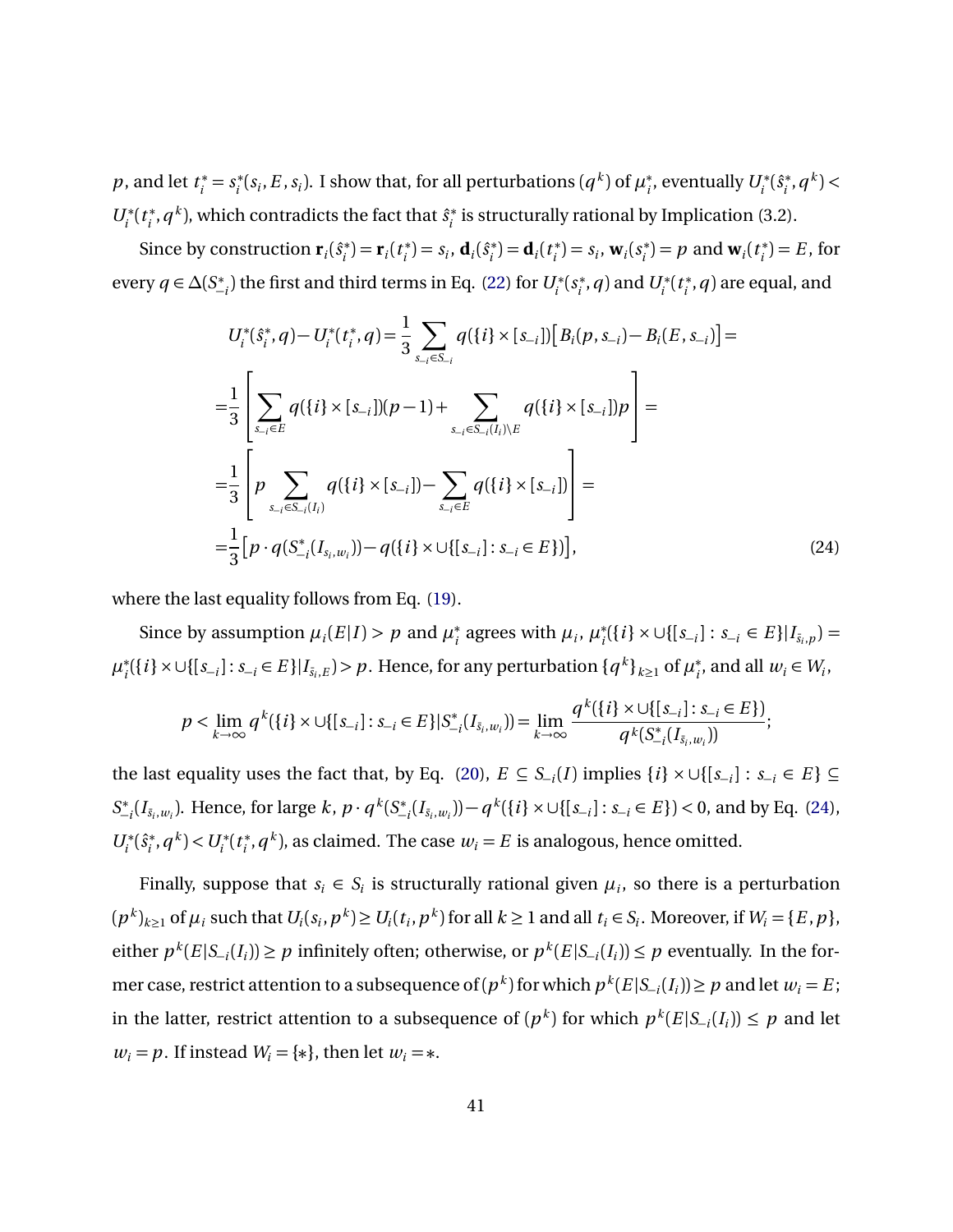*p*, and let  $t_i^* = s_i^*$  $\mathcal{L}_i^*(s_i, E, s_i)$ . I show that, for all perturbations  $(q^k)$  of  $\mu_i^*$ <sup>\*</sup>, eventually  $U_i^*(\hat{s}_i^*)$  $(q^k)$  <  $(q^k)$  <  $U_i^*(t_i^*)$  $\hat{a}^{*}$ , *q*<sup>k</sup>), which contradicts the fact that  $\hat{s}^{*}_{i}$  $i_i^*$  is structurally rational by Implication (3.2).

Since by construction  $\mathbf{r}_i(\hat{s}_i^*)$  $f_i^*$ ) = **r**<sub>*i*</sub>(*t<sub>i</sub>*<sup>\*</sup>  $s_i^*$ ) =  $s_i$ , **d**<sub>*i*</sub>( $\hat{s}_i^*$ )  $f_i^*$ **)** = **d**<sub>*i*</sub>(*t*<sub>*i*</sub><sup>\*</sup>  $s_i^*$ ) =  $s_i$ , **w**<sub>*i*</sub>( $s_i^*$ )  $\mathbf{v}_i^*$ ) = *p* and  $\mathbf{w}_i(t_i^*)$  $i^*$ ) = *E*, for every  $q \in \Delta(S^*_ \binom{4}{i}$ ; the first and third terms in Eq. [\(22\)](#page-37-0) for  $U_i^*(s_i)$  $U_i^*$ , *q*) and  $U_i^*(t_i^*)$  $\binom{*}{i}$ ,  $q$ ) are equal, and

<span id="page-40-0"></span>
$$
U_i^*(\hat{s}_i^*, q) - U_i^*(t_i^*, q) = \frac{1}{3} \sum_{s_{-i} \in S_{-i}} q(\{i\} \times [s_{-i}]) [B_i(p, s_{-i}) - B_i(E, s_{-i})] =
$$
  
\n
$$
= \frac{1}{3} \left[ \sum_{s_{-i} \in E} q(\{i\} \times [s_{-i}]) (p-1) + \sum_{s_{-i} \in S_{-i}(I_i) \setminus E} q(\{i\} \times [s_{-i}]) p \right] =
$$
  
\n
$$
= \frac{1}{3} \left[ p \sum_{s_{-i} \in S_{-i}(I_i)} q(\{i\} \times [s_{-i}]) - \sum_{s_{-i} \in E} q(\{i\} \times [s_{-i}]) \right] =
$$
  
\n
$$
= \frac{1}{3} \left[ p \cdot q(S_{-i}^*(I_{s_i, w_i})) - q(\{i\} \times \cup \{[s_{-i}] : s_{-i} \in E\}) \right],
$$
\n(24)

where the last equality follows from Eq. [\(19\)](#page-29-0).

Since by assumption  $\mu_i(E|I) > p$  and  $\mu_i^*$ <sup>\*</sup><sub>*i*</sub> agrees with  $\mu_i$ ,  $\mu_i^*$  $S_i^*$ ({*i*} ×  $\cup$ {[*s*<sub>-*i*</sub>] : *s*<sub>-*i*</sub></sub> ∈ *E*}|*I*<sub>*si*</sub>,*p*) =  $\mu_i^*$ *i*<sup>{</sup>{ $i$ } ×∪{[ $s_{-i}$ ]:  $s_{-i} \in E$ }| $I_{\bar{s}_i,E}$ )>  $p$ . Hence, for any perturbation { $q^k$ }<sub> $k≥1$ </sub> of  $\mu_i^*$  $w_i$ , and all  $w_i \in W_i$ ,

$$
p < \lim_{k \to \infty} q^k(\{i\} \times \cup \{[s_{-i}] : s_{-i} \in E\}|S^*_{-i}(I_{\bar{s}_i,w_i})) = \lim_{k \to \infty} \frac{q^k(\{i\} \times \cup \{[s_{-i}] : s_{-i} \in E\})}{q^k(S^*_{-i}(I_{\bar{s}_i,w_i}))};
$$

the last equality uses the fact that, by Eq. [\(20\)](#page-31-1),  $E \subseteq S_{-i}(I)$  implies  $\{i\} \times \cup \{[s_{-i}] : s_{-i} \in E\} \subseteq$ *S* ∗  $\int_{-i}^{*}(I_{\bar{s}_i,w_i})$ . Hence, for large  $k, p \cdot q^k(S^*_-)$  $P_{-i}^*(I_{\bar{s}_i, w_i}) - q^k({i} \times \cup \{[s_{-i}] : s_{-i} \in E\}) < 0$ , and by Eq. [\(24\)](#page-40-0),  $U_i^*(\hat{s}_i^*$  $U_i^*$ ,  $q^k$ ) <  $U_i^*$ ( $t_i^*$  $\mathcal{L}_i^*, q^k$ ), as claimed. The case  $w_i = E$  is analogous, hence omitted.

Finally, suppose that  $s_i \in S_i$  is structurally rational given  $\mu_i$ , so there is a perturbation  $(p^k)_{k\geq 1}$  of  $\mu_i$  such that  $U_i(s_i, p^k) \geq U_i(t_i, p^k)$  for all  $k \geq 1$  and all  $t_i \in S_i$ . Moreover, if  $W_i = \{E, p\}$ , either  $p^k(E|S_{-i}(I_i)) \geq p$  infinitely often; otherwise, or  $p^k(E|S_{-i}(I_i)) \leq p$  eventually. In the former case, restrict attention to a subsequence of  $(p^k)$  for which  $p^k(E|S_{-i}(I_i)) \geq p$  and let  $w_i = E$ ; in the latter, restrict attention to a subsequence of  $(p^k)$  for which  $p^k(E|S_{-i}(I_i)) \leq p$  and let  $w_i = p$ . If instead  $W_i = \{*\}$ , then let  $w_i = *$ .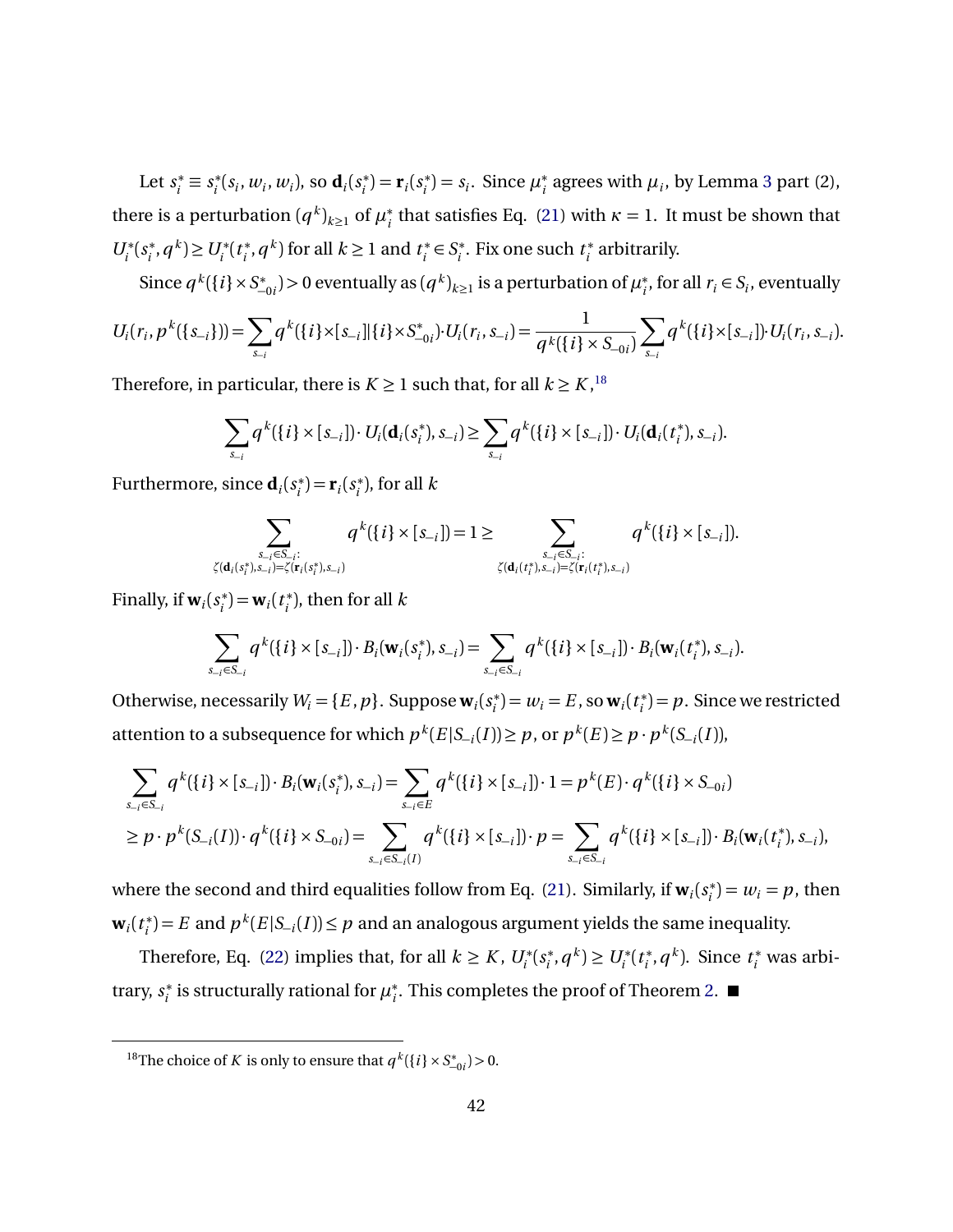Let  $s_i^* \equiv s_i^*$  $i^*(s_i, w_i, w_i)$ , so  $\mathbf{d}_i(s_i^*)$  $f_i^*$ ) = **r**<sub>*i*</sub>( $s_i^*$  $\mu_i^*$ ) =  $s_i$ . Since  $\mu_i^*$  $_i^*$  agrees with  $\mu_i$ , by Lemma [3](#page-33-1) part (2), there is a perturbation  $(q^k)_{k\geq 1}$  of  $\mu_i^*$  $\frac{1}{i}$  that satisfies Eq. [\(21\)](#page-33-0) with  $\kappa = 1$ . It must be shown that  $U_i^*$ ( $s_i^*$  $(v_i^*, q^k)$ ≥  $U_i^*(t_i^*)$  $i$ <sup>\*</sup>, *q*<sup>k</sup>) for all *k* ≥ 1 and *t*<sup>\*</sup><sub>*i*</sub></sub> *i* ∈ *S* ∗ *i* . Fix one such *t* ∗ *i* arbitrarily.

Since  $q^k({i}) \times S^*$  $\mathcal{L}_{-0i}^{*}$ ) > 0 eventually as  $(q^{k})_{k≥1}$  is a perturbation of  $\mu_i^{*}$ <sup>\*</sup>, for all  $r_i \in S_i$ , eventually

$$
U_i(r_i, p^k(\{s_{-i}\})) = \sum_{s_{-i}} q^k(\{i\} \times [s_{-i}][\{i\} \times S_{-0i}^*) \cdot U_i(r_i, s_{-i}) = \frac{1}{q^k(\{i\} \times S_{-0i})} \sum_{s_{-i}} q^k(\{i\} \times [s_{-i}]) \cdot U_i(r_i, s_{-i}).
$$

Therefore, in particular, there is  $K \geq 1$  such that, for all  $k \geq K$ , <sup>[18](#page-41-0)</sup>

$$
\sum_{s_{-i}} q^k (\{i\} \times [s_{-i}]) \cdot U_i(\mathbf{d}_i(s_i^*), s_{-i}) \geq \sum_{s_{-i}} q^k (\{i\} \times [s_{-i}]) \cdot U_i(\mathbf{d}_i(t_i^*), s_{-i}).
$$

Furthermore, since  $\mathbf{d}_i(s_i^*)$  $f_i^*$ ) = **r**<sub>*i*</sub>( $s_i^*$ *i* ), for all *k*

$$
\sum_{\substack{s_{-i} \in S_{-i}: \\ \zeta(\mathbf{d}_i(s_i^*), s_{-i}) = \zeta(\mathbf{r}_i(s_i^*), s_{-i})}} q^k(\{i\} \times [s_{-i}]) = 1 \ge \sum_{\substack{s_{-i} \in S_{-i}: \\ \zeta(\mathbf{d}_i(t_i^*), s_{-i}) = \zeta(\mathbf{r}_i(t_i^*), s_{-i})}} q^k(\{i\} \times [s_{-i}]).
$$

Finally, if  $w_i(s_i^*)$  $\mathbf{w}_i^*$ ) =  $\mathbf{w}_i(t_i^*)$ *i* ), then for all *k*

$$
\sum_{s_{-i}\in S_{-i}} q^k(\{i\}\times [s_{-i}])\cdot B_i(\mathbf{w}_i(s_i^*), s_{-i}) = \sum_{s_{-i}\in S_{-i}} q^k(\{i\}\times [s_{-i}])\cdot B_i(\mathbf{w}_i(t_i^*), s_{-i}).
$$

Otherwise, necessarily  $W_i = \{E, p\}$ . Suppose  $\mathbf{w}_i(s_i)$  $w_i^*$ ) =  $w_i = E$ , so **w**<sub>*i*</sub>(*t<sub>i</sub>*<sup>\*</sup>)  $i<sub>i</sub><sup>*</sup>=p.$  Since we restricted attention to a subsequence for which  $p^k(E|S_{-i}(I)) \geq p$ , or  $p^k(E) \geq p \cdot p^k(S_{-i}(I))$ ,

$$
\sum_{s_{-i}\in S_{-i}} q^k(\{i\} \times [s_{-i}]) \cdot B_i(\mathbf{w}_i(s_i^*), s_{-i}) = \sum_{s_{-i}\in E} q^k(\{i\} \times [s_{-i}]) \cdot 1 = p^k(E) \cdot q^k(\{i\} \times S_{-0i})
$$
\n
$$
\geq p \cdot p^k(S_{-i}(I)) \cdot q^k(\{i\} \times S_{-0i}) = \sum_{s_{-i}\in S_{-i}(I)} q^k(\{i\} \times [s_{-i}]) \cdot p = \sum_{s_{-i}\in S_{-i}} q^k(\{i\} \times [s_{-i}]) \cdot B_i(\mathbf{w}_i(t_i^*), s_{-i}),
$$

where the second and third equalities follow from Eq. [\(21\)](#page-33-0). Similarly, if  $\mathbf{w}_i(s_i^*)$  $(v_i^*) = w_i = p$ , then  $\mathbf{w}_i(t_i^*)$  $\binom{1}{i}$  = *E* and  $p^k(E|S_{-i}(I)) \leq p$  and an analogous argument yields the same inequality.

Therefore, Eq. [\(22\)](#page-37-0) implies that, for all  $k \geq K$ ,  $U_i^*(s_i^*)$  $U_i^*$ ,  $q^k$ )  $\geq U_i^*(t_i^*)$ *<sup>∗</sup>, <i>q*<sup>*k*</sup>). Since *t*<sup>∗</sup><sub>*i*</sub> was arbitrary, *s* ∗  $\mu_i^*$  is structurally rational for  $\mu_i^*$ *i* . This completes the proof of Theorem [2.](#page-15-0)

<span id="page-41-0"></span><sup>&</sup>lt;sup>18</sup>The choice of *K* is only to ensure that  $q^k({i} \times S_{-0i}^*) > 0$ .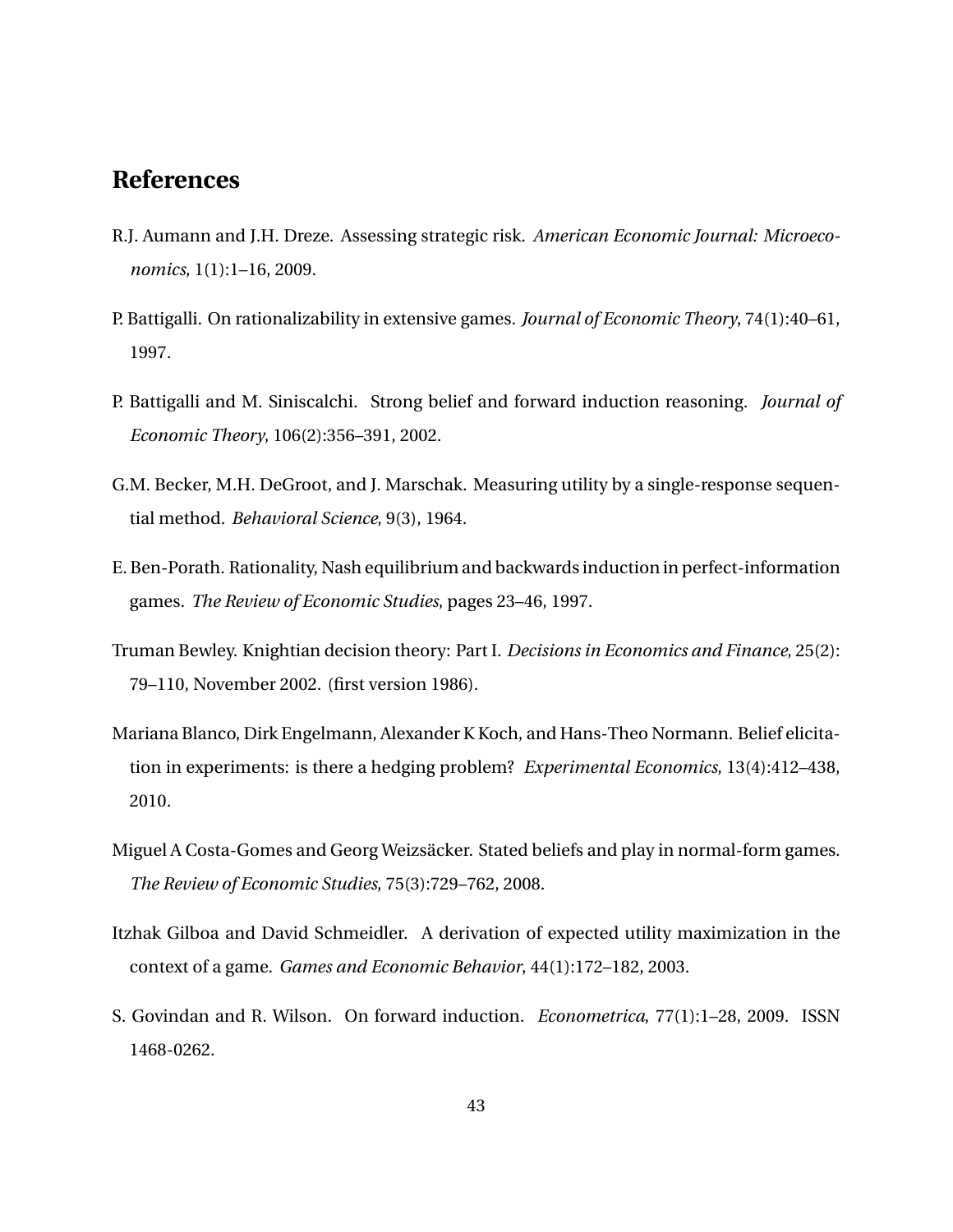### **References**

- <span id="page-42-2"></span>R.J. Aumann and J.H. Dreze. Assessing strategic risk. *American Economic Journal: Microeconomics*, 1(1):1–16, 2009.
- <span id="page-42-5"></span>P. Battigalli. On rationalizability in extensive games. *Journal of Economic Theory*, 74(1):40–61, 1997.
- <span id="page-42-6"></span>P. Battigalli and M. Siniscalchi. Strong belief and forward induction reasoning. *Journal of Economic Theory*, 106(2):356–391, 2002.
- <span id="page-42-8"></span>G.M. Becker, M.H. DeGroot, and J. Marschak. Measuring utility by a single-response sequential method. *Behavioral Science*, 9(3), 1964.
- <span id="page-42-7"></span>E. Ben-Porath. Rationality, Nash equilibrium and backwards induction in perfect-information games. *The Review of Economic Studies*, pages 23–46, 1997.
- <span id="page-42-4"></span>Truman Bewley. Knightian decision theory: Part I. *Decisions in Economics and Finance*, 25(2): 79–110, November 2002. (first version 1986).
- <span id="page-42-1"></span>Mariana Blanco, Dirk Engelmann, Alexander K Koch, and Hans-Theo Normann. Belief elicitation in experiments: is there a hedging problem? *Experimental Economics*, 13(4):412–438, 2010.
- <span id="page-42-0"></span>Miguel A Costa-Gomes and Georg Weizsäcker. Stated beliefs and play in normal-form games. *The Review of Economic Studies*, 75(3):729–762, 2008.
- <span id="page-42-3"></span>Itzhak Gilboa and David Schmeidler. A derivation of expected utility maximization in the context of a game. *Games and Economic Behavior*, 44(1):172–182, 2003.
- <span id="page-42-9"></span>S. Govindan and R. Wilson. On forward induction. *Econometrica*, 77(1):1–28, 2009. ISSN 1468-0262.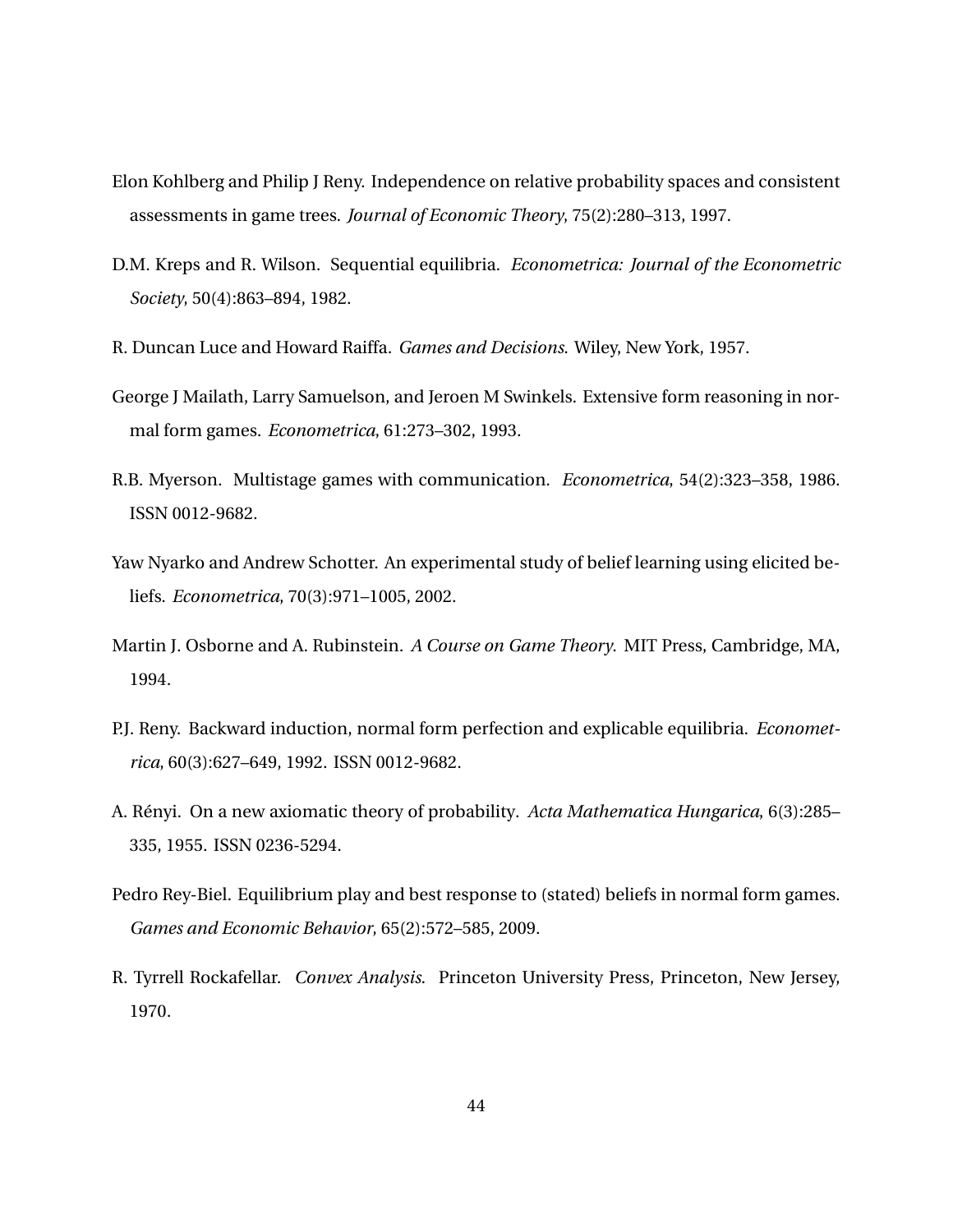- <span id="page-43-8"></span>Elon Kohlberg and Philip J Reny. Independence on relative probability spaces and consistent assessments in game trees. *Journal of Economic Theory*, 75(2):280–313, 1997.
- <span id="page-43-9"></span>D.M. Kreps and R. Wilson. Sequential equilibria. *Econometrica: Journal of the Econometric Society*, 50(4):863–894, 1982.
- <span id="page-43-1"></span>R. Duncan Luce and Howard Raiffa. *Games and Decisions*. Wiley, New York, 1957.
- <span id="page-43-5"></span>George J Mailath, Larry Samuelson, and Jeroen M Swinkels. Extensive form reasoning in normal form games. *Econometrica*, 61:273–302, 1993.
- <span id="page-43-7"></span>R.B. Myerson. Multistage games with communication. *Econometrica*, 54(2):323–358, 1986. ISSN 0012-9682.
- <span id="page-43-2"></span>Yaw Nyarko and Andrew Schotter. An experimental study of belief learning using elicited beliefs. *Econometrica*, 70(3):971–1005, 2002.
- <span id="page-43-4"></span>Martin J. Osborne and A. Rubinstein. *A Course on Game Theory*. MIT Press, Cambridge, MA, 1994.
- <span id="page-43-0"></span>P.J. Reny. Backward induction, normal form perfection and explicable equilibria. *Econometrica*, 60(3):627–649, 1992. ISSN 0012-9682.
- <span id="page-43-6"></span>A. Rényi. On a new axiomatic theory of probability. *Acta Mathematica Hungarica*, 6(3):285– 335, 1955. ISSN 0236-5294.
- <span id="page-43-3"></span>Pedro Rey-Biel. Equilibrium play and best response to (stated) beliefs in normal form games. *Games and Economic Behavior*, 65(2):572–585, 2009.
- <span id="page-43-10"></span>R. Tyrrell Rockafellar. *Convex Analysis*. Princeton University Press, Princeton, New Jersey, 1970.